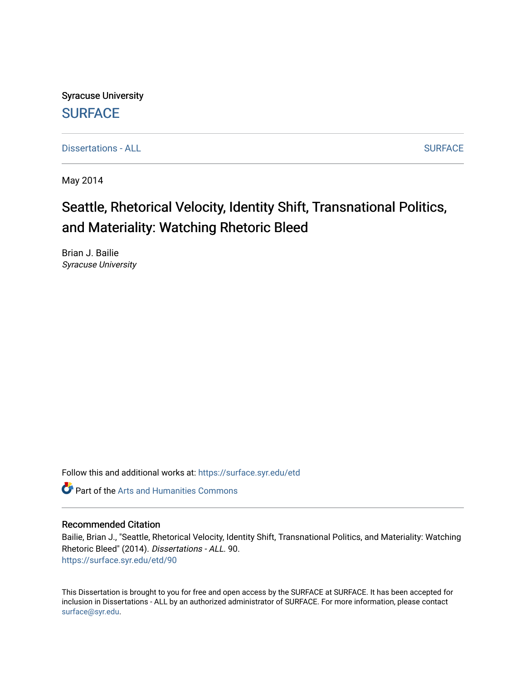Syracuse University **[SURFACE](https://surface.syr.edu/)** 

[Dissertations - ALL](https://surface.syr.edu/etd) SURFACE

May 2014

# Seattle, Rhetorical Velocity, Identity Shift, Transnational Politics, and Materiality: Watching Rhetoric Bleed

Brian J. Bailie Syracuse University

Follow this and additional works at: [https://surface.syr.edu/etd](https://surface.syr.edu/etd?utm_source=surface.syr.edu%2Fetd%2F90&utm_medium=PDF&utm_campaign=PDFCoverPages) 

Part of the [Arts and Humanities Commons](http://network.bepress.com/hgg/discipline/438?utm_source=surface.syr.edu%2Fetd%2F90&utm_medium=PDF&utm_campaign=PDFCoverPages) 

#### Recommended Citation

Bailie, Brian J., "Seattle, Rhetorical Velocity, Identity Shift, Transnational Politics, and Materiality: Watching Rhetoric Bleed" (2014). Dissertations - ALL. 90. [https://surface.syr.edu/etd/90](https://surface.syr.edu/etd/90?utm_source=surface.syr.edu%2Fetd%2F90&utm_medium=PDF&utm_campaign=PDFCoverPages) 

This Dissertation is brought to you for free and open access by the SURFACE at SURFACE. It has been accepted for inclusion in Dissertations - ALL by an authorized administrator of SURFACE. For more information, please contact [surface@syr.edu.](mailto:surface@syr.edu)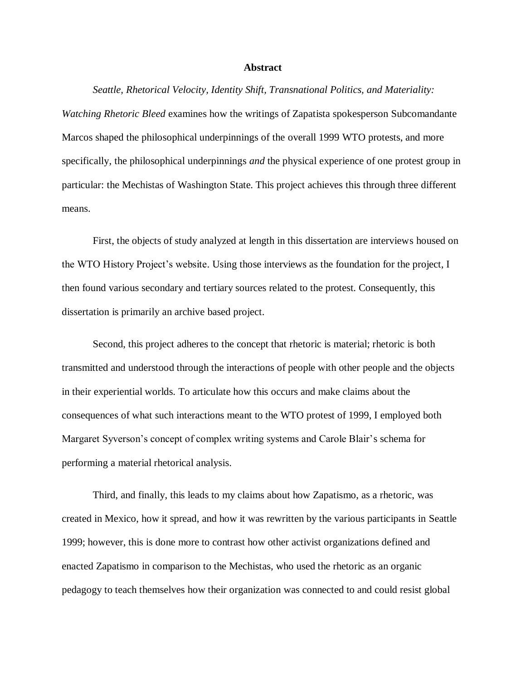#### **Abstract**

*Seattle, Rhetorical Velocity, Identity Shift, Transnational Politics, and Materiality: Watching Rhetoric Bleed* examines how the writings of Zapatista spokesperson Subcomandante Marcos shaped the philosophical underpinnings of the overall 1999 WTO protests, and more specifically, the philosophical underpinnings *and* the physical experience of one protest group in particular: the Mechistas of Washington State. This project achieves this through three different means.

First, the objects of study analyzed at length in this dissertation are interviews housed on the WTO History Project's website. Using those interviews as the foundation for the project, I then found various secondary and tertiary sources related to the protest. Consequently, this dissertation is primarily an archive based project.

Second, this project adheres to the concept that rhetoric is material; rhetoric is both transmitted and understood through the interactions of people with other people and the objects in their experiential worlds. To articulate how this occurs and make claims about the consequences of what such interactions meant to the WTO protest of 1999, I employed both Margaret Syverson's concept of complex writing systems and Carole Blair's schema for performing a material rhetorical analysis.

Third, and finally, this leads to my claims about how Zapatismo, as a rhetoric, was created in Mexico, how it spread, and how it was rewritten by the various participants in Seattle 1999; however, this is done more to contrast how other activist organizations defined and enacted Zapatismo in comparison to the Mechistas, who used the rhetoric as an organic pedagogy to teach themselves how their organization was connected to and could resist global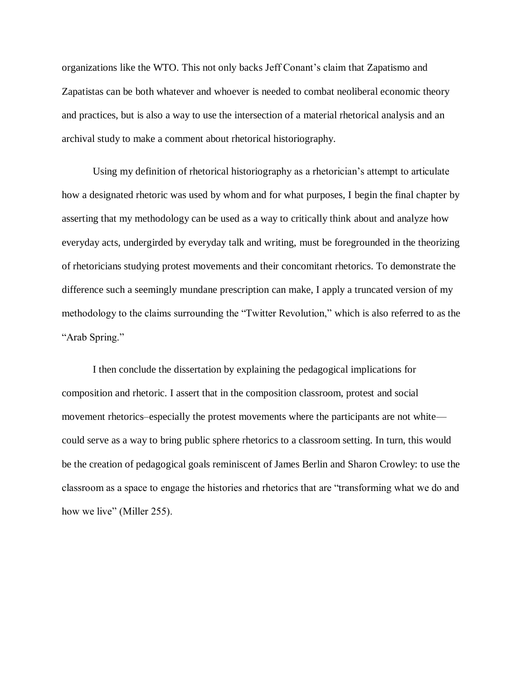organizations like the WTO. This not only backs Jeff Conant's claim that Zapatismo and Zapatistas can be both whatever and whoever is needed to combat neoliberal economic theory and practices, but is also a way to use the intersection of a material rhetorical analysis and an archival study to make a comment about rhetorical historiography.

Using my definition of rhetorical historiography as a rhetorician's attempt to articulate how a designated rhetoric was used by whom and for what purposes, I begin the final chapter by asserting that my methodology can be used as a way to critically think about and analyze how everyday acts, undergirded by everyday talk and writing, must be foregrounded in the theorizing of rhetoricians studying protest movements and their concomitant rhetorics. To demonstrate the difference such a seemingly mundane prescription can make, I apply a truncated version of my methodology to the claims surrounding the "Twitter Revolution," which is also referred to as the "Arab Spring."

I then conclude the dissertation by explaining the pedagogical implications for composition and rhetoric. I assert that in the composition classroom, protest and social movement rhetorics–especially the protest movements where the participants are not white could serve as a way to bring public sphere rhetorics to a classroom setting. In turn, this would be the creation of pedagogical goals reminiscent of James Berlin and Sharon Crowley: to use the classroom as a space to engage the histories and rhetorics that are "transforming what we do and how we live" (Miller 255).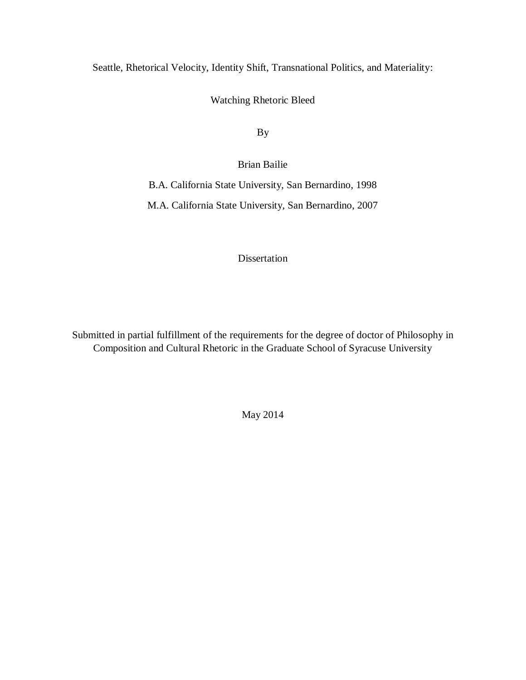Seattle, Rhetorical Velocity, Identity Shift, Transnational Politics, and Materiality:

Watching Rhetoric Bleed

By

Brian Bailie

B.A. California State University, San Bernardino, 1998

M.A. California State University, San Bernardino, 2007

Dissertation

Submitted in partial fulfillment of the requirements for the degree of doctor of Philosophy in Composition and Cultural Rhetoric in the Graduate School of Syracuse University

May 2014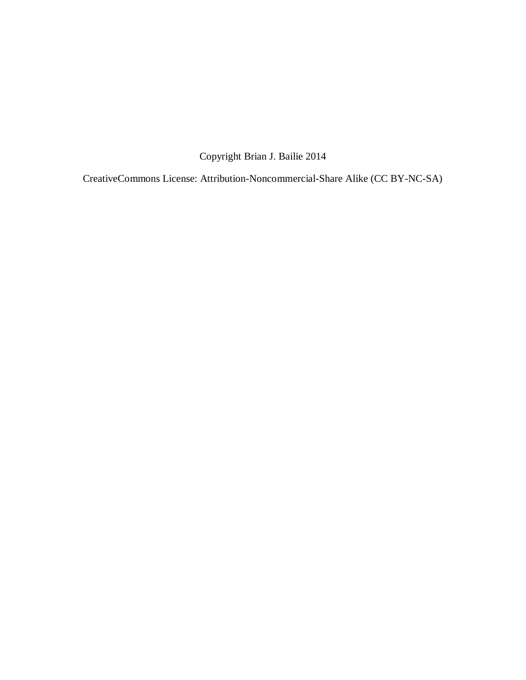Copyright Brian J. Bailie 2014

CreativeCommons License: Attribution-Noncommercial-Share Alike (CC BY-NC-SA)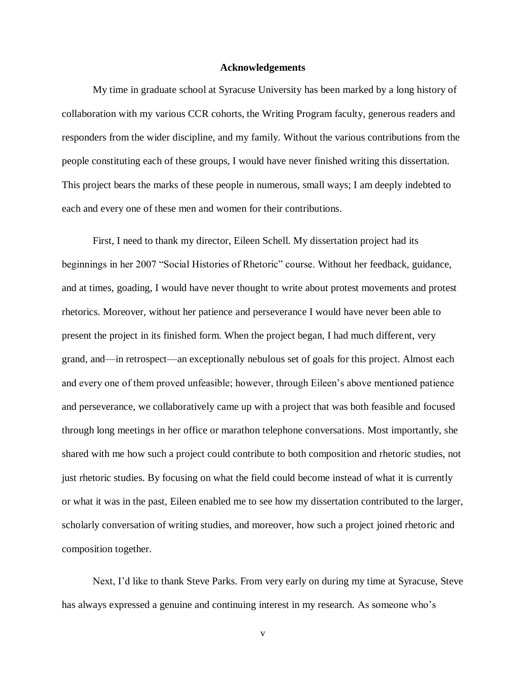#### **Acknowledgements**

My time in graduate school at Syracuse University has been marked by a long history of collaboration with my various CCR cohorts, the Writing Program faculty, generous readers and responders from the wider discipline, and my family. Without the various contributions from the people constituting each of these groups, I would have never finished writing this dissertation. This project bears the marks of these people in numerous, small ways; I am deeply indebted to each and every one of these men and women for their contributions.

First, I need to thank my director, Eileen Schell. My dissertation project had its beginnings in her 2007 "Social Histories of Rhetoric" course. Without her feedback, guidance, and at times, goading, I would have never thought to write about protest movements and protest rhetorics. Moreover, without her patience and perseverance I would have never been able to present the project in its finished form. When the project began, I had much different, very grand, and—in retrospect—an exceptionally nebulous set of goals for this project. Almost each and every one of them proved unfeasible; however, through Eileen's above mentioned patience and perseverance, we collaboratively came up with a project that was both feasible and focused through long meetings in her office or marathon telephone conversations. Most importantly, she shared with me how such a project could contribute to both composition and rhetoric studies, not just rhetoric studies. By focusing on what the field could become instead of what it is currently or what it was in the past, Eileen enabled me to see how my dissertation contributed to the larger, scholarly conversation of writing studies, and moreover, how such a project joined rhetoric and composition together.

Next, I'd like to thank Steve Parks. From very early on during my time at Syracuse, Steve has always expressed a genuine and continuing interest in my research. As someone who's

v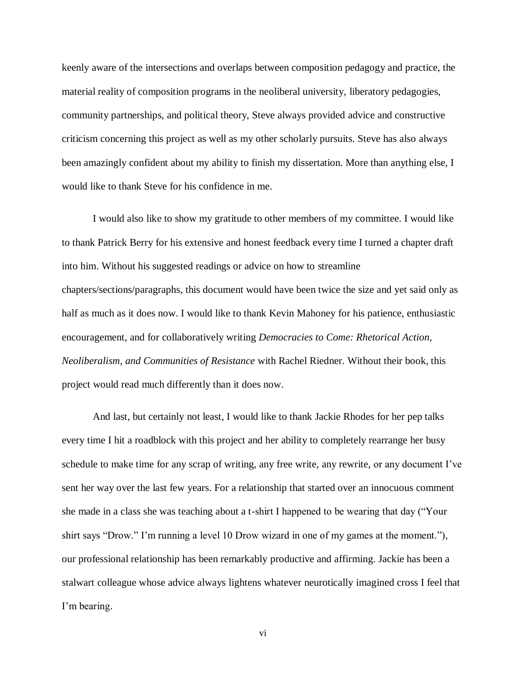keenly aware of the intersections and overlaps between composition pedagogy and practice, the material reality of composition programs in the neoliberal university, liberatory pedagogies, community partnerships, and political theory, Steve always provided advice and constructive criticism concerning this project as well as my other scholarly pursuits. Steve has also always been amazingly confident about my ability to finish my dissertation. More than anything else, I would like to thank Steve for his confidence in me.

I would also like to show my gratitude to other members of my committee. I would like to thank Patrick Berry for his extensive and honest feedback every time I turned a chapter draft into him. Without his suggested readings or advice on how to streamline chapters/sections/paragraphs, this document would have been twice the size and yet said only as half as much as it does now. I would like to thank Kevin Mahoney for his patience, enthusiastic encouragement, and for collaboratively writing *Democracies to Come: Rhetorical Action, Neoliberalism, and Communities of Resistance* with Rachel Riedner. Without their book, this project would read much differently than it does now.

And last, but certainly not least, I would like to thank Jackie Rhodes for her pep talks every time I hit a roadblock with this project and her ability to completely rearrange her busy schedule to make time for any scrap of writing, any free write, any rewrite, or any document I've sent her way over the last few years. For a relationship that started over an innocuous comment she made in a class she was teaching about a t-shirt I happened to be wearing that day ("Your shirt says "Drow." I'm running a level 10 Drow wizard in one of my games at the moment."), our professional relationship has been remarkably productive and affirming. Jackie has been a stalwart colleague whose advice always lightens whatever neurotically imagined cross I feel that I'm bearing.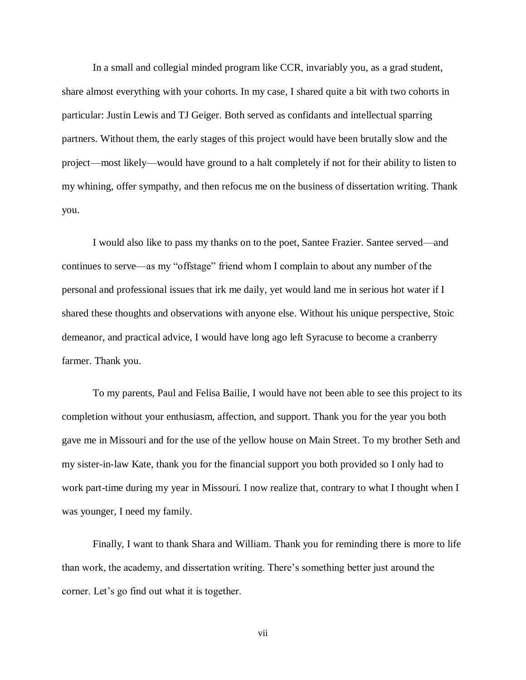In a small and collegial minded program like CCR, invariably you, as a grad student, share almost everything with your cohorts. In my case, I shared quite a bit with two cohorts in particular: Justin Lewis and TJ Geiger. Both served as confidants and intellectual sparring partners. Without them, the early stages of this project would have been brutally slow and the project—most likely—would have ground to a halt completely if not for their ability to listen to my whining, offer sympathy, and then refocus me on the business of dissertation writing. Thank you.

I would also like to pass my thanks on to the poet, Santee Frazier. Santee served—and continues to serve—as my "offstage" friend whom I complain to about any number of the personal and professional issues that irk me daily, yet would land me in serious hot water if I shared these thoughts and observations with anyone else. Without his unique perspective, Stoic demeanor, and practical advice, I would have long ago left Syracuse to become a cranberry farmer. Thank you.

To my parents, Paul and Felisa Bailie, I would have not been able to see this project to its completion without your enthusiasm, affection, and support. Thank you for the year you both gave me in Missouri and for the use of the yellow house on Main Street. To my brother Seth and my sister-in-law Kate, thank you for the financial support you both provided so I only had to work part-time during my year in Missouri. I now realize that, contrary to what I thought when I was younger, I need my family.

Finally, I want to thank Shara and William. Thank you for reminding there is more to life than work, the academy, and dissertation writing. There's something better just around the corner. Let's go find out what it is together.

vii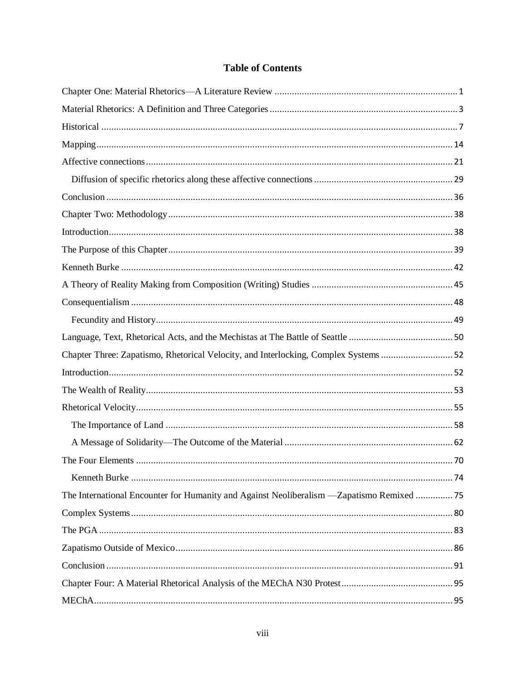# **Table of Contents**

| Chapter Three: Zapatismo, Rhetorical Velocity, and Interlocking, Complex Systems52        |  |
|-------------------------------------------------------------------------------------------|--|
|                                                                                           |  |
|                                                                                           |  |
|                                                                                           |  |
|                                                                                           |  |
|                                                                                           |  |
|                                                                                           |  |
|                                                                                           |  |
| The International Encounter for Humanity and Against Neoliberalism -Zapatismo Remixed  75 |  |
|                                                                                           |  |
|                                                                                           |  |
|                                                                                           |  |
|                                                                                           |  |
|                                                                                           |  |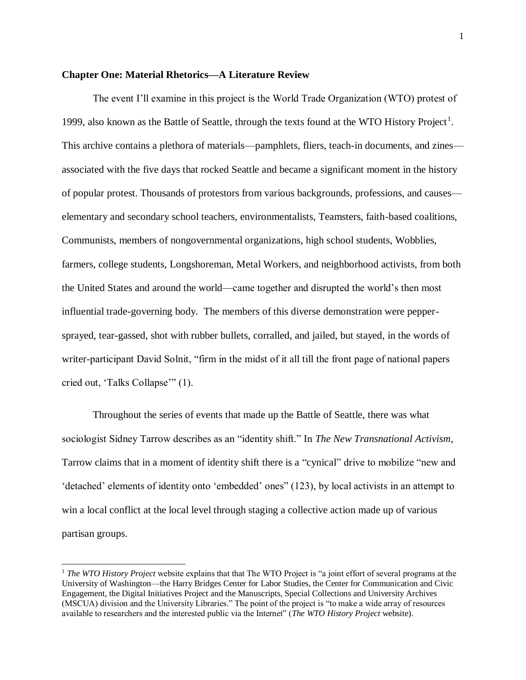#### <span id="page-10-0"></span>**Chapter One: Material Rhetorics—A Literature Review**

The event I'll examine in this project is the World Trade Organization (WTO) protest of 1999, also known as the Battle of Seattle, through the texts found at the WTO History Project<sup>1</sup>. This archive contains a plethora of materials—pamphlets, fliers, teach-in documents, and zines associated with the five days that rocked Seattle and became a significant moment in the history of popular protest. Thousands of protestors from various backgrounds, professions, and causes elementary and secondary school teachers, environmentalists, Teamsters, faith-based coalitions, Communists, members of nongovernmental organizations, high school students, Wobblies, farmers, college students, Longshoreman, Metal Workers, and neighborhood activists, from both the United States and around the world—came together and disrupted the world's then most influential trade-governing body. The members of this diverse demonstration were peppersprayed, tear-gassed, shot with rubber bullets, corralled, and jailed, but stayed, in the words of writer-participant David Solnit, "firm in the midst of it all till the front page of national papers cried out, 'Talks Collapse'" (1).

Throughout the series of events that made up the Battle of Seattle, there was what sociologist Sidney Tarrow describes as an "identity shift." In *The New Transnational Activism*, Tarrow claims that in a moment of identity shift there is a "cynical" drive to mobilize "new and 'detached' elements of identity onto 'embedded' ones" (123), by local activists in an attempt to win a local conflict at the local level through staging a collective action made up of various partisan groups.

 $\overline{\phantom{a}}$ 

<sup>&</sup>lt;sup>1</sup> *The WTO History Project* website explains that that The WTO Project is "a joint effort of several programs at the University of Washington—the Harry Bridges Center for Labor Studies, the Center for Communication and Civic Engagement, the Digital Initiatives Project and the Manuscripts, Special Collections and University Archives (MSCUA) division and the University Libraries." The point of the project is "to make a wide array of resources available to researchers and the interested public via the Internet" (*The WTO History Project* website).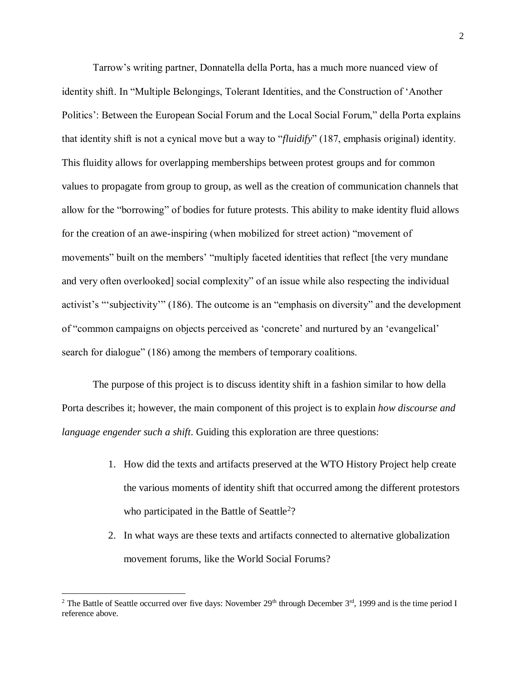Tarrow's writing partner, Donnatella della Porta, has a much more nuanced view of identity shift. In "Multiple Belongings, Tolerant Identities, and the Construction of 'Another Politics': Between the European Social Forum and the Local Social Forum," della Porta explains that identity shift is not a cynical move but a way to "*fluidify*" (187, emphasis original) identity. This fluidity allows for overlapping memberships between protest groups and for common values to propagate from group to group, as well as the creation of communication channels that allow for the "borrowing" of bodies for future protests. This ability to make identity fluid allows for the creation of an awe-inspiring (when mobilized for street action) "movement of movements" built on the members' "multiply faceted identities that reflect [the very mundane and very often overlooked] social complexity" of an issue while also respecting the individual activist's "'subjectivity'" (186). The outcome is an "emphasis on diversity" and the development of "common campaigns on objects perceived as 'concrete' and nurtured by an 'evangelical' search for dialogue" (186) among the members of temporary coalitions.

The purpose of this project is to discuss identity shift in a fashion similar to how della Porta describes it; however, the main component of this project is to explain *how discourse and language engender such a shift*. Guiding this exploration are three questions:

- 1. How did the texts and artifacts preserved at the WTO History Project help create the various moments of identity shift that occurred among the different protestors who participated in the Battle of Seattle<sup>2</sup>?
- 2. In what ways are these texts and artifacts connected to alternative globalization movement forums, like the World Social Forums?

 $\overline{a}$ 

<sup>&</sup>lt;sup>2</sup> The Battle of Seattle occurred over five days: November  $29<sup>th</sup>$  through December  $3<sup>rd</sup>$ , 1999 and is the time period I reference above.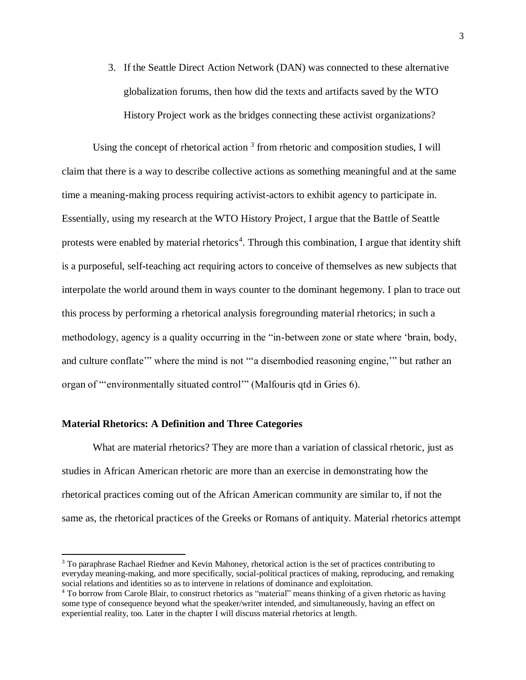3. If the Seattle Direct Action Network (DAN) was connected to these alternative globalization forums, then how did the texts and artifacts saved by the WTO History Project work as the bridges connecting these activist organizations?

Using the concept of rhetorical action  $3$  from rhetoric and composition studies, I will claim that there is a way to describe collective actions as something meaningful and at the same time a meaning-making process requiring activist-actors to exhibit agency to participate in. Essentially, using my research at the WTO History Project, I argue that the Battle of Seattle protests were enabled by material rhetorics<sup>4</sup>. Through this combination, I argue that identity shift is a purposeful, self-teaching act requiring actors to conceive of themselves as new subjects that interpolate the world around them in ways counter to the dominant hegemony. I plan to trace out this process by performing a rhetorical analysis foregrounding material rhetorics; in such a methodology, agency is a quality occurring in the "in-between zone or state where 'brain, body, and culture conflate'" where the mind is not "'a disembodied reasoning engine,'" but rather an organ of "'environmentally situated control'" (Malfouris qtd in Gries 6).

#### <span id="page-12-0"></span>**Material Rhetorics: A Definition and Three Categories**

 $\overline{\phantom{a}}$ 

What are material rhetorics? They are more than a variation of classical rhetoric, just as studies in African American rhetoric are more than an exercise in demonstrating how the rhetorical practices coming out of the African American community are similar to, if not the same as, the rhetorical practices of the Greeks or Romans of antiquity. Material rhetorics attempt

<sup>&</sup>lt;sup>3</sup> To paraphrase Rachael Riedner and Kevin Mahoney, rhetorical action is the set of practices contributing to everyday meaning-making, and more specifically, social-political practices of making, reproducing, and remaking social relations and identities so as to intervene in relations of dominance and exploitation.

<sup>4</sup> To borrow from Carole Blair, to construct rhetorics as "material" means thinking of a given rhetoric as having some type of consequence beyond what the speaker/writer intended, and simultaneously, having an effect on experiential reality, too. Later in the chapter I will discuss material rhetorics at length.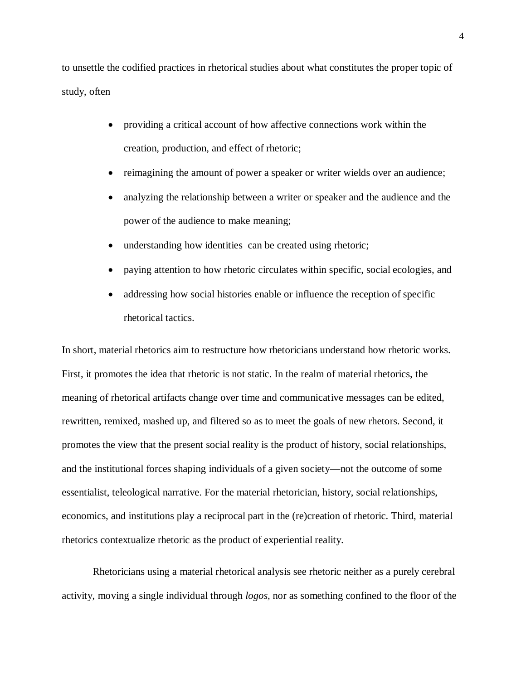to unsettle the codified practices in rhetorical studies about what constitutes the proper topic of study, often

- providing a critical account of how affective connections work within the creation, production, and effect of rhetoric;
- reimagining the amount of power a speaker or writer wields over an audience;
- analyzing the relationship between a writer or speaker and the audience and the power of the audience to make meaning;
- understanding how identities can be created using rhetoric;
- paying attention to how rhetoric circulates within specific, social ecologies, and
- addressing how social histories enable or influence the reception of specific rhetorical tactics.

In short, material rhetorics aim to restructure how rhetoricians understand how rhetoric works. First, it promotes the idea that rhetoric is not static. In the realm of material rhetorics, the meaning of rhetorical artifacts change over time and communicative messages can be edited, rewritten, remixed, mashed up, and filtered so as to meet the goals of new rhetors. Second, it promotes the view that the present social reality is the product of history, social relationships, and the institutional forces shaping individuals of a given society—not the outcome of some essentialist, teleological narrative. For the material rhetorician, history, social relationships, economics, and institutions play a reciprocal part in the (re)creation of rhetoric. Third, material rhetorics contextualize rhetoric as the product of experiential reality.

Rhetoricians using a material rhetorical analysis see rhetoric neither as a purely cerebral activity, moving a single individual through *logos,* nor as something confined to the floor of the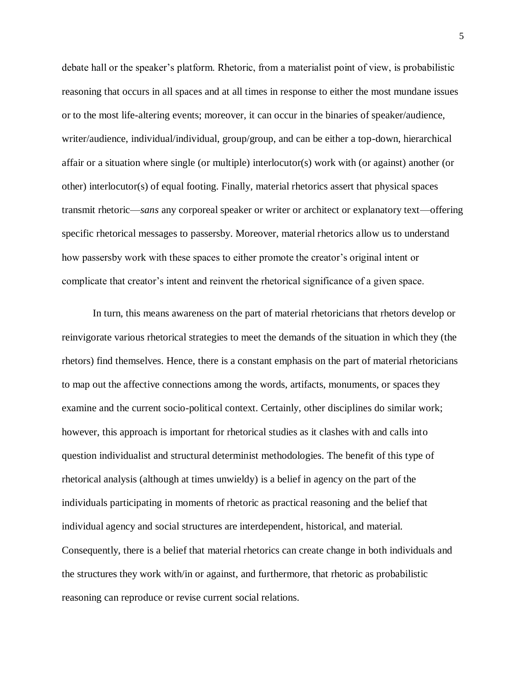debate hall or the speaker's platform. Rhetoric, from a materialist point of view, is probabilistic reasoning that occurs in all spaces and at all times in response to either the most mundane issues or to the most life-altering events; moreover, it can occur in the binaries of speaker/audience, writer/audience, individual/individual, group/group, and can be either a top-down, hierarchical affair or a situation where single (or multiple) interlocutor(s) work with (or against) another (or other) interlocutor(s) of equal footing. Finally, material rhetorics assert that physical spaces transmit rhetoric—*sans* any corporeal speaker or writer or architect or explanatory text—offering specific rhetorical messages to passersby. Moreover, material rhetorics allow us to understand how passersby work with these spaces to either promote the creator's original intent or complicate that creator's intent and reinvent the rhetorical significance of a given space.

In turn, this means awareness on the part of material rhetoricians that rhetors develop or reinvigorate various rhetorical strategies to meet the demands of the situation in which they (the rhetors) find themselves. Hence, there is a constant emphasis on the part of material rhetoricians to map out the affective connections among the words, artifacts, monuments, or spaces they examine and the current socio-political context. Certainly, other disciplines do similar work; however, this approach is important for rhetorical studies as it clashes with and calls into question individualist and structural determinist methodologies. The benefit of this type of rhetorical analysis (although at times unwieldy) is a belief in agency on the part of the individuals participating in moments of rhetoric as practical reasoning and the belief that individual agency and social structures are interdependent, historical, and material. Consequently, there is a belief that material rhetorics can create change in both individuals and the structures they work with/in or against, and furthermore, that rhetoric as probabilistic reasoning can reproduce or revise current social relations.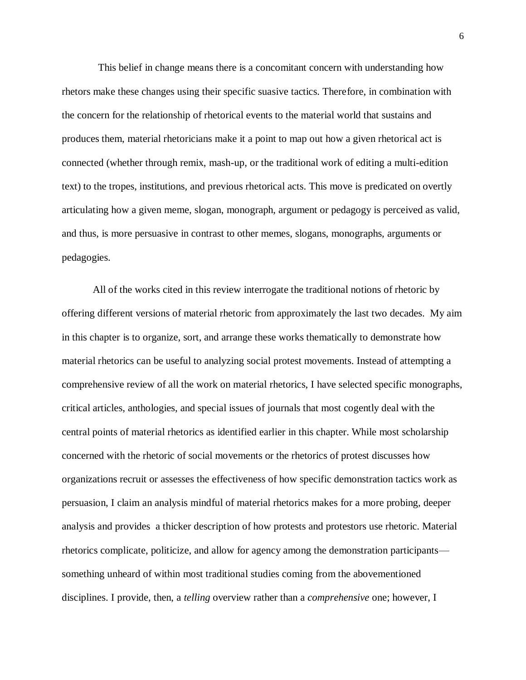This belief in change means there is a concomitant concern with understanding how rhetors make these changes using their specific suasive tactics. Therefore, in combination with the concern for the relationship of rhetorical events to the material world that sustains and produces them, material rhetoricians make it a point to map out how a given rhetorical act is connected (whether through remix, mash-up, or the traditional work of editing a multi-edition text) to the tropes, institutions, and previous rhetorical acts. This move is predicated on overtly articulating how a given meme, slogan, monograph, argument or pedagogy is perceived as valid, and thus, is more persuasive in contrast to other memes, slogans, monographs, arguments or pedagogies.

All of the works cited in this review interrogate the traditional notions of rhetoric by offering different versions of material rhetoric from approximately the last two decades. My aim in this chapter is to organize, sort, and arrange these works thematically to demonstrate how material rhetorics can be useful to analyzing social protest movements. Instead of attempting a comprehensive review of all the work on material rhetorics, I have selected specific monographs, critical articles, anthologies, and special issues of journals that most cogently deal with the central points of material rhetorics as identified earlier in this chapter. While most scholarship concerned with the rhetoric of social movements or the rhetorics of protest discusses how organizations recruit or assesses the effectiveness of how specific demonstration tactics work as persuasion, I claim an analysis mindful of material rhetorics makes for a more probing, deeper analysis and provides a thicker description of how protests and protestors use rhetoric. Material rhetorics complicate, politicize, and allow for agency among the demonstration participants something unheard of within most traditional studies coming from the abovementioned disciplines. I provide, then, a *telling* overview rather than a *comprehensive* one; however, I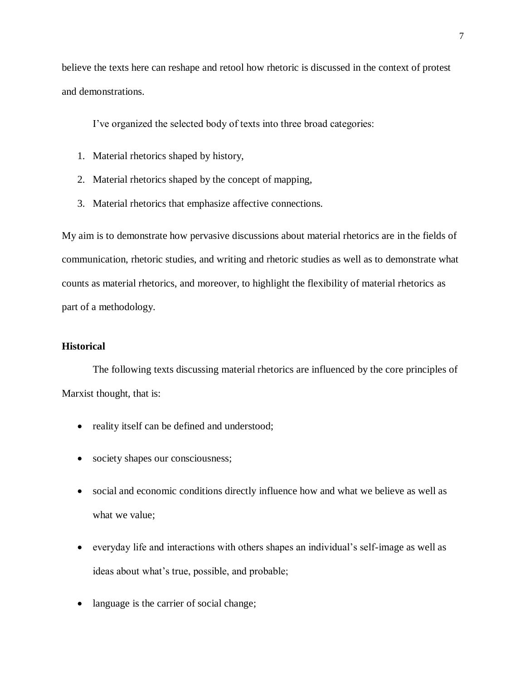believe the texts here can reshape and retool how rhetoric is discussed in the context of protest and demonstrations.

I've organized the selected body of texts into three broad categories:

- 1. Material rhetorics shaped by history,
- 2. Material rhetorics shaped by the concept of mapping,
- 3. Material rhetorics that emphasize affective connections.

My aim is to demonstrate how pervasive discussions about material rhetorics are in the fields of communication, rhetoric studies, and writing and rhetoric studies as well as to demonstrate what counts as material rhetorics, and moreover, to highlight the flexibility of material rhetorics as part of a methodology.

## <span id="page-16-0"></span>**Historical**

The following texts discussing material rhetorics are influenced by the core principles of Marxist thought, that is:

- reality itself can be defined and understood;
- society shapes our consciousness;
- social and economic conditions directly influence how and what we believe as well as what we value;
- everyday life and interactions with others shapes an individual's self-image as well as ideas about what's true, possible, and probable;
- language is the carrier of social change;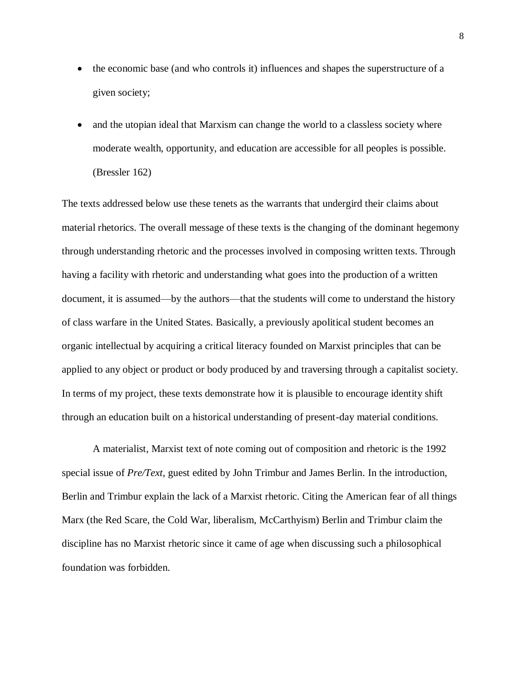- the economic base (and who controls it) influences and shapes the superstructure of a given society;
- and the utopian ideal that Marxism can change the world to a classless society where moderate wealth, opportunity, and education are accessible for all peoples is possible. (Bressler 162)

The texts addressed below use these tenets as the warrants that undergird their claims about material rhetorics. The overall message of these texts is the changing of the dominant hegemony through understanding rhetoric and the processes involved in composing written texts. Through having a facility with rhetoric and understanding what goes into the production of a written document, it is assumed—by the authors—that the students will come to understand the history of class warfare in the United States. Basically, a previously apolitical student becomes an organic intellectual by acquiring a critical literacy founded on Marxist principles that can be applied to any object or product or body produced by and traversing through a capitalist society. In terms of my project, these texts demonstrate how it is plausible to encourage identity shift through an education built on a historical understanding of present-day material conditions.

A materialist, Marxist text of note coming out of composition and rhetoric is the 1992 special issue of *Pre/Text*, guest edited by John Trimbur and James Berlin. In the introduction, Berlin and Trimbur explain the lack of a Marxist rhetoric. Citing the American fear of all things Marx (the Red Scare, the Cold War, liberalism, McCarthyism) Berlin and Trimbur claim the discipline has no Marxist rhetoric since it came of age when discussing such a philosophical foundation was forbidden.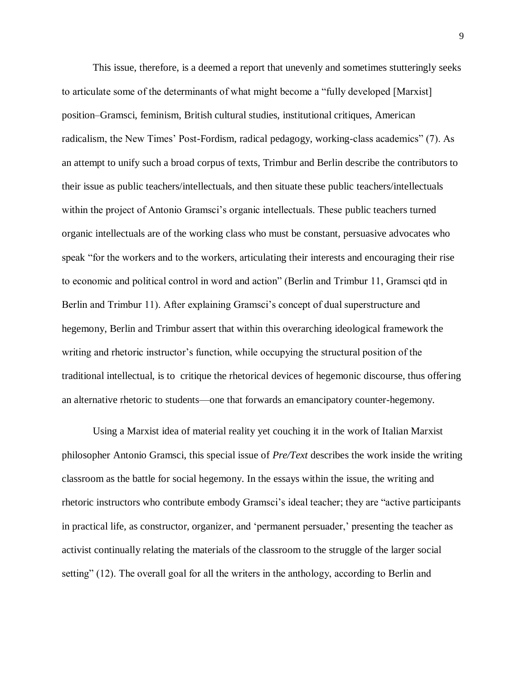This issue, therefore, is a deemed a report that unevenly and sometimes stutteringly seeks to articulate some of the determinants of what might become a "fully developed [Marxist] position–Gramsci, feminism, British cultural studies, institutional critiques, American radicalism, the New Times' Post-Fordism, radical pedagogy, working-class academics" (7). As an attempt to unify such a broad corpus of texts, Trimbur and Berlin describe the contributors to their issue as public teachers/intellectuals, and then situate these public teachers/intellectuals within the project of Antonio Gramsci's organic intellectuals. These public teachers turned organic intellectuals are of the working class who must be constant, persuasive advocates who speak "for the workers and to the workers, articulating their interests and encouraging their rise to economic and political control in word and action" (Berlin and Trimbur 11, Gramsci qtd in Berlin and Trimbur 11). After explaining Gramsci's concept of dual superstructure and hegemony, Berlin and Trimbur assert that within this overarching ideological framework the writing and rhetoric instructor's function, while occupying the structural position of the traditional intellectual, is to critique the rhetorical devices of hegemonic discourse, thus offering an alternative rhetoric to students—one that forwards an emancipatory counter-hegemony.

Using a Marxist idea of material reality yet couching it in the work of Italian Marxist philosopher Antonio Gramsci, this special issue of *Pre/Text* describes the work inside the writing classroom as the battle for social hegemony. In the essays within the issue, the writing and rhetoric instructors who contribute embody Gramsci's ideal teacher; they are "active participants in practical life, as constructor, organizer, and 'permanent persuader,' presenting the teacher as activist continually relating the materials of the classroom to the struggle of the larger social setting" (12). The overall goal for all the writers in the anthology, according to Berlin and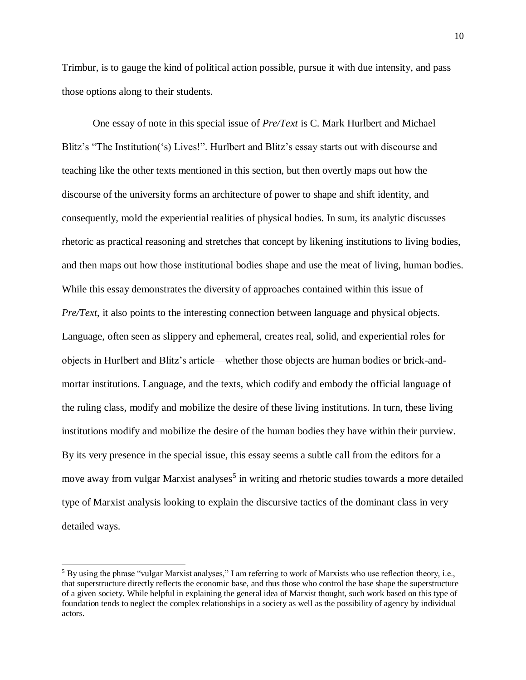Trimbur, is to gauge the kind of political action possible, pursue it with due intensity, and pass those options along to their students.

One essay of note in this special issue of *Pre/Text* is C. Mark Hurlbert and Michael Blitz's "The Institution('s) Lives!". Hurlbert and Blitz's essay starts out with discourse and teaching like the other texts mentioned in this section, but then overtly maps out how the discourse of the university forms an architecture of power to shape and shift identity, and consequently, mold the experiential realities of physical bodies. In sum, its analytic discusses rhetoric as practical reasoning and stretches that concept by likening institutions to living bodies, and then maps out how those institutional bodies shape and use the meat of living, human bodies. While this essay demonstrates the diversity of approaches contained within this issue of *Pre/Text*, it also points to the interesting connection between language and physical objects. Language, often seen as slippery and ephemeral, creates real, solid, and experiential roles for objects in Hurlbert and Blitz's article—whether those objects are human bodies or brick-andmortar institutions. Language, and the texts, which codify and embody the official language of the ruling class, modify and mobilize the desire of these living institutions. In turn, these living institutions modify and mobilize the desire of the human bodies they have within their purview. By its very presence in the special issue, this essay seems a subtle call from the editors for a move away from vulgar Marxist analyses<sup>5</sup> in writing and rhetoric studies towards a more detailed type of Marxist analysis looking to explain the discursive tactics of the dominant class in very detailed ways.

 $\overline{\phantom{a}}$ 

<sup>5</sup> By using the phrase "vulgar Marxist analyses," I am referring to work of Marxists who use reflection theory, i.e., that superstructure directly reflects the economic base, and thus those who control the base shape the superstructure of a given society. While helpful in explaining the general idea of Marxist thought, such work based on this type of foundation tends to neglect the complex relationships in a society as well as the possibility of agency by individual actors.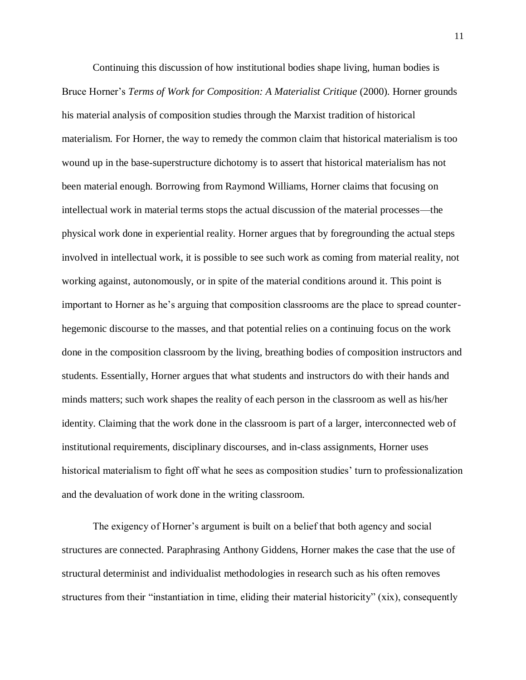Continuing this discussion of how institutional bodies shape living, human bodies is Bruce Horner's *Terms of Work for Composition: A Materialist Critique* (2000). Horner grounds his material analysis of composition studies through the Marxist tradition of historical materialism. For Horner, the way to remedy the common claim that historical materialism is too wound up in the base-superstructure dichotomy is to assert that historical materialism has not been material enough. Borrowing from Raymond Williams, Horner claims that focusing on intellectual work in material terms stops the actual discussion of the material processes—the physical work done in experiential reality. Horner argues that by foregrounding the actual steps involved in intellectual work, it is possible to see such work as coming from material reality, not working against, autonomously, or in spite of the material conditions around it. This point is important to Horner as he's arguing that composition classrooms are the place to spread counterhegemonic discourse to the masses, and that potential relies on a continuing focus on the work done in the composition classroom by the living, breathing bodies of composition instructors and students. Essentially, Horner argues that what students and instructors do with their hands and minds matters; such work shapes the reality of each person in the classroom as well as his/her identity. Claiming that the work done in the classroom is part of a larger, interconnected web of institutional requirements, disciplinary discourses, and in-class assignments, Horner uses historical materialism to fight off what he sees as composition studies' turn to professionalization and the devaluation of work done in the writing classroom.

The exigency of Horner's argument is built on a belief that both agency and social structures are connected. Paraphrasing Anthony Giddens, Horner makes the case that the use of structural determinist and individualist methodologies in research such as his often removes structures from their "instantiation in time, eliding their material historicity" (xix), consequently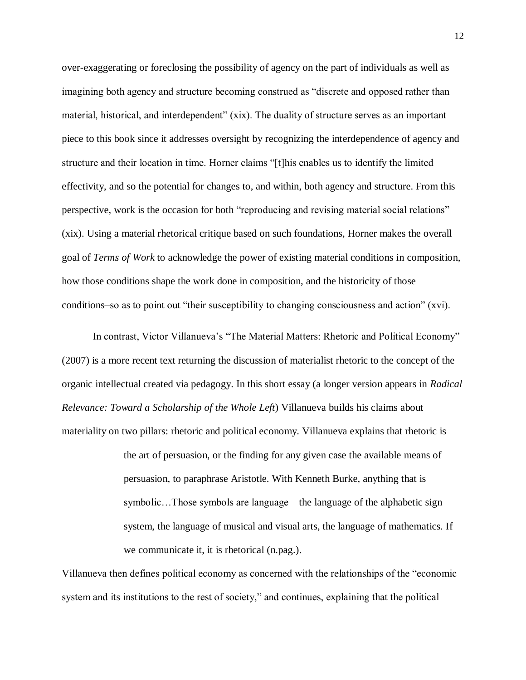over-exaggerating or foreclosing the possibility of agency on the part of individuals as well as imagining both agency and structure becoming construed as "discrete and opposed rather than material, historical, and interdependent" (xix). The duality of structure serves as an important piece to this book since it addresses oversight by recognizing the interdependence of agency and structure and their location in time. Horner claims "[t]his enables us to identify the limited effectivity, and so the potential for changes to, and within, both agency and structure. From this perspective, work is the occasion for both "reproducing and revising material social relations" (xix). Using a material rhetorical critique based on such foundations, Horner makes the overall goal of *Terms of Work* to acknowledge the power of existing material conditions in composition, how those conditions shape the work done in composition, and the historicity of those conditions–so as to point out "their susceptibility to changing consciousness and action" (xvi).

In contrast, Victor Villanueva's "The Material Matters: Rhetoric and Political Economy" (2007) is a more recent text returning the discussion of materialist rhetoric to the concept of the organic intellectual created via pedagogy. In this short essay (a longer version appears in *Radical Relevance: Toward a Scholarship of the Whole Left*) Villanueva builds his claims about materiality on two pillars: rhetoric and political economy. Villanueva explains that rhetoric is

> the art of persuasion, or the finding for any given case the available means of persuasion, to paraphrase Aristotle. With Kenneth Burke, anything that is symbolic…Those symbols are language—the language of the alphabetic sign system, the language of musical and visual arts, the language of mathematics. If we communicate it, it is rhetorical (n.pag.).

Villanueva then defines political economy as concerned with the relationships of the "economic system and its institutions to the rest of society," and continues, explaining that the political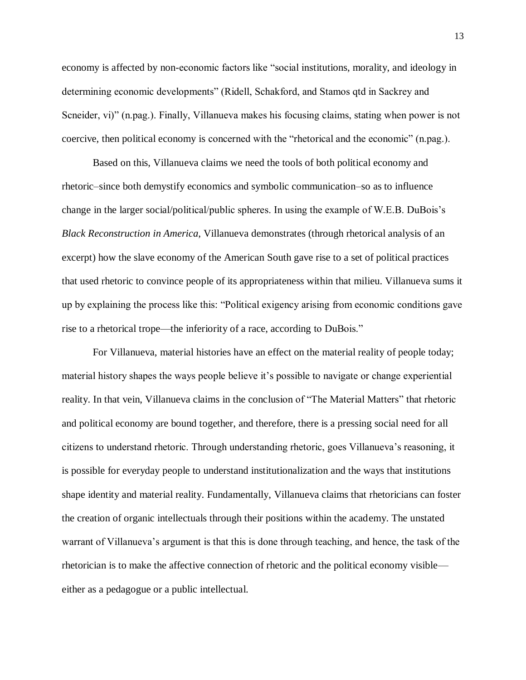economy is affected by non-economic factors like "social institutions, morality, and ideology in determining economic developments" (Ridell, Schakford, and Stamos qtd in Sackrey and Scneider, vi)" (n.pag.). Finally, Villanueva makes his focusing claims, stating when power is not coercive, then political economy is concerned with the "rhetorical and the economic" (n.pag.).

Based on this, Villanueva claims we need the tools of both political economy and rhetoric–since both demystify economics and symbolic communication–so as to influence change in the larger social/political/public spheres. In using the example of W.E.B. DuBois's *Black Reconstruction in America*, Villanueva demonstrates (through rhetorical analysis of an excerpt) how the slave economy of the American South gave rise to a set of political practices that used rhetoric to convince people of its appropriateness within that milieu. Villanueva sums it up by explaining the process like this: "Political exigency arising from economic conditions gave rise to a rhetorical trope—the inferiority of a race, according to DuBois."

For Villanueva, material histories have an effect on the material reality of people today; material history shapes the ways people believe it's possible to navigate or change experiential reality. In that vein, Villanueva claims in the conclusion of "The Material Matters" that rhetoric and political economy are bound together, and therefore, there is a pressing social need for all citizens to understand rhetoric. Through understanding rhetoric, goes Villanueva's reasoning, it is possible for everyday people to understand institutionalization and the ways that institutions shape identity and material reality. Fundamentally, Villanueva claims that rhetoricians can foster the creation of organic intellectuals through their positions within the academy. The unstated warrant of Villanueva's argument is that this is done through teaching, and hence, the task of the rhetorician is to make the affective connection of rhetoric and the political economy visible either as a pedagogue or a public intellectual.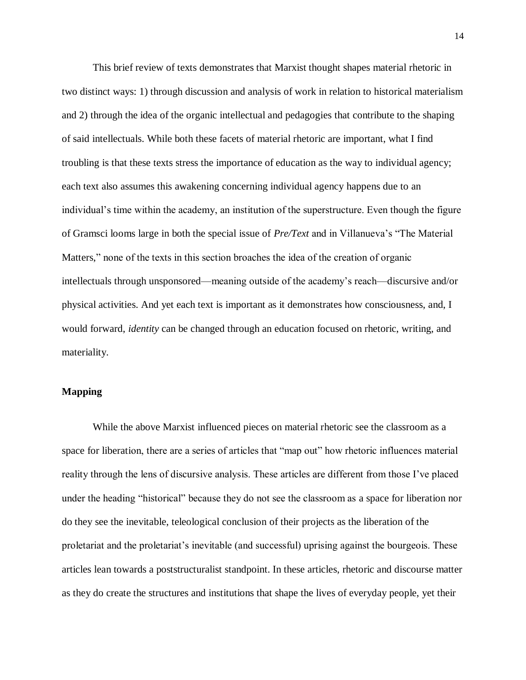This brief review of texts demonstrates that Marxist thought shapes material rhetoric in two distinct ways: 1) through discussion and analysis of work in relation to historical materialism and 2) through the idea of the organic intellectual and pedagogies that contribute to the shaping of said intellectuals. While both these facets of material rhetoric are important, what I find troubling is that these texts stress the importance of education as the way to individual agency; each text also assumes this awakening concerning individual agency happens due to an individual's time within the academy, an institution of the superstructure. Even though the figure of Gramsci looms large in both the special issue of *Pre/Text* and in Villanueva's "The Material Matters," none of the texts in this section broaches the idea of the creation of organic intellectuals through unsponsored—meaning outside of the academy's reach—discursive and/or physical activities. And yet each text is important as it demonstrates how consciousness, and, I would forward, *identity* can be changed through an education focused on rhetoric, writing, and materiality.

### <span id="page-23-0"></span>**Mapping**

While the above Marxist influenced pieces on material rhetoric see the classroom as a space for liberation, there are a series of articles that "map out" how rhetoric influences material reality through the lens of discursive analysis. These articles are different from those I've placed under the heading "historical" because they do not see the classroom as a space for liberation nor do they see the inevitable, teleological conclusion of their projects as the liberation of the proletariat and the proletariat's inevitable (and successful) uprising against the bourgeois. These articles lean towards a poststructuralist standpoint. In these articles, rhetoric and discourse matter as they do create the structures and institutions that shape the lives of everyday people, yet their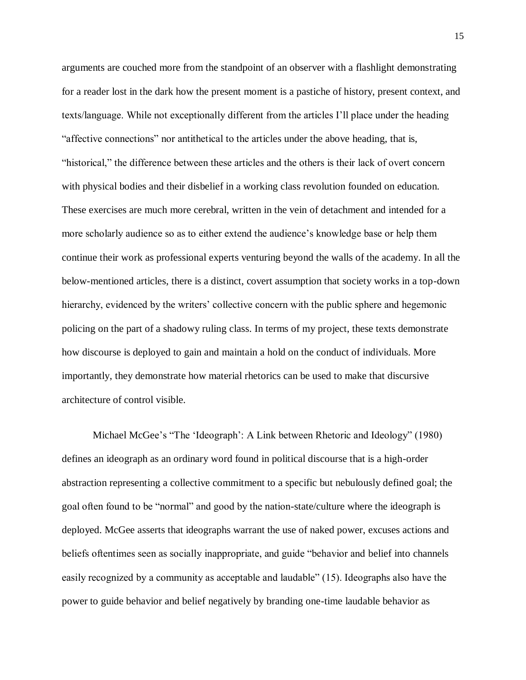arguments are couched more from the standpoint of an observer with a flashlight demonstrating for a reader lost in the dark how the present moment is a pastiche of history, present context, and texts/language. While not exceptionally different from the articles I'll place under the heading "affective connections" nor antithetical to the articles under the above heading, that is, "historical," the difference between these articles and the others is their lack of overt concern with physical bodies and their disbelief in a working class revolution founded on education. These exercises are much more cerebral, written in the vein of detachment and intended for a more scholarly audience so as to either extend the audience's knowledge base or help them continue their work as professional experts venturing beyond the walls of the academy. In all the below-mentioned articles, there is a distinct, covert assumption that society works in a top-down hierarchy, evidenced by the writers' collective concern with the public sphere and hegemonic policing on the part of a shadowy ruling class. In terms of my project, these texts demonstrate how discourse is deployed to gain and maintain a hold on the conduct of individuals. More importantly, they demonstrate how material rhetorics can be used to make that discursive architecture of control visible.

Michael McGee's "The 'Ideograph': A Link between Rhetoric and Ideology" (1980) defines an ideograph as an ordinary word found in political discourse that is a high-order abstraction representing a collective commitment to a specific but nebulously defined goal; the goal often found to be "normal" and good by the nation-state/culture where the ideograph is deployed. McGee asserts that ideographs warrant the use of naked power, excuses actions and beliefs oftentimes seen as socially inappropriate, and guide "behavior and belief into channels easily recognized by a community as acceptable and laudable" (15). Ideographs also have the power to guide behavior and belief negatively by branding one-time laudable behavior as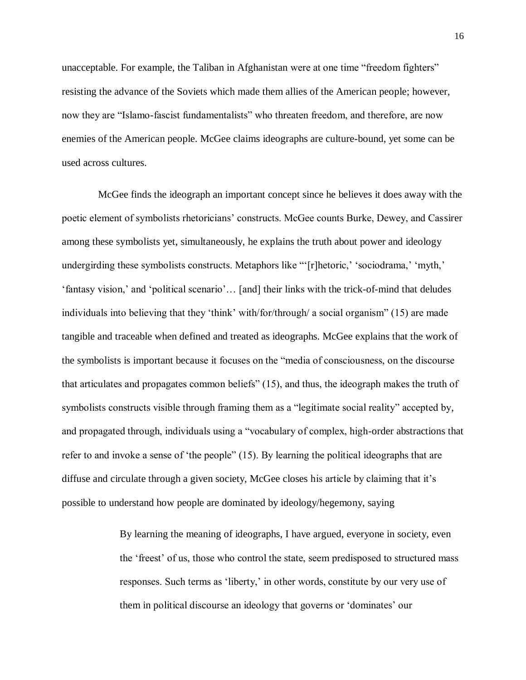unacceptable. For example, the Taliban in Afghanistan were at one time "freedom fighters" resisting the advance of the Soviets which made them allies of the American people; however, now they are "Islamo-fascist fundamentalists" who threaten freedom, and therefore, are now enemies of the American people. McGee claims ideographs are culture-bound, yet some can be used across cultures.

 McGee finds the ideograph an important concept since he believes it does away with the poetic element of symbolists rhetoricians' constructs. McGee counts Burke, Dewey, and Cassirer among these symbolists yet, simultaneously, he explains the truth about power and ideology undergirding these symbolists constructs. Metaphors like "'[r]hetoric,' 'sociodrama,' 'myth,' 'fantasy vision,' and 'political scenario'… [and] their links with the trick-of-mind that deludes individuals into believing that they 'think' with/for/through/ a social organism" (15) are made tangible and traceable when defined and treated as ideographs. McGee explains that the work of the symbolists is important because it focuses on the "media of consciousness, on the discourse that articulates and propagates common beliefs" (15), and thus, the ideograph makes the truth of symbolists constructs visible through framing them as a "legitimate social reality" accepted by, and propagated through, individuals using a "vocabulary of complex, high-order abstractions that refer to and invoke a sense of 'the people" (15). By learning the political ideographs that are diffuse and circulate through a given society, McGee closes his article by claiming that it's possible to understand how people are dominated by ideology/hegemony, saying

> By learning the meaning of ideographs, I have argued, everyone in society, even the 'freest' of us, those who control the state, seem predisposed to structured mass responses. Such terms as 'liberty,' in other words, constitute by our very use of them in political discourse an ideology that governs or 'dominates' our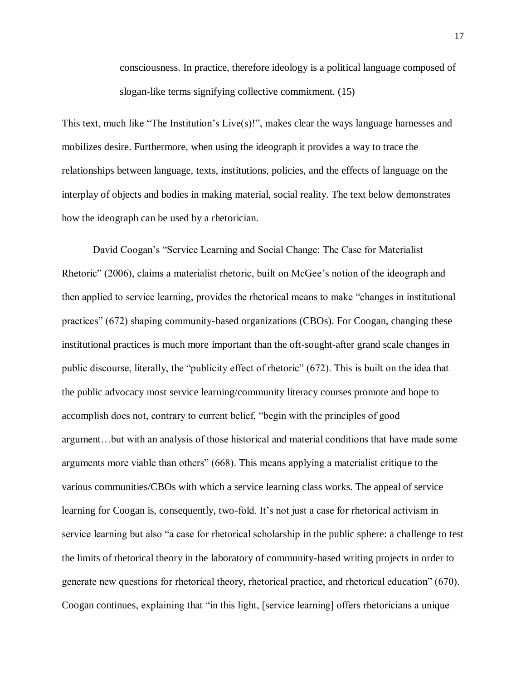consciousness. In practice, therefore ideology is a political language composed of slogan-like terms signifying collective commitment. (15)

This text, much like "The Institution's Live(s)!", makes clear the ways language harnesses and mobilizes desire. Furthermore, when using the ideograph it provides a way to trace the relationships between language, texts, institutions, policies, and the effects of language on the interplay of objects and bodies in making material, social reality. The text below demonstrates how the ideograph can be used by a rhetorician.

David Coogan's "Service Learning and Social Change: The Case for Materialist Rhetoric" (2006), claims a materialist rhetoric, built on McGee's notion of the ideograph and then applied to service learning, provides the rhetorical means to make "changes in institutional practices" (672) shaping community-based organizations (CBOs). For Coogan, changing these institutional practices is much more important than the oft-sought-after grand scale changes in public discourse, literally, the "publicity effect of rhetoric" (672). This is built on the idea that the public advocacy most service learning/community literacy courses promote and hope to accomplish does not, contrary to current belief, "begin with the principles of good argument…but with an analysis of those historical and material conditions that have made some arguments more viable than others" (668). This means applying a materialist critique to the various communities/CBOs with which a service learning class works. The appeal of service learning for Coogan is, consequently, two-fold. It's not just a case for rhetorical activism in service learning but also "a case for rhetorical scholarship in the public sphere: a challenge to test the limits of rhetorical theory in the laboratory of community-based writing projects in order to generate new questions for rhetorical theory, rhetorical practice, and rhetorical education" (670). Coogan continues, explaining that "in this light, [service learning] offers rhetoricians a unique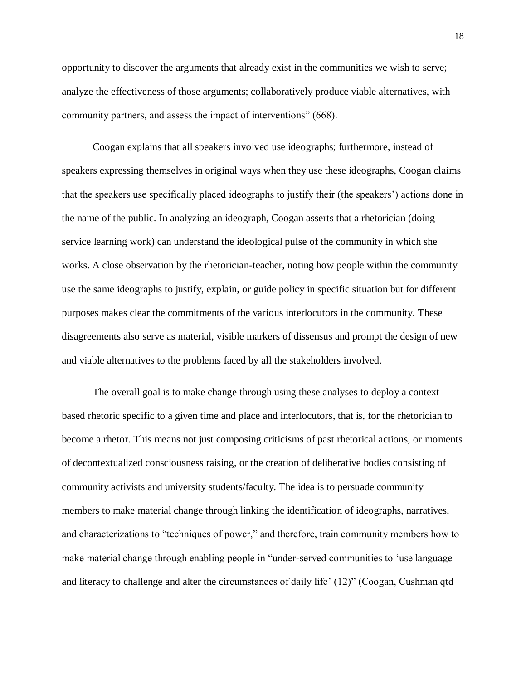opportunity to discover the arguments that already exist in the communities we wish to serve; analyze the effectiveness of those arguments; collaboratively produce viable alternatives, with community partners, and assess the impact of interventions" (668).

Coogan explains that all speakers involved use ideographs; furthermore, instead of speakers expressing themselves in original ways when they use these ideographs, Coogan claims that the speakers use specifically placed ideographs to justify their (the speakers') actions done in the name of the public. In analyzing an ideograph, Coogan asserts that a rhetorician (doing service learning work) can understand the ideological pulse of the community in which she works. A close observation by the rhetorician-teacher, noting how people within the community use the same ideographs to justify, explain, or guide policy in specific situation but for different purposes makes clear the commitments of the various interlocutors in the community. These disagreements also serve as material, visible markers of dissensus and prompt the design of new and viable alternatives to the problems faced by all the stakeholders involved.

The overall goal is to make change through using these analyses to deploy a context based rhetoric specific to a given time and place and interlocutors, that is, for the rhetorician to become a rhetor. This means not just composing criticisms of past rhetorical actions, or moments of decontextualized consciousness raising, or the creation of deliberative bodies consisting of community activists and university students/faculty. The idea is to persuade community members to make material change through linking the identification of ideographs, narratives, and characterizations to "techniques of power," and therefore, train community members how to make material change through enabling people in "under-served communities to 'use language and literacy to challenge and alter the circumstances of daily life' (12)" (Coogan, Cushman qtd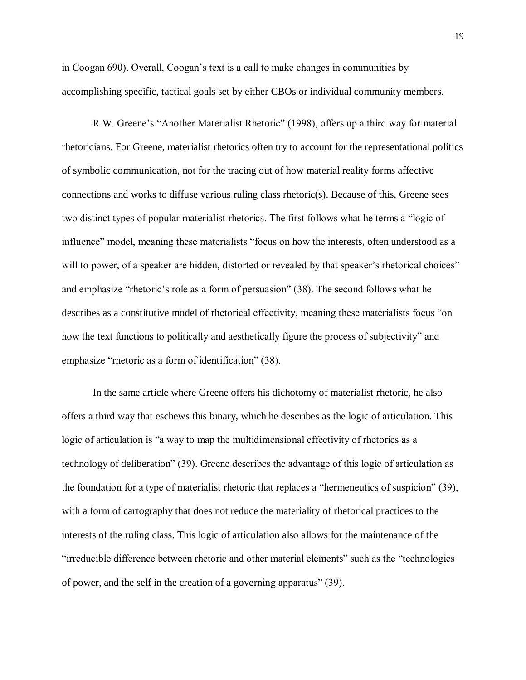in Coogan 690). Overall, Coogan's text is a call to make changes in communities by accomplishing specific, tactical goals set by either CBOs or individual community members.

R.W. Greene's "Another Materialist Rhetoric" (1998), offers up a third way for material rhetoricians. For Greene, materialist rhetorics often try to account for the representational politics of symbolic communication, not for the tracing out of how material reality forms affective connections and works to diffuse various ruling class rhetoric(s). Because of this, Greene sees two distinct types of popular materialist rhetorics. The first follows what he terms a "logic of influence" model, meaning these materialists "focus on how the interests, often understood as a will to power, of a speaker are hidden, distorted or revealed by that speaker's rhetorical choices" and emphasize "rhetoric's role as a form of persuasion" (38). The second follows what he describes as a constitutive model of rhetorical effectivity, meaning these materialists focus "on how the text functions to politically and aesthetically figure the process of subjectivity" and emphasize "rhetoric as a form of identification" (38).

In the same article where Greene offers his dichotomy of materialist rhetoric, he also offers a third way that eschews this binary, which he describes as the logic of articulation. This logic of articulation is "a way to map the multidimensional effectivity of rhetorics as a technology of deliberation" (39). Greene describes the advantage of this logic of articulation as the foundation for a type of materialist rhetoric that replaces a "hermeneutics of suspicion" (39), with a form of cartography that does not reduce the materiality of rhetorical practices to the interests of the ruling class. This logic of articulation also allows for the maintenance of the "irreducible difference between rhetoric and other material elements" such as the "technologies of power, and the self in the creation of a governing apparatus" (39).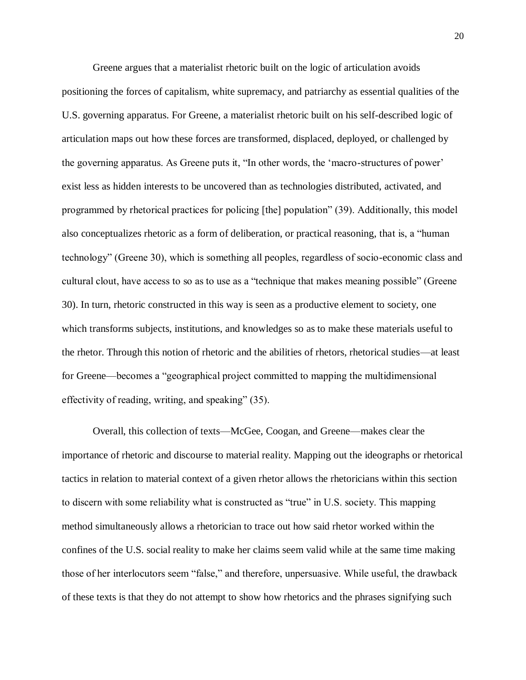Greene argues that a materialist rhetoric built on the logic of articulation avoids positioning the forces of capitalism, white supremacy, and patriarchy as essential qualities of the U.S. governing apparatus. For Greene, a materialist rhetoric built on his self-described logic of articulation maps out how these forces are transformed, displaced, deployed, or challenged by the governing apparatus. As Greene puts it, "In other words, the 'macro-structures of power' exist less as hidden interests to be uncovered than as technologies distributed, activated, and programmed by rhetorical practices for policing [the] population" (39). Additionally, this model also conceptualizes rhetoric as a form of deliberation, or practical reasoning, that is, a "human technology" (Greene 30), which is something all peoples, regardless of socio-economic class and cultural clout, have access to so as to use as a "technique that makes meaning possible" (Greene 30). In turn, rhetoric constructed in this way is seen as a productive element to society, one which transforms subjects, institutions, and knowledges so as to make these materials useful to the rhetor. Through this notion of rhetoric and the abilities of rhetors, rhetorical studies—at least for Greene—becomes a "geographical project committed to mapping the multidimensional effectivity of reading, writing, and speaking" (35).

Overall, this collection of texts—McGee, Coogan, and Greene—makes clear the importance of rhetoric and discourse to material reality. Mapping out the ideographs or rhetorical tactics in relation to material context of a given rhetor allows the rhetoricians within this section to discern with some reliability what is constructed as "true" in U.S. society. This mapping method simultaneously allows a rhetorician to trace out how said rhetor worked within the confines of the U.S. social reality to make her claims seem valid while at the same time making those of her interlocutors seem "false," and therefore, unpersuasive. While useful, the drawback of these texts is that they do not attempt to show how rhetorics and the phrases signifying such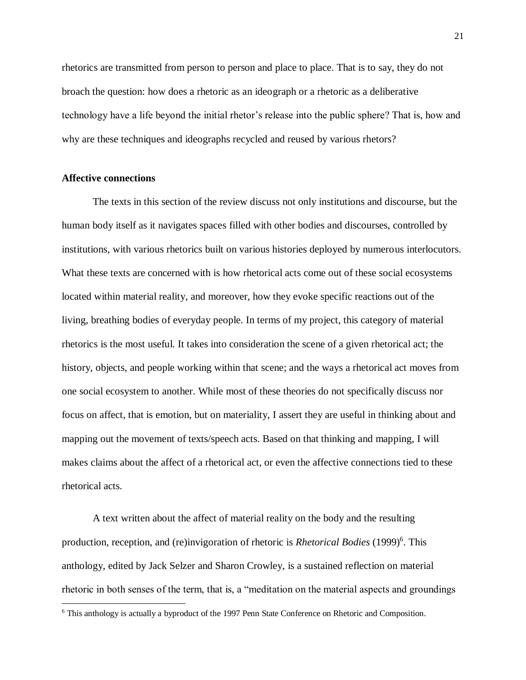rhetorics are transmitted from person to person and place to place. That is to say, they do not broach the question: how does a rhetoric as an ideograph or a rhetoric as a deliberative technology have a life beyond the initial rhetor's release into the public sphere? That is, how and why are these techniques and ideographs recycled and reused by various rhetors?

#### <span id="page-30-0"></span>**Affective connections**

The texts in this section of the review discuss not only institutions and discourse, but the human body itself as it navigates spaces filled with other bodies and discourses, controlled by institutions, with various rhetorics built on various histories deployed by numerous interlocutors. What these texts are concerned with is how rhetorical acts come out of these social ecosystems located within material reality, and moreover, how they evoke specific reactions out of the living, breathing bodies of everyday people. In terms of my project, this category of material rhetorics is the most useful. It takes into consideration the scene of a given rhetorical act; the history, objects, and people working within that scene; and the ways a rhetorical act moves from one social ecosystem to another. While most of these theories do not specifically discuss nor focus on affect, that is emotion, but on materiality, I assert they are useful in thinking about and mapping out the movement of texts/speech acts. Based on that thinking and mapping, I will makes claims about the affect of a rhetorical act, or even the affective connections tied to these rhetorical acts.

A text written about the affect of material reality on the body and the resulting production, reception, and (re)invigoration of rhetoric is *Rhetorical Bodies* (1999)<sup>6</sup>. This anthology, edited by Jack Selzer and Sharon Crowley, is a sustained reflection on material rhetoric in both senses of the term, that is, a "meditation on the material aspects and groundings  $\overline{\phantom{a}}$ 

<sup>6</sup> This anthology is actually a byproduct of the 1997 Penn State Conference on Rhetoric and Composition.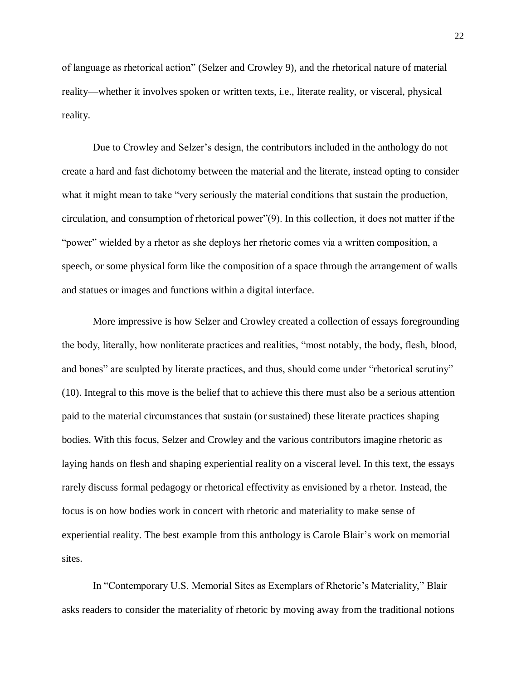of language as rhetorical action" (Selzer and Crowley 9), and the rhetorical nature of material reality—whether it involves spoken or written texts, i.e., literate reality, or visceral, physical reality.

Due to Crowley and Selzer's design, the contributors included in the anthology do not create a hard and fast dichotomy between the material and the literate, instead opting to consider what it might mean to take "very seriously the material conditions that sustain the production, circulation, and consumption of rhetorical power"(9). In this collection, it does not matter if the "power" wielded by a rhetor as she deploys her rhetoric comes via a written composition, a speech, or some physical form like the composition of a space through the arrangement of walls and statues or images and functions within a digital interface.

More impressive is how Selzer and Crowley created a collection of essays foregrounding the body, literally, how nonliterate practices and realities, "most notably, the body, flesh, blood, and bones" are sculpted by literate practices, and thus, should come under "rhetorical scrutiny" (10). Integral to this move is the belief that to achieve this there must also be a serious attention paid to the material circumstances that sustain (or sustained) these literate practices shaping bodies. With this focus, Selzer and Crowley and the various contributors imagine rhetoric as laying hands on flesh and shaping experiential reality on a visceral level. In this text, the essays rarely discuss formal pedagogy or rhetorical effectivity as envisioned by a rhetor. Instead, the focus is on how bodies work in concert with rhetoric and materiality to make sense of experiential reality. The best example from this anthology is Carole Blair's work on memorial sites.

In "Contemporary U.S. Memorial Sites as Exemplars of Rhetoric's Materiality," Blair asks readers to consider the materiality of rhetoric by moving away from the traditional notions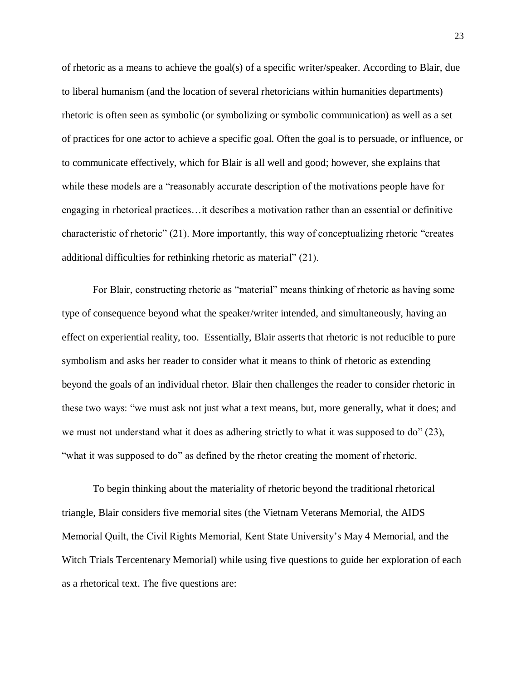of rhetoric as a means to achieve the goal(s) of a specific writer/speaker. According to Blair, due to liberal humanism (and the location of several rhetoricians within humanities departments) rhetoric is often seen as symbolic (or symbolizing or symbolic communication) as well as a set of practices for one actor to achieve a specific goal. Often the goal is to persuade, or influence, or to communicate effectively, which for Blair is all well and good; however, she explains that while these models are a "reasonably accurate description of the motivations people have for engaging in rhetorical practices…it describes a motivation rather than an essential or definitive characteristic of rhetoric" (21). More importantly, this way of conceptualizing rhetoric "creates additional difficulties for rethinking rhetoric as material" (21).

For Blair, constructing rhetoric as "material" means thinking of rhetoric as having some type of consequence beyond what the speaker/writer intended, and simultaneously, having an effect on experiential reality, too. Essentially, Blair asserts that rhetoric is not reducible to pure symbolism and asks her reader to consider what it means to think of rhetoric as extending beyond the goals of an individual rhetor. Blair then challenges the reader to consider rhetoric in these two ways: "we must ask not just what a text means, but, more generally, what it does; and we must not understand what it does as adhering strictly to what it was supposed to do" (23), "what it was supposed to do" as defined by the rhetor creating the moment of rhetoric.

To begin thinking about the materiality of rhetoric beyond the traditional rhetorical triangle, Blair considers five memorial sites (the Vietnam Veterans Memorial, the AIDS Memorial Quilt, the Civil Rights Memorial, Kent State University's May 4 Memorial, and the Witch Trials Tercentenary Memorial) while using five questions to guide her exploration of each as a rhetorical text. The five questions are: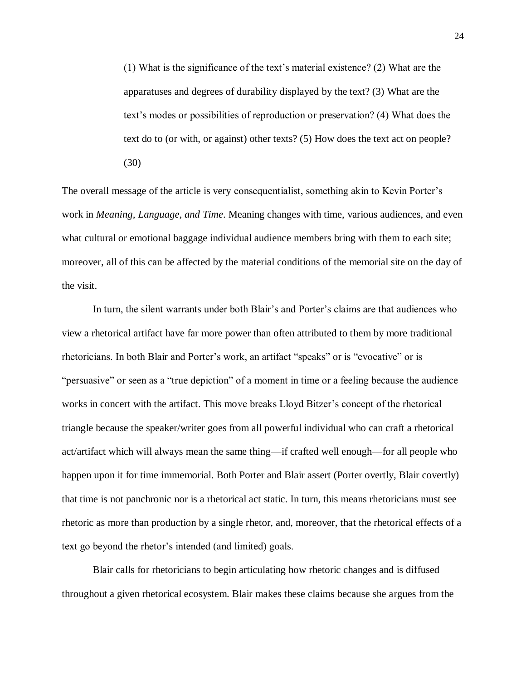(1) What is the significance of the text's material existence? (2) What are the apparatuses and degrees of durability displayed by the text? (3) What are the text's modes or possibilities of reproduction or preservation? (4) What does the text do to (or with, or against) other texts? (5) How does the text act on people? (30)

The overall message of the article is very consequentialist, something akin to Kevin Porter's work in *Meaning, Language, and Time*. Meaning changes with time, various audiences, and even what cultural or emotional baggage individual audience members bring with them to each site; moreover, all of this can be affected by the material conditions of the memorial site on the day of the visit.

In turn, the silent warrants under both Blair's and Porter's claims are that audiences who view a rhetorical artifact have far more power than often attributed to them by more traditional rhetoricians. In both Blair and Porter's work, an artifact "speaks" or is "evocative" or is "persuasive" or seen as a "true depiction" of a moment in time or a feeling because the audience works in concert with the artifact. This move breaks Lloyd Bitzer's concept of the rhetorical triangle because the speaker/writer goes from all powerful individual who can craft a rhetorical act/artifact which will always mean the same thing—if crafted well enough—for all people who happen upon it for time immemorial. Both Porter and Blair assert (Porter overtly, Blair covertly) that time is not panchronic nor is a rhetorical act static. In turn, this means rhetoricians must see rhetoric as more than production by a single rhetor, and, moreover, that the rhetorical effects of a text go beyond the rhetor's intended (and limited) goals.

Blair calls for rhetoricians to begin articulating how rhetoric changes and is diffused throughout a given rhetorical ecosystem. Blair makes these claims because she argues from the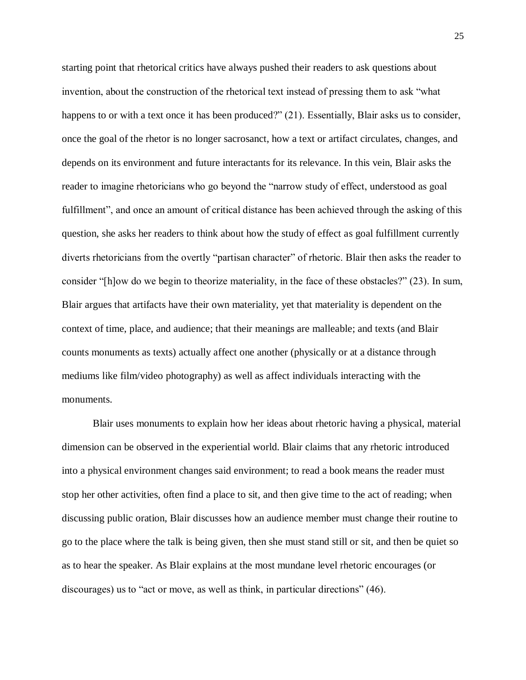starting point that rhetorical critics have always pushed their readers to ask questions about invention, about the construction of the rhetorical text instead of pressing them to ask "what happens to or with a text once it has been produced?" (21). Essentially, Blair asks us to consider, once the goal of the rhetor is no longer sacrosanct, how a text or artifact circulates, changes, and depends on its environment and future interactants for its relevance. In this vein, Blair asks the reader to imagine rhetoricians who go beyond the "narrow study of effect, understood as goal fulfillment", and once an amount of critical distance has been achieved through the asking of this question, she asks her readers to think about how the study of effect as goal fulfillment currently diverts rhetoricians from the overtly "partisan character" of rhetoric. Blair then asks the reader to consider "[h]ow do we begin to theorize materiality, in the face of these obstacles?" (23). In sum, Blair argues that artifacts have their own materiality, yet that materiality is dependent on the context of time, place, and audience; that their meanings are malleable; and texts (and Blair counts monuments as texts) actually affect one another (physically or at a distance through mediums like film/video photography) as well as affect individuals interacting with the monuments.

Blair uses monuments to explain how her ideas about rhetoric having a physical, material dimension can be observed in the experiential world. Blair claims that any rhetoric introduced into a physical environment changes said environment; to read a book means the reader must stop her other activities, often find a place to sit, and then give time to the act of reading; when discussing public oration, Blair discusses how an audience member must change their routine to go to the place where the talk is being given, then she must stand still or sit, and then be quiet so as to hear the speaker. As Blair explains at the most mundane level rhetoric encourages (or discourages) us to "act or move, as well as think, in particular directions" (46).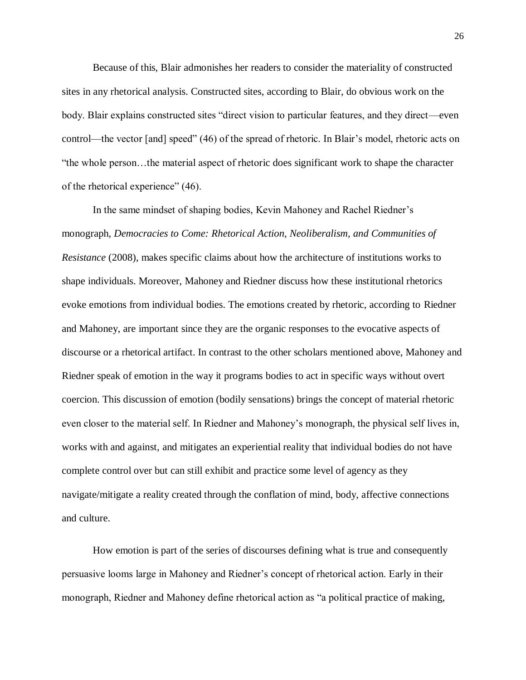Because of this, Blair admonishes her readers to consider the materiality of constructed sites in any rhetorical analysis. Constructed sites, according to Blair, do obvious work on the body. Blair explains constructed sites "direct vision to particular features, and they direct—even control—the vector [and] speed" (46) of the spread of rhetoric. In Blair's model, rhetoric acts on "the whole person…the material aspect of rhetoric does significant work to shape the character of the rhetorical experience" (46).

In the same mindset of shaping bodies, Kevin Mahoney and Rachel Riedner's monograph*, Democracies to Come: Rhetorical Action, Neoliberalism, and Communities of Resistance* (2008), makes specific claims about how the architecture of institutions works to shape individuals. Moreover, Mahoney and Riedner discuss how these institutional rhetorics evoke emotions from individual bodies. The emotions created by rhetoric, according to Riedner and Mahoney, are important since they are the organic responses to the evocative aspects of discourse or a rhetorical artifact. In contrast to the other scholars mentioned above, Mahoney and Riedner speak of emotion in the way it programs bodies to act in specific ways without overt coercion. This discussion of emotion (bodily sensations) brings the concept of material rhetoric even closer to the material self. In Riedner and Mahoney's monograph, the physical self lives in, works with and against, and mitigates an experiential reality that individual bodies do not have complete control over but can still exhibit and practice some level of agency as they navigate/mitigate a reality created through the conflation of mind, body, affective connections and culture.

How emotion is part of the series of discourses defining what is true and consequently persuasive looms large in Mahoney and Riedner's concept of rhetorical action. Early in their monograph, Riedner and Mahoney define rhetorical action as "a political practice of making,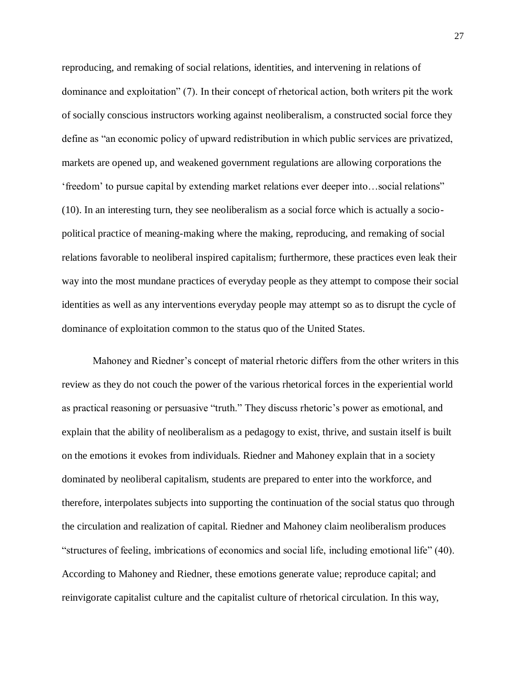reproducing, and remaking of social relations, identities, and intervening in relations of dominance and exploitation" (7). In their concept of rhetorical action, both writers pit the work of socially conscious instructors working against neoliberalism, a constructed social force they define as "an economic policy of upward redistribution in which public services are privatized, markets are opened up, and weakened government regulations are allowing corporations the 'freedom' to pursue capital by extending market relations ever deeper into…social relations" (10). In an interesting turn, they see neoliberalism as a social force which is actually a sociopolitical practice of meaning-making where the making, reproducing, and remaking of social relations favorable to neoliberal inspired capitalism; furthermore, these practices even leak their way into the most mundane practices of everyday people as they attempt to compose their social identities as well as any interventions everyday people may attempt so as to disrupt the cycle of dominance of exploitation common to the status quo of the United States.

Mahoney and Riedner's concept of material rhetoric differs from the other writers in this review as they do not couch the power of the various rhetorical forces in the experiential world as practical reasoning or persuasive "truth." They discuss rhetoric's power as emotional, and explain that the ability of neoliberalism as a pedagogy to exist, thrive, and sustain itself is built on the emotions it evokes from individuals. Riedner and Mahoney explain that in a society dominated by neoliberal capitalism, students are prepared to enter into the workforce, and therefore, interpolates subjects into supporting the continuation of the social status quo through the circulation and realization of capital. Riedner and Mahoney claim neoliberalism produces "structures of feeling, imbrications of economics and social life, including emotional life" (40). According to Mahoney and Riedner, these emotions generate value; reproduce capital; and reinvigorate capitalist culture and the capitalist culture of rhetorical circulation. In this way,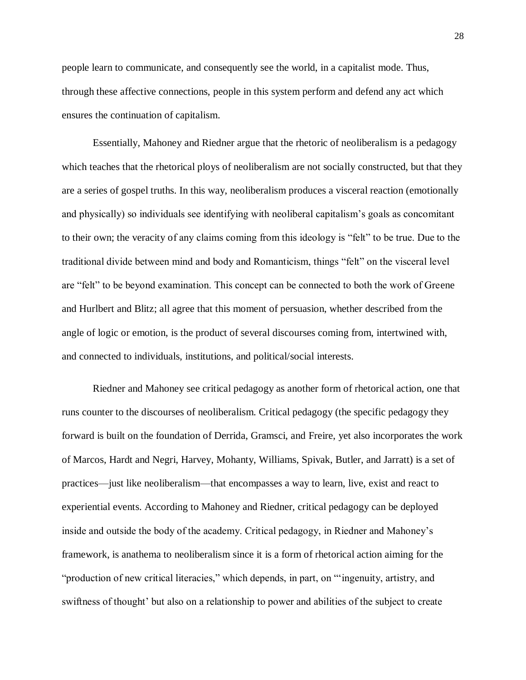people learn to communicate, and consequently see the world, in a capitalist mode. Thus, through these affective connections, people in this system perform and defend any act which ensures the continuation of capitalism.

Essentially, Mahoney and Riedner argue that the rhetoric of neoliberalism is a pedagogy which teaches that the rhetorical ploys of neoliberalism are not socially constructed, but that they are a series of gospel truths. In this way, neoliberalism produces a visceral reaction (emotionally and physically) so individuals see identifying with neoliberal capitalism's goals as concomitant to their own; the veracity of any claims coming from this ideology is "felt" to be true. Due to the traditional divide between mind and body and Romanticism, things "felt" on the visceral level are "felt" to be beyond examination. This concept can be connected to both the work of Greene and Hurlbert and Blitz; all agree that this moment of persuasion, whether described from the angle of logic or emotion, is the product of several discourses coming from, intertwined with, and connected to individuals, institutions, and political/social interests.

Riedner and Mahoney see critical pedagogy as another form of rhetorical action, one that runs counter to the discourses of neoliberalism. Critical pedagogy (the specific pedagogy they forward is built on the foundation of Derrida, Gramsci, and Freire, yet also incorporates the work of Marcos, Hardt and Negri, Harvey, Mohanty, Williams, Spivak, Butler, and Jarratt) is a set of practices—just like neoliberalism—that encompasses a way to learn, live, exist and react to experiential events. According to Mahoney and Riedner, critical pedagogy can be deployed inside and outside the body of the academy. Critical pedagogy, in Riedner and Mahoney's framework, is anathema to neoliberalism since it is a form of rhetorical action aiming for the "production of new critical literacies," which depends, in part, on "'ingenuity, artistry, and swiftness of thought' but also on a relationship to power and abilities of the subject to create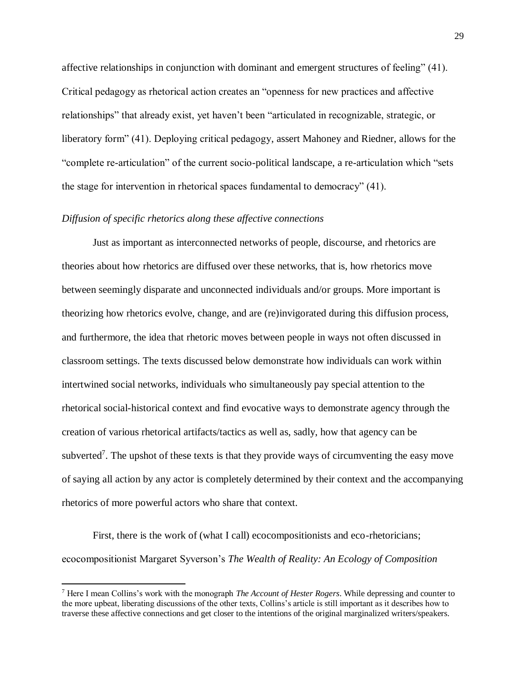affective relationships in conjunction with dominant and emergent structures of feeling" (41). Critical pedagogy as rhetorical action creates an "openness for new practices and affective relationships" that already exist, yet haven't been "articulated in recognizable, strategic, or liberatory form" (41). Deploying critical pedagogy, assert Mahoney and Riedner, allows for the "complete re-articulation" of the current socio-political landscape, a re-articulation which "sets the stage for intervention in rhetorical spaces fundamental to democracy" (41).

## *Diffusion of specific rhetorics along these affective connections*

Just as important as interconnected networks of people, discourse, and rhetorics are theories about how rhetorics are diffused over these networks, that is, how rhetorics move between seemingly disparate and unconnected individuals and/or groups. More important is theorizing how rhetorics evolve, change, and are (re)invigorated during this diffusion process, and furthermore, the idea that rhetoric moves between people in ways not often discussed in classroom settings. The texts discussed below demonstrate how individuals can work within intertwined social networks, individuals who simultaneously pay special attention to the rhetorical social-historical context and find evocative ways to demonstrate agency through the creation of various rhetorical artifacts/tactics as well as, sadly, how that agency can be subverted<sup>7</sup>. The upshot of these texts is that they provide ways of circumventing the easy move of saying all action by any actor is completely determined by their context and the accompanying rhetorics of more powerful actors who share that context.

First, there is the work of (what I call) ecocompositionists and eco-rhetoricians; ecocompositionist Margaret Syverson's *The Wealth of Reality: An Ecology of Composition*

 $\overline{a}$ 

<sup>7</sup> Here I mean Collins's work with the monograph *The Account of Hester Rogers*. While depressing and counter to the more upbeat, liberating discussions of the other texts, Collins's article is still important as it describes how to traverse these affective connections and get closer to the intentions of the original marginalized writers/speakers.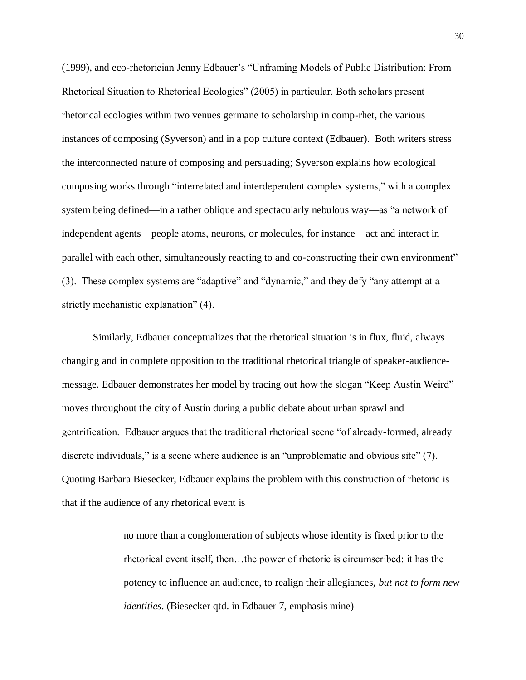(1999), and eco-rhetorician Jenny Edbauer's "Unframing Models of Public Distribution: From Rhetorical Situation to Rhetorical Ecologies" (2005) in particular. Both scholars present rhetorical ecologies within two venues germane to scholarship in comp-rhet, the various instances of composing (Syverson) and in a pop culture context (Edbauer). Both writers stress the interconnected nature of composing and persuading; Syverson explains how ecological composing works through "interrelated and interdependent complex systems," with a complex system being defined—in a rather oblique and spectacularly nebulous way—as "a network of independent agents—people atoms, neurons, or molecules, for instance—act and interact in parallel with each other, simultaneously reacting to and co-constructing their own environment" (3). These complex systems are "adaptive" and "dynamic," and they defy "any attempt at a strictly mechanistic explanation" (4).

Similarly, Edbauer conceptualizes that the rhetorical situation is in flux, fluid, always changing and in complete opposition to the traditional rhetorical triangle of speaker-audiencemessage. Edbauer demonstrates her model by tracing out how the slogan "Keep Austin Weird" moves throughout the city of Austin during a public debate about urban sprawl and gentrification. Edbauer argues that the traditional rhetorical scene "of already-formed, already discrete individuals," is a scene where audience is an "unproblematic and obvious site" (7). Quoting Barbara Biesecker, Edbauer explains the problem with this construction of rhetoric is that if the audience of any rhetorical event is

> no more than a conglomeration of subjects whose identity is fixed prior to the rhetorical event itself, then…the power of rhetoric is circumscribed: it has the potency to influence an audience, to realign their allegiances, *but not to form new identities*. (Biesecker qtd. in Edbauer 7, emphasis mine)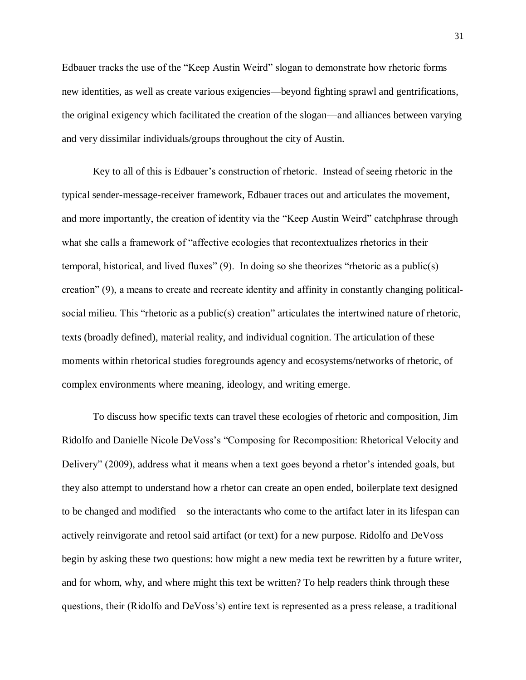Edbauer tracks the use of the "Keep Austin Weird" slogan to demonstrate how rhetoric forms new identities, as well as create various exigencies—beyond fighting sprawl and gentrifications, the original exigency which facilitated the creation of the slogan—and alliances between varying and very dissimilar individuals/groups throughout the city of Austin.

Key to all of this is Edbauer's construction of rhetoric. Instead of seeing rhetoric in the typical sender-message-receiver framework, Edbauer traces out and articulates the movement, and more importantly, the creation of identity via the "Keep Austin Weird" catchphrase through what she calls a framework of "affective ecologies that recontextualizes rhetorics in their temporal, historical, and lived fluxes" (9). In doing so she theorizes "rhetoric as a public(s) creation" (9), a means to create and recreate identity and affinity in constantly changing politicalsocial milieu. This "rhetoric as a public(s) creation" articulates the intertwined nature of rhetoric, texts (broadly defined), material reality, and individual cognition. The articulation of these moments within rhetorical studies foregrounds agency and ecosystems/networks of rhetoric, of complex environments where meaning, ideology, and writing emerge.

To discuss how specific texts can travel these ecologies of rhetoric and composition, Jim Ridolfo and Danielle Nicole DeVoss's "Composing for Recomposition: Rhetorical Velocity and Delivery" (2009), address what it means when a text goes beyond a rhetor's intended goals, but they also attempt to understand how a rhetor can create an open ended, boilerplate text designed to be changed and modified—so the interactants who come to the artifact later in its lifespan can actively reinvigorate and retool said artifact (or text) for a new purpose. Ridolfo and DeVoss begin by asking these two questions: how might a new media text be rewritten by a future writer, and for whom, why, and where might this text be written? To help readers think through these questions, their (Ridolfo and DeVoss's) entire text is represented as a press release, a traditional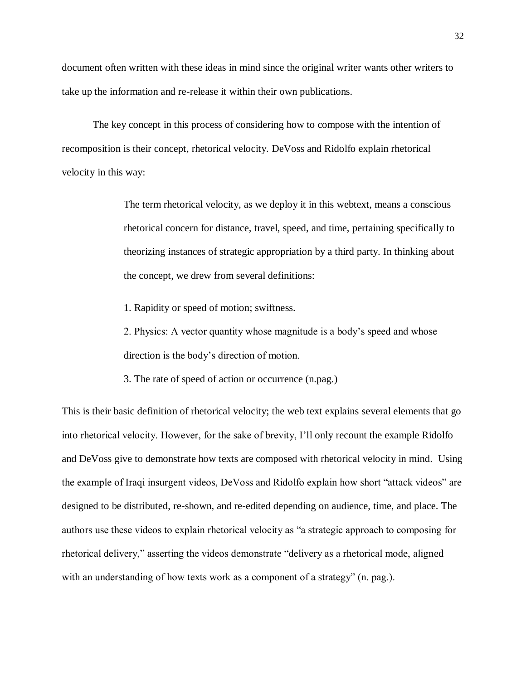document often written with these ideas in mind since the original writer wants other writers to take up the information and re-release it within their own publications.

The key concept in this process of considering how to compose with the intention of recomposition is their concept, rhetorical velocity. DeVoss and Ridolfo explain rhetorical velocity in this way:

> The term rhetorical velocity, as we deploy it in this webtext, means a conscious rhetorical concern for distance, travel, speed, and time, pertaining specifically to theorizing instances of strategic appropriation by a third party. In thinking about the concept, we drew from several definitions:

1. Rapidity or speed of motion; swiftness.

2. Physics: A vector quantity whose magnitude is a body's speed and whose direction is the body's direction of motion.

3. The rate of speed of action or occurrence (n.pag.)

This is their basic definition of rhetorical velocity; the web text explains several elements that go into rhetorical velocity. However, for the sake of brevity, I'll only recount the example Ridolfo and DeVoss give to demonstrate how texts are composed with rhetorical velocity in mind. Using the example of Iraqi insurgent videos, DeVoss and Ridolfo explain how short "attack videos" are designed to be distributed, re-shown, and re-edited depending on audience, time, and place. The authors use these videos to explain rhetorical velocity as "a strategic approach to composing for rhetorical delivery," asserting the videos demonstrate "delivery as a rhetorical mode, aligned with an understanding of how texts work as a component of a strategy" (n. pag.).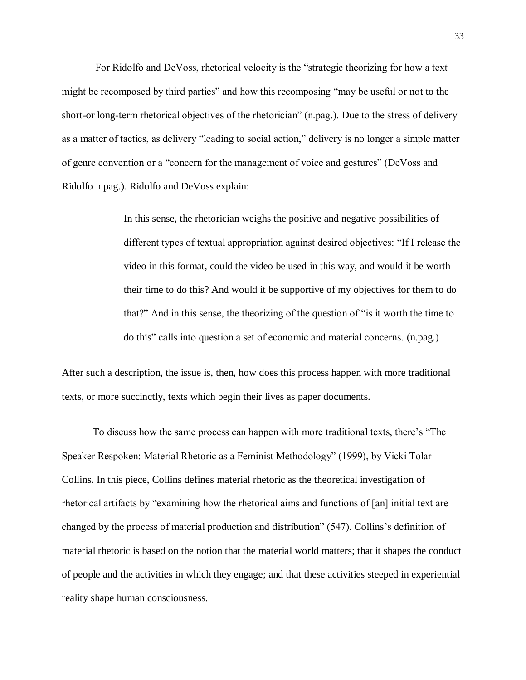For Ridolfo and DeVoss, rhetorical velocity is the "strategic theorizing for how a text might be recomposed by third parties" and how this recomposing "may be useful or not to the short-or long-term rhetorical objectives of the rhetorician" (n.pag.). Due to the stress of delivery as a matter of tactics, as delivery "leading to social action," delivery is no longer a simple matter of genre convention or a "concern for the management of voice and gestures" (DeVoss and Ridolfo n.pag.). Ridolfo and DeVoss explain:

> In this sense, the rhetorician weighs the positive and negative possibilities of different types of textual appropriation against desired objectives: "If I release the video in this format, could the video be used in this way, and would it be worth their time to do this? And would it be supportive of my objectives for them to do that?" And in this sense, the theorizing of the question of "is it worth the time to do this" calls into question a set of economic and material concerns. (n.pag.)

After such a description, the issue is, then, how does this process happen with more traditional texts, or more succinctly, texts which begin their lives as paper documents.

To discuss how the same process can happen with more traditional texts, there's "The Speaker Respoken: Material Rhetoric as a Feminist Methodology" (1999), by Vicki Tolar Collins. In this piece, Collins defines material rhetoric as the theoretical investigation of rhetorical artifacts by "examining how the rhetorical aims and functions of [an] initial text are changed by the process of material production and distribution" (547). Collins's definition of material rhetoric is based on the notion that the material world matters; that it shapes the conduct of people and the activities in which they engage; and that these activities steeped in experiential reality shape human consciousness.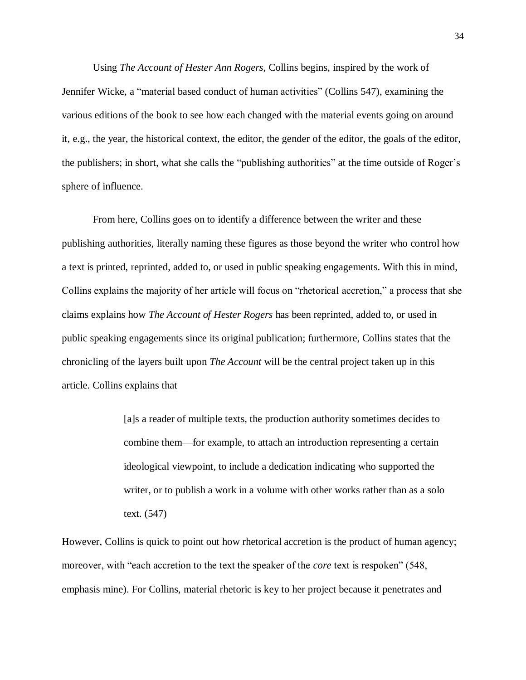Using *The Account of Hester Ann Rogers,* Collins begins, inspired by the work of Jennifer Wicke, a "material based conduct of human activities" (Collins 547), examining the various editions of the book to see how each changed with the material events going on around it, e.g., the year, the historical context, the editor, the gender of the editor, the goals of the editor, the publishers; in short, what she calls the "publishing authorities" at the time outside of Roger's sphere of influence.

From here, Collins goes on to identify a difference between the writer and these publishing authorities, literally naming these figures as those beyond the writer who control how a text is printed, reprinted, added to, or used in public speaking engagements. With this in mind, Collins explains the majority of her article will focus on "rhetorical accretion," a process that she claims explains how *The Account of Hester Rogers* has been reprinted, added to, or used in public speaking engagements since its original publication; furthermore, Collins states that the chronicling of the layers built upon *The Account* will be the central project taken up in this article. Collins explains that

> [a]s a reader of multiple texts, the production authority sometimes decides to combine them—for example, to attach an introduction representing a certain ideological viewpoint, to include a dedication indicating who supported the writer, or to publish a work in a volume with other works rather than as a solo text. (547)

However, Collins is quick to point out how rhetorical accretion is the product of human agency; moreover, with "each accretion to the text the speaker of the *core* text is respoken" (548, emphasis mine). For Collins, material rhetoric is key to her project because it penetrates and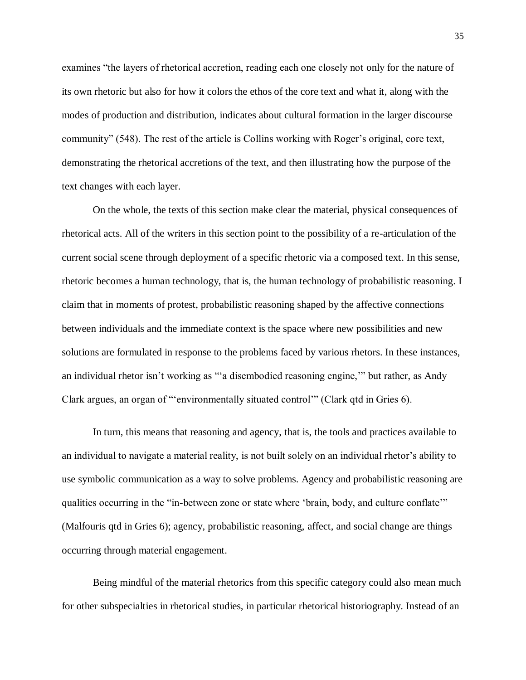examines "the layers of rhetorical accretion, reading each one closely not only for the nature of its own rhetoric but also for how it colors the ethos of the core text and what it, along with the modes of production and distribution, indicates about cultural formation in the larger discourse community" (548). The rest of the article is Collins working with Roger's original, core text, demonstrating the rhetorical accretions of the text, and then illustrating how the purpose of the text changes with each layer.

On the whole, the texts of this section make clear the material, physical consequences of rhetorical acts. All of the writers in this section point to the possibility of a re-articulation of the current social scene through deployment of a specific rhetoric via a composed text. In this sense, rhetoric becomes a human technology, that is, the human technology of probabilistic reasoning. I claim that in moments of protest, probabilistic reasoning shaped by the affective connections between individuals and the immediate context is the space where new possibilities and new solutions are formulated in response to the problems faced by various rhetors. In these instances, an individual rhetor isn't working as "'a disembodied reasoning engine,'" but rather, as Andy Clark argues, an organ of "'environmentally situated control'" (Clark qtd in Gries 6).

In turn, this means that reasoning and agency, that is, the tools and practices available to an individual to navigate a material reality, is not built solely on an individual rhetor's ability to use symbolic communication as a way to solve problems. Agency and probabilistic reasoning are qualities occurring in the "in-between zone or state where 'brain, body, and culture conflate'" (Malfouris qtd in Gries 6); agency, probabilistic reasoning, affect, and social change are things occurring through material engagement.

Being mindful of the material rhetorics from this specific category could also mean much for other subspecialties in rhetorical studies, in particular rhetorical historiography. Instead of an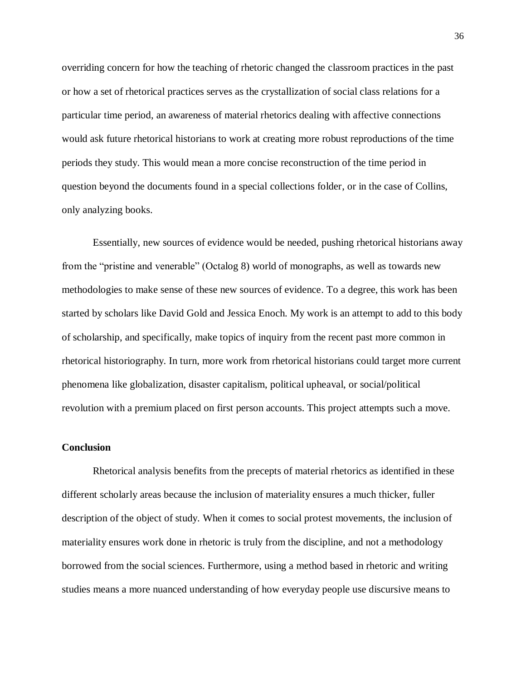overriding concern for how the teaching of rhetoric changed the classroom practices in the past or how a set of rhetorical practices serves as the crystallization of social class relations for a particular time period, an awareness of material rhetorics dealing with affective connections would ask future rhetorical historians to work at creating more robust reproductions of the time periods they study. This would mean a more concise reconstruction of the time period in question beyond the documents found in a special collections folder, or in the case of Collins, only analyzing books.

Essentially, new sources of evidence would be needed, pushing rhetorical historians away from the "pristine and venerable" (Octalog 8) world of monographs, as well as towards new methodologies to make sense of these new sources of evidence. To a degree, this work has been started by scholars like David Gold and Jessica Enoch. My work is an attempt to add to this body of scholarship, and specifically, make topics of inquiry from the recent past more common in rhetorical historiography. In turn, more work from rhetorical historians could target more current phenomena like globalization, disaster capitalism, political upheaval, or social/political revolution with a premium placed on first person accounts. This project attempts such a move.

### **Conclusion**

Rhetorical analysis benefits from the precepts of material rhetorics as identified in these different scholarly areas because the inclusion of materiality ensures a much thicker, fuller description of the object of study. When it comes to social protest movements, the inclusion of materiality ensures work done in rhetoric is truly from the discipline, and not a methodology borrowed from the social sciences. Furthermore, using a method based in rhetoric and writing studies means a more nuanced understanding of how everyday people use discursive means to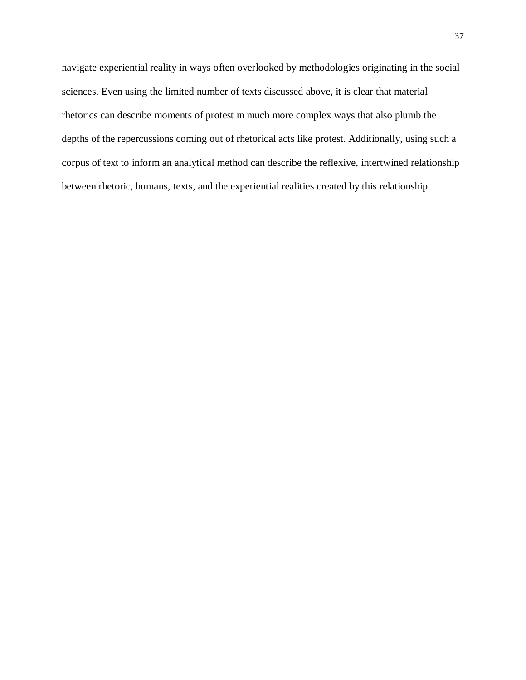navigate experiential reality in ways often overlooked by methodologies originating in the social sciences. Even using the limited number of texts discussed above, it is clear that material rhetorics can describe moments of protest in much more complex ways that also plumb the depths of the repercussions coming out of rhetorical acts like protest. Additionally, using such a corpus of text to inform an analytical method can describe the reflexive, intertwined relationship between rhetoric, humans, texts, and the experiential realities created by this relationship.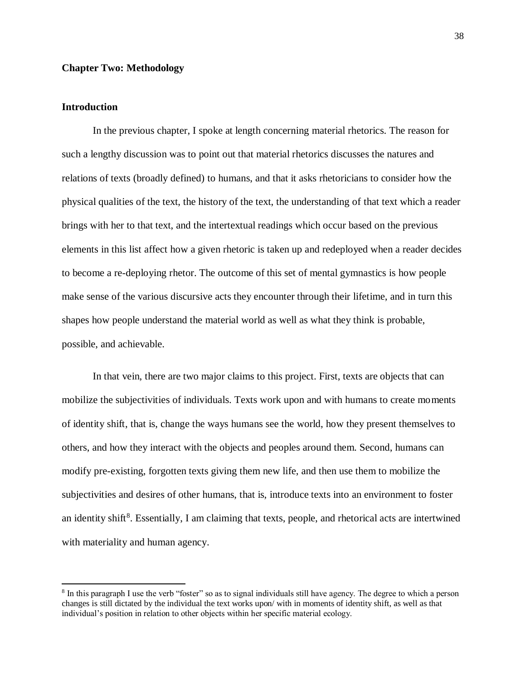# **Chapter Two: Methodology**

## **Introduction**

 $\overline{a}$ 

In the previous chapter, I spoke at length concerning material rhetorics. The reason for such a lengthy discussion was to point out that material rhetorics discusses the natures and relations of texts (broadly defined) to humans, and that it asks rhetoricians to consider how the physical qualities of the text, the history of the text, the understanding of that text which a reader brings with her to that text, and the intertextual readings which occur based on the previous elements in this list affect how a given rhetoric is taken up and redeployed when a reader decides to become a re-deploying rhetor. The outcome of this set of mental gymnastics is how people make sense of the various discursive acts they encounter through their lifetime, and in turn this shapes how people understand the material world as well as what they think is probable, possible, and achievable.

In that vein, there are two major claims to this project. First, texts are objects that can mobilize the subjectivities of individuals. Texts work upon and with humans to create moments of identity shift, that is, change the ways humans see the world, how they present themselves to others, and how they interact with the objects and peoples around them. Second, humans can modify pre-existing, forgotten texts giving them new life, and then use them to mobilize the subjectivities and desires of other humans, that is, introduce texts into an environment to foster an identity shift<sup>8</sup>. Essentially, I am claiming that texts, people, and rhetorical acts are intertwined with materiality and human agency.

<sup>&</sup>lt;sup>8</sup> In this paragraph I use the verb "foster" so as to signal individuals still have agency. The degree to which a person changes is still dictated by the individual the text works upon/ with in moments of identity shift, as well as that individual's position in relation to other objects within her specific material ecology.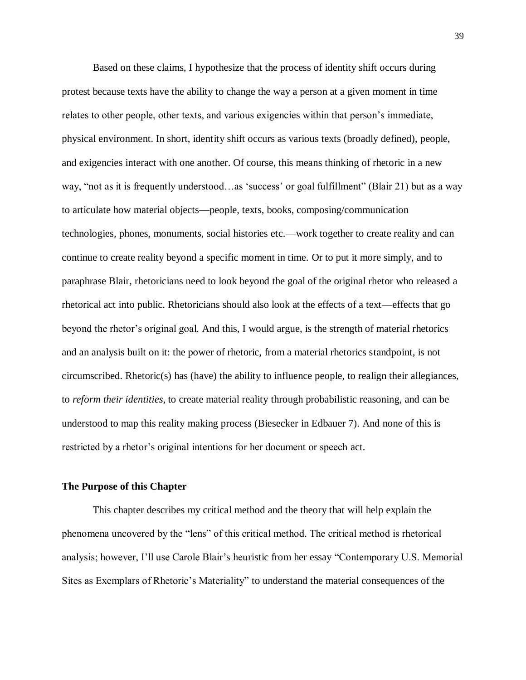Based on these claims, I hypothesize that the process of identity shift occurs during protest because texts have the ability to change the way a person at a given moment in time relates to other people, other texts, and various exigencies within that person's immediate, physical environment. In short, identity shift occurs as various texts (broadly defined), people, and exigencies interact with one another. Of course, this means thinking of rhetoric in a new way, "not as it is frequently understood…as 'success' or goal fulfillment" (Blair 21) but as a way to articulate how material objects—people, texts, books, composing/communication technologies, phones, monuments, social histories etc.—work together to create reality and can continue to create reality beyond a specific moment in time. Or to put it more simply, and to paraphrase Blair, rhetoricians need to look beyond the goal of the original rhetor who released a rhetorical act into public. Rhetoricians should also look at the effects of a text—effects that go beyond the rhetor's original goal. And this, I would argue, is the strength of material rhetorics and an analysis built on it: the power of rhetoric, from a material rhetorics standpoint, is not circumscribed. Rhetoric(s) has (have) the ability to influence people, to realign their allegiances, to *reform their identities*, to create material reality through probabilistic reasoning, and can be understood to map this reality making process (Biesecker in Edbauer 7). And none of this is restricted by a rhetor's original intentions for her document or speech act.

#### **The Purpose of this Chapter**

This chapter describes my critical method and the theory that will help explain the phenomena uncovered by the "lens" of this critical method. The critical method is rhetorical analysis; however, I'll use Carole Blair's heuristic from her essay "Contemporary U.S. Memorial Sites as Exemplars of Rhetoric's Materiality" to understand the material consequences of the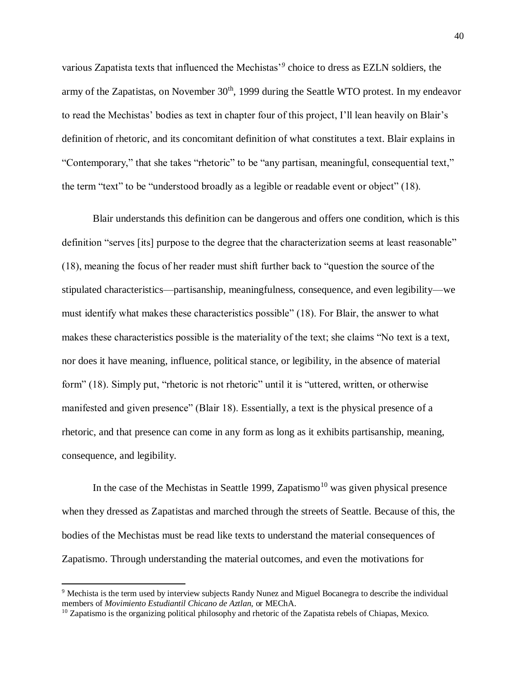various Zapatista texts that influenced the Mechistas'*<sup>9</sup>* choice to dress as EZLN soldiers, the army of the Zapatistas, on November  $30<sup>th</sup>$ , 1999 during the Seattle WTO protest. In my endeavor to read the Mechistas' bodies as text in chapter four of this project, I'll lean heavily on Blair's definition of rhetoric, and its concomitant definition of what constitutes a text. Blair explains in "Contemporary," that she takes "rhetoric" to be "any partisan, meaningful, consequential text," the term "text" to be "understood broadly as a legible or readable event or object" (18).

Blair understands this definition can be dangerous and offers one condition, which is this definition "serves [its] purpose to the degree that the characterization seems at least reasonable" (18), meaning the focus of her reader must shift further back to "question the source of the stipulated characteristics—partisanship, meaningfulness, consequence, and even legibility—we must identify what makes these characteristics possible" (18). For Blair, the answer to what makes these characteristics possible is the materiality of the text; she claims "No text is a text, nor does it have meaning, influence, political stance, or legibility, in the absence of material form" (18). Simply put, "rhetoric is not rhetoric" until it is "uttered, written, or otherwise manifested and given presence" (Blair 18). Essentially, a text is the physical presence of a rhetoric, and that presence can come in any form as long as it exhibits partisanship, meaning, consequence, and legibility.

In the case of the Mechistas in Seattle 1999, Zapatismo<sup>10</sup> was given physical presence when they dressed as Zapatistas and marched through the streets of Seattle. Because of this, the bodies of the Mechistas must be read like texts to understand the material consequences of Zapatismo. Through understanding the material outcomes, and even the motivations for

 $\overline{a}$ 

<sup>9</sup> Mechista is the term used by interview subjects Randy Nunez and Miguel Bocanegra to describe the individual members of *Movimiento Estudiantil Chicano de Aztlan,* or MEChA.

<sup>&</sup>lt;sup>10</sup> Zapatismo is the organizing political philosophy and rhetoric of the Zapatista rebels of Chiapas, Mexico.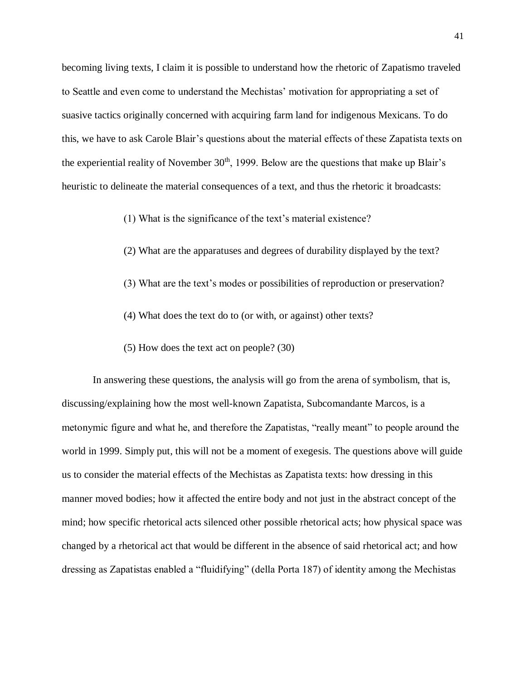becoming living texts, I claim it is possible to understand how the rhetoric of Zapatismo traveled to Seattle and even come to understand the Mechistas' motivation for appropriating a set of suasive tactics originally concerned with acquiring farm land for indigenous Mexicans. To do this, we have to ask Carole Blair's questions about the material effects of these Zapatista texts on the experiential reality of November  $30<sup>th</sup>$ , 1999. Below are the questions that make up Blair's heuristic to delineate the material consequences of a text, and thus the rhetoric it broadcasts:

(1) What is the significance of the text's material existence?

- (2) What are the apparatuses and degrees of durability displayed by the text?
- (3) What are the text's modes or possibilities of reproduction or preservation?
- (4) What does the text do to (or with, or against) other texts?
- (5) How does the text act on people? (30)

In answering these questions, the analysis will go from the arena of symbolism, that is, discussing/explaining how the most well-known Zapatista, Subcomandante Marcos, is a metonymic figure and what he, and therefore the Zapatistas, "really meant" to people around the world in 1999. Simply put, this will not be a moment of exegesis. The questions above will guide us to consider the material effects of the Mechistas as Zapatista texts: how dressing in this manner moved bodies; how it affected the entire body and not just in the abstract concept of the mind; how specific rhetorical acts silenced other possible rhetorical acts; how physical space was changed by a rhetorical act that would be different in the absence of said rhetorical act; and how dressing as Zapatistas enabled a "fluidifying" (della Porta 187) of identity among the Mechistas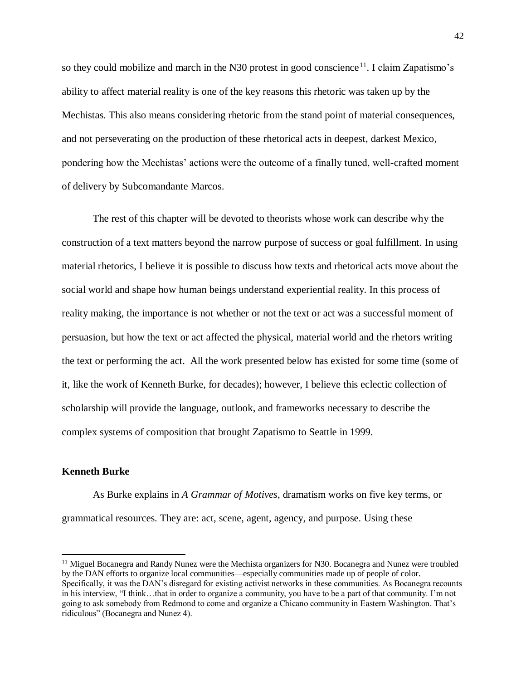so they could mobilize and march in the N30 protest in good conscience<sup>11</sup>. I claim Zapatismo's ability to affect material reality is one of the key reasons this rhetoric was taken up by the Mechistas. This also means considering rhetoric from the stand point of material consequences, and not perseverating on the production of these rhetorical acts in deepest, darkest Mexico, pondering how the Mechistas' actions were the outcome of a finally tuned, well-crafted moment of delivery by Subcomandante Marcos.

The rest of this chapter will be devoted to theorists whose work can describe why the construction of a text matters beyond the narrow purpose of success or goal fulfillment. In using material rhetorics, I believe it is possible to discuss how texts and rhetorical acts move about the social world and shape how human beings understand experiential reality. In this process of reality making, the importance is not whether or not the text or act was a successful moment of persuasion, but how the text or act affected the physical, material world and the rhetors writing the text or performing the act. All the work presented below has existed for some time (some of it, like the work of Kenneth Burke, for decades); however, I believe this eclectic collection of scholarship will provide the language, outlook, and frameworks necessary to describe the complex systems of composition that brought Zapatismo to Seattle in 1999.

#### **Kenneth Burke**

 $\overline{\phantom{a}}$ 

As Burke explains in *A Grammar of Motives*, dramatism works on five key terms, or grammatical resources. They are: act, scene, agent, agency, and purpose. Using these

<sup>&</sup>lt;sup>11</sup> Miguel Bocanegra and Randy Nunez were the Mechista organizers for N30. Bocanegra and Nunez were troubled by the DAN efforts to organize local communities—especially communities made up of people of color. Specifically, it was the DAN's disregard for existing activist networks in these communities. As Bocanegra recounts in his interview, "I think…that in order to organize a community, you have to be a part of that community. I'm not going to ask somebody from Redmond to come and organize a Chicano community in Eastern Washington. That's ridiculous" (Bocanegra and Nunez 4).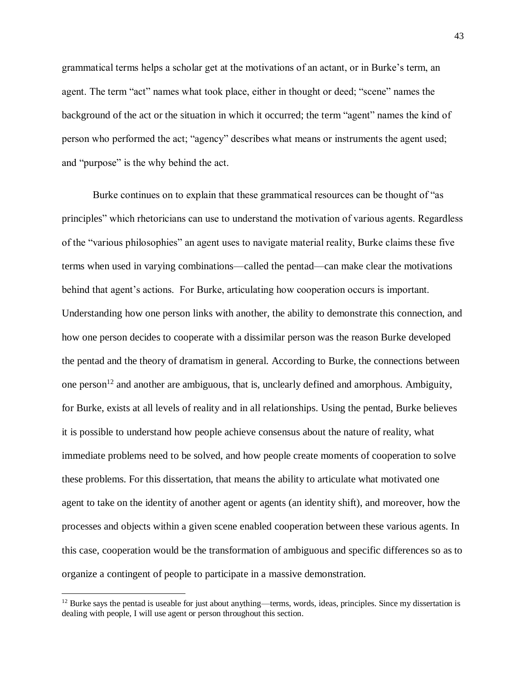grammatical terms helps a scholar get at the motivations of an actant, or in Burke's term, an agent. The term "act" names what took place, either in thought or deed; "scene" names the background of the act or the situation in which it occurred; the term "agent" names the kind of person who performed the act; "agency" describes what means or instruments the agent used; and "purpose" is the why behind the act.

Burke continues on to explain that these grammatical resources can be thought of "as principles" which rhetoricians can use to understand the motivation of various agents. Regardless of the "various philosophies" an agent uses to navigate material reality, Burke claims these five terms when used in varying combinations—called the pentad—can make clear the motivations behind that agent's actions. For Burke, articulating how cooperation occurs is important. Understanding how one person links with another, the ability to demonstrate this connection, and how one person decides to cooperate with a dissimilar person was the reason Burke developed the pentad and the theory of dramatism in general. According to Burke, the connections between one person<sup>12</sup> and another are ambiguous, that is, unclearly defined and amorphous. Ambiguity, for Burke, exists at all levels of reality and in all relationships. Using the pentad, Burke believes it is possible to understand how people achieve consensus about the nature of reality, what immediate problems need to be solved, and how people create moments of cooperation to solve these problems. For this dissertation, that means the ability to articulate what motivated one agent to take on the identity of another agent or agents (an identity shift), and moreover, how the processes and objects within a given scene enabled cooperation between these various agents. In this case, cooperation would be the transformation of ambiguous and specific differences so as to organize a contingent of people to participate in a massive demonstration.

 $\overline{a}$ 

 $12$  Burke says the pentad is useable for just about anything—terms, words, ideas, principles. Since my dissertation is dealing with people, I will use agent or person throughout this section.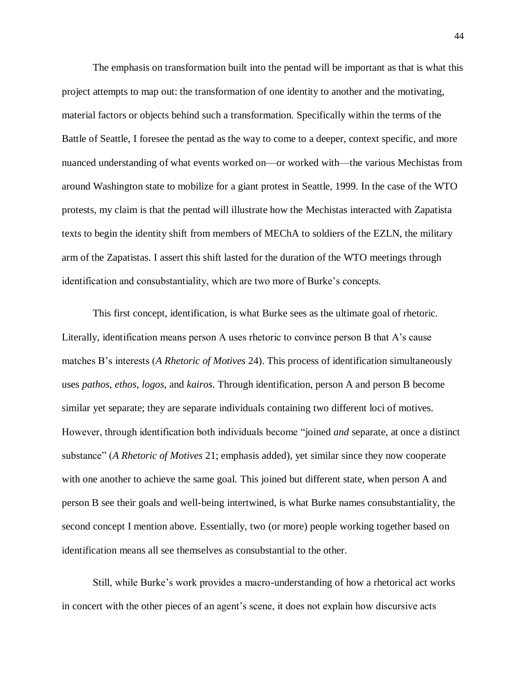The emphasis on transformation built into the pentad will be important as that is what this project attempts to map out: the transformation of one identity to another and the motivating, material factors or objects behind such a transformation. Specifically within the terms of the Battle of Seattle, I foresee the pentad as the way to come to a deeper, context specific, and more nuanced understanding of what events worked on—or worked with—the various Mechistas from around Washington state to mobilize for a giant protest in Seattle, 1999. In the case of the WTO protests, my claim is that the pentad will illustrate how the Mechistas interacted with Zapatista texts to begin the identity shift from members of MEChA to soldiers of the EZLN, the military arm of the Zapatistas. I assert this shift lasted for the duration of the WTO meetings through identification and consubstantiality, which are two more of Burke's concepts.

This first concept, identification, is what Burke sees as the ultimate goal of rhetoric. Literally, identification means person A uses rhetoric to convince person B that A's cause matches B's interests (*A Rhetoric of Motives* 24). This process of identification simultaneously uses *pathos*, *ethos*, *logos*, and *kairos*. Through identification, person A and person B become similar yet separate; they are separate individuals containing two different loci of motives. However, through identification both individuals become "joined *and* separate, at once a distinct substance" (*A Rhetoric of Motives* 21; emphasis added), yet similar since they now cooperate with one another to achieve the same goal. This joined but different state, when person A and person B see their goals and well-being intertwined, is what Burke names consubstantiality, the second concept I mention above. Essentially, two (or more) people working together based on identification means all see themselves as consubstantial to the other.

Still, while Burke's work provides a macro-understanding of how a rhetorical act works in concert with the other pieces of an agent's scene, it does not explain how discursive acts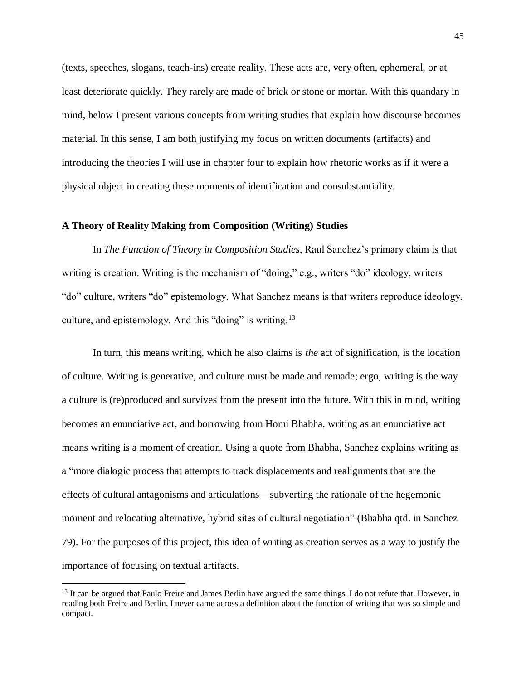(texts, speeches, slogans, teach-ins) create reality. These acts are, very often, ephemeral, or at least deteriorate quickly. They rarely are made of brick or stone or mortar. With this quandary in mind, below I present various concepts from writing studies that explain how discourse becomes material. In this sense, I am both justifying my focus on written documents (artifacts) and introducing the theories I will use in chapter four to explain how rhetoric works as if it were a physical object in creating these moments of identification and consubstantiality.

# **A Theory of Reality Making from Composition (Writing) Studies**

In *The Function of Theory in Composition Studies*, Raul Sanchez's primary claim is that writing is creation. Writing is the mechanism of "doing," e.g., writers "do" ideology, writers "do" culture, writers "do" epistemology. What Sanchez means is that writers reproduce ideology, culture, and epistemology. And this "doing" is writing.<sup>13</sup>

In turn, this means writing, which he also claims is *the* act of signification, is the location of culture. Writing is generative, and culture must be made and remade; ergo, writing is the way a culture is (re)produced and survives from the present into the future. With this in mind, writing becomes an enunciative act, and borrowing from Homi Bhabha, writing as an enunciative act means writing is a moment of creation. Using a quote from Bhabha, Sanchez explains writing as a "more dialogic process that attempts to track displacements and realignments that are the effects of cultural antagonisms and articulations—subverting the rationale of the hegemonic moment and relocating alternative, hybrid sites of cultural negotiation" (Bhabha qtd. in Sanchez 79). For the purposes of this project, this idea of writing as creation serves as a way to justify the importance of focusing on textual artifacts.

 $\overline{a}$ 

<sup>&</sup>lt;sup>13</sup> It can be argued that Paulo Freire and James Berlin have argued the same things. I do not refute that. However, in reading both Freire and Berlin, I never came across a definition about the function of writing that was so simple and compact.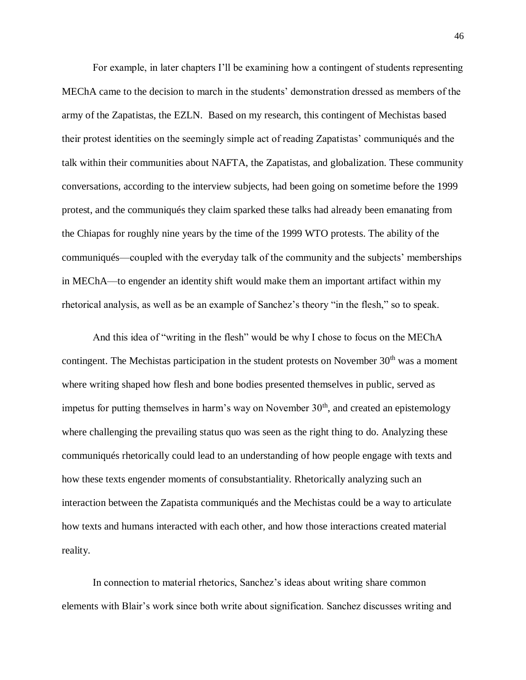For example, in later chapters I'll be examining how a contingent of students representing MEChA came to the decision to march in the students' demonstration dressed as members of the army of the Zapatistas, the EZLN. Based on my research, this contingent of Mechistas based their protest identities on the seemingly simple act of reading Zapatistas' communiqués and the talk within their communities about NAFTA, the Zapatistas, and globalization. These community conversations, according to the interview subjects, had been going on sometime before the 1999 protest, and the communiqués they claim sparked these talks had already been emanating from the Chiapas for roughly nine years by the time of the 1999 WTO protests. The ability of the communiqués—coupled with the everyday talk of the community and the subjects' memberships in MEChA—to engender an identity shift would make them an important artifact within my rhetorical analysis, as well as be an example of Sanchez's theory "in the flesh," so to speak.

And this idea of "writing in the flesh" would be why I chose to focus on the MEChA contingent. The Mechistas participation in the student protests on November  $30<sup>th</sup>$  was a moment where writing shaped how flesh and bone bodies presented themselves in public, served as impetus for putting themselves in harm's way on November  $30<sup>th</sup>$ , and created an epistemology where challenging the prevailing status quo was seen as the right thing to do. Analyzing these communiqués rhetorically could lead to an understanding of how people engage with texts and how these texts engender moments of consubstantiality. Rhetorically analyzing such an interaction between the Zapatista communiqués and the Mechistas could be a way to articulate how texts and humans interacted with each other, and how those interactions created material reality.

In connection to material rhetorics, Sanchez's ideas about writing share common elements with Blair's work since both write about signification. Sanchez discusses writing and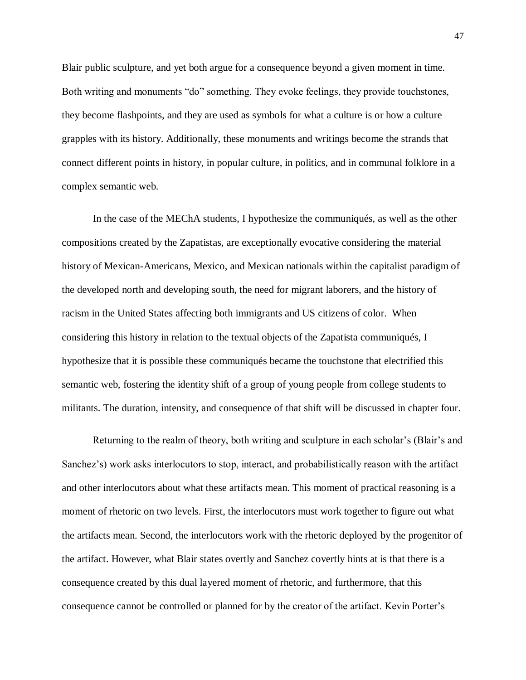Blair public sculpture, and yet both argue for a consequence beyond a given moment in time. Both writing and monuments "do" something. They evoke feelings, they provide touchstones, they become flashpoints, and they are used as symbols for what a culture is or how a culture grapples with its history. Additionally, these monuments and writings become the strands that connect different points in history, in popular culture, in politics, and in communal folklore in a complex semantic web.

In the case of the MEChA students, I hypothesize the communiqués, as well as the other compositions created by the Zapatistas, are exceptionally evocative considering the material history of Mexican-Americans, Mexico, and Mexican nationals within the capitalist paradigm of the developed north and developing south, the need for migrant laborers, and the history of racism in the United States affecting both immigrants and US citizens of color. When considering this history in relation to the textual objects of the Zapatista communiqués, I hypothesize that it is possible these communiqués became the touchstone that electrified this semantic web, fostering the identity shift of a group of young people from college students to militants. The duration, intensity, and consequence of that shift will be discussed in chapter four.

Returning to the realm of theory, both writing and sculpture in each scholar's (Blair's and Sanchez's) work asks interlocutors to stop, interact, and probabilistically reason with the artifact and other interlocutors about what these artifacts mean. This moment of practical reasoning is a moment of rhetoric on two levels. First, the interlocutors must work together to figure out what the artifacts mean. Second, the interlocutors work with the rhetoric deployed by the progenitor of the artifact. However, what Blair states overtly and Sanchez covertly hints at is that there is a consequence created by this dual layered moment of rhetoric, and furthermore, that this consequence cannot be controlled or planned for by the creator of the artifact. Kevin Porter's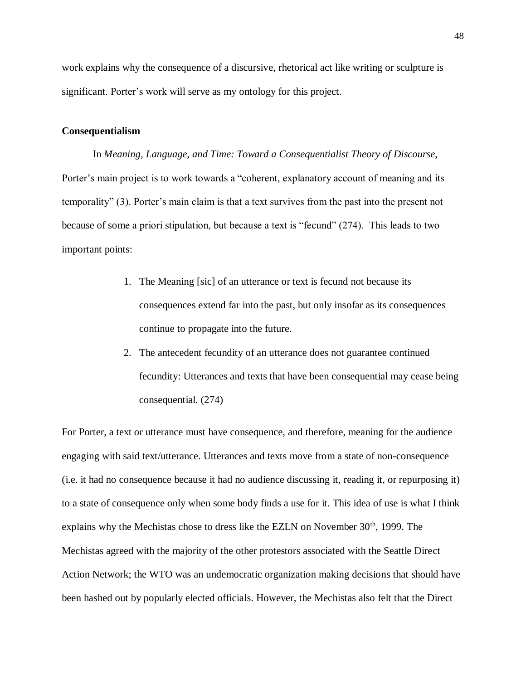work explains why the consequence of a discursive, rhetorical act like writing or sculpture is significant. Porter's work will serve as my ontology for this project.

## **Consequentialism**

In *Meaning, Language, and Time: Toward a Consequentialist Theory of Discourse*, Porter's main project is to work towards a "coherent, explanatory account of meaning and its temporality" (3). Porter's main claim is that a text survives from the past into the present not because of some a priori stipulation, but because a text is "fecund" (274). This leads to two important points:

- 1. The Meaning [sic] of an utterance or text is fecund not because its consequences extend far into the past, but only insofar as its consequences continue to propagate into the future.
- 2. The antecedent fecundity of an utterance does not guarantee continued fecundity: Utterances and texts that have been consequential may cease being consequential. (274)

For Porter, a text or utterance must have consequence, and therefore, meaning for the audience engaging with said text/utterance. Utterances and texts move from a state of non-consequence (i.e. it had no consequence because it had no audience discussing it, reading it, or repurposing it) to a state of consequence only when some body finds a use for it. This idea of use is what I think explains why the Mechistas chose to dress like the EZLN on November  $30<sup>th</sup>$ , 1999. The Mechistas agreed with the majority of the other protestors associated with the Seattle Direct Action Network; the WTO was an undemocratic organization making decisions that should have been hashed out by popularly elected officials. However, the Mechistas also felt that the Direct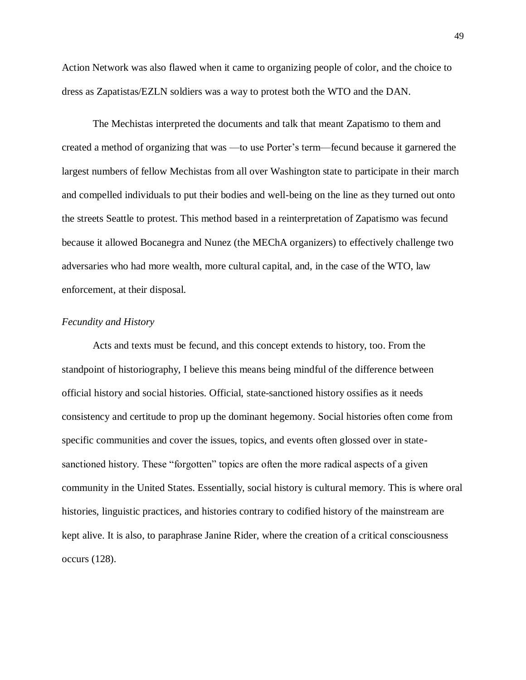Action Network was also flawed when it came to organizing people of color, and the choice to dress as Zapatistas/EZLN soldiers was a way to protest both the WTO and the DAN.

The Mechistas interpreted the documents and talk that meant Zapatismo to them and created a method of organizing that was —to use Porter's term—fecund because it garnered the largest numbers of fellow Mechistas from all over Washington state to participate in their march and compelled individuals to put their bodies and well-being on the line as they turned out onto the streets Seattle to protest. This method based in a reinterpretation of Zapatismo was fecund because it allowed Bocanegra and Nunez (the MEChA organizers) to effectively challenge two adversaries who had more wealth, more cultural capital, and, in the case of the WTO, law enforcement, at their disposal.

## *Fecundity and History*

Acts and texts must be fecund, and this concept extends to history, too. From the standpoint of historiography, I believe this means being mindful of the difference between official history and social histories. Official, state-sanctioned history ossifies as it needs consistency and certitude to prop up the dominant hegemony. Social histories often come from specific communities and cover the issues, topics, and events often glossed over in statesanctioned history. These "forgotten" topics are often the more radical aspects of a given community in the United States. Essentially, social history is cultural memory. This is where oral histories, linguistic practices, and histories contrary to codified history of the mainstream are kept alive. It is also, to paraphrase Janine Rider, where the creation of a critical consciousness occurs (128).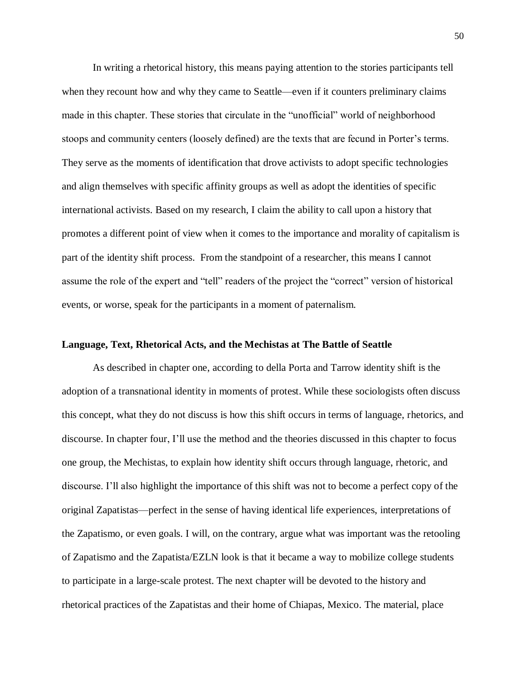In writing a rhetorical history, this means paying attention to the stories participants tell when they recount how and why they came to Seattle—even if it counters preliminary claims made in this chapter. These stories that circulate in the "unofficial" world of neighborhood stoops and community centers (loosely defined) are the texts that are fecund in Porter's terms. They serve as the moments of identification that drove activists to adopt specific technologies and align themselves with specific affinity groups as well as adopt the identities of specific international activists. Based on my research, I claim the ability to call upon a history that promotes a different point of view when it comes to the importance and morality of capitalism is part of the identity shift process. From the standpoint of a researcher, this means I cannot assume the role of the expert and "tell" readers of the project the "correct" version of historical events, or worse, speak for the participants in a moment of paternalism.

## **Language, Text, Rhetorical Acts, and the Mechistas at The Battle of Seattle**

As described in chapter one, according to della Porta and Tarrow identity shift is the adoption of a transnational identity in moments of protest. While these sociologists often discuss this concept, what they do not discuss is how this shift occurs in terms of language, rhetorics, and discourse. In chapter four, I'll use the method and the theories discussed in this chapter to focus one group, the Mechistas, to explain how identity shift occurs through language, rhetoric, and discourse. I'll also highlight the importance of this shift was not to become a perfect copy of the original Zapatistas—perfect in the sense of having identical life experiences, interpretations of the Zapatismo, or even goals. I will, on the contrary, argue what was important was the retooling of Zapatismo and the Zapatista/EZLN look is that it became a way to mobilize college students to participate in a large-scale protest. The next chapter will be devoted to the history and rhetorical practices of the Zapatistas and their home of Chiapas, Mexico. The material, place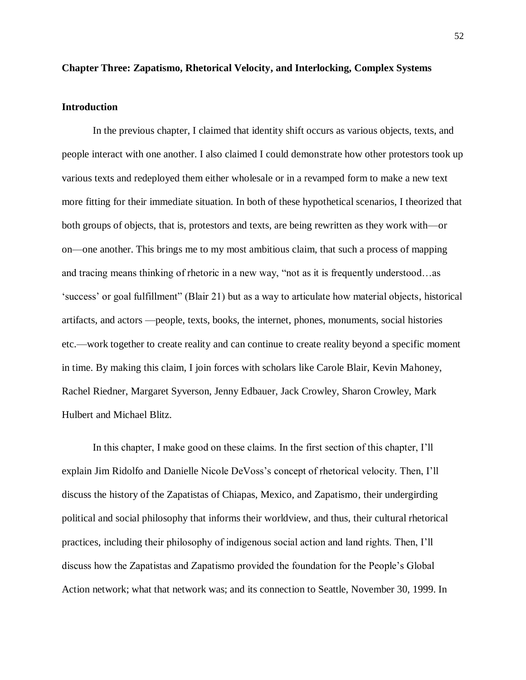### **Chapter Three: Zapatismo, Rhetorical Velocity, and Interlocking, Complex Systems**

## **Introduction**

In the previous chapter, I claimed that identity shift occurs as various objects, texts, and people interact with one another. I also claimed I could demonstrate how other protestors took up various texts and redeployed them either wholesale or in a revamped form to make a new text more fitting for their immediate situation. In both of these hypothetical scenarios, I theorized that both groups of objects, that is, protestors and texts, are being rewritten as they work with—or on—one another. This brings me to my most ambitious claim, that such a process of mapping and tracing means thinking of rhetoric in a new way, "not as it is frequently understood…as 'success' or goal fulfillment" (Blair 21) but as a way to articulate how material objects, historical artifacts, and actors —people, texts, books, the internet, phones, monuments, social histories etc.—work together to create reality and can continue to create reality beyond a specific moment in time. By making this claim, I join forces with scholars like Carole Blair, Kevin Mahoney, Rachel Riedner, Margaret Syverson, Jenny Edbauer, Jack Crowley, Sharon Crowley, Mark Hulbert and Michael Blitz.

In this chapter, I make good on these claims. In the first section of this chapter, I'll explain Jim Ridolfo and Danielle Nicole DeVoss's concept of rhetorical velocity. Then, I'll discuss the history of the Zapatistas of Chiapas, Mexico, and Zapatismo*,* their undergirding political and social philosophy that informs their worldview, and thus, their cultural rhetorical practices, including their philosophy of indigenous social action and land rights. Then, I'll discuss how the Zapatistas and Zapatismo provided the foundation for the People's Global Action network; what that network was; and its connection to Seattle, November 30, 1999. In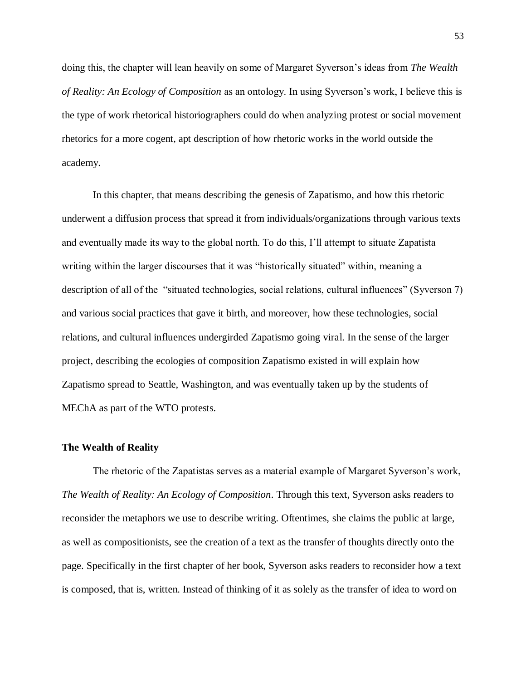doing this, the chapter will lean heavily on some of Margaret Syverson's ideas from *The Wealth of Reality: An Ecology of Composition* as an ontology. In using Syverson's work, I believe this is the type of work rhetorical historiographers could do when analyzing protest or social movement rhetorics for a more cogent, apt description of how rhetoric works in the world outside the academy.

In this chapter, that means describing the genesis of Zapatismo, and how this rhetoric underwent a diffusion process that spread it from individuals/organizations through various texts and eventually made its way to the global north. To do this, I'll attempt to situate Zapatista writing within the larger discourses that it was "historically situated" within, meaning a description of all of the "situated technologies, social relations, cultural influences" (Syverson 7) and various social practices that gave it birth, and moreover, how these technologies, social relations, and cultural influences undergirded Zapatismo going viral. In the sense of the larger project, describing the ecologies of composition Zapatismo existed in will explain how Zapatismo spread to Seattle, Washington, and was eventually taken up by the students of MEChA as part of the WTO protests.

#### **The Wealth of Reality**

The rhetoric of the Zapatistas serves as a material example of Margaret Syverson's work, *The Wealth of Reality: An Ecology of Composition*. Through this text, Syverson asks readers to reconsider the metaphors we use to describe writing. Oftentimes, she claims the public at large, as well as compositionists, see the creation of a text as the transfer of thoughts directly onto the page. Specifically in the first chapter of her book, Syverson asks readers to reconsider how a text is composed, that is, written. Instead of thinking of it as solely as the transfer of idea to word on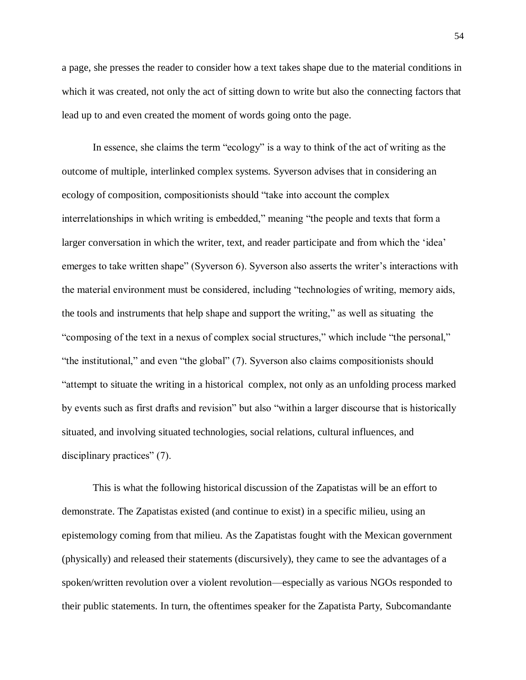a page, she presses the reader to consider how a text takes shape due to the material conditions in which it was created, not only the act of sitting down to write but also the connecting factors that lead up to and even created the moment of words going onto the page.

In essence, she claims the term "ecology" is a way to think of the act of writing as the outcome of multiple, interlinked complex systems. Syverson advises that in considering an ecology of composition, compositionists should "take into account the complex interrelationships in which writing is embedded," meaning "the people and texts that form a larger conversation in which the writer, text, and reader participate and from which the 'idea' emerges to take written shape" (Syverson 6). Syverson also asserts the writer's interactions with the material environment must be considered, including "technologies of writing, memory aids, the tools and instruments that help shape and support the writing," as well as situating the "composing of the text in a nexus of complex social structures," which include "the personal," "the institutional," and even "the global" (7). Syverson also claims compositionists should "attempt to situate the writing in a historical complex, not only as an unfolding process marked by events such as first drafts and revision" but also "within a larger discourse that is historically situated, and involving situated technologies, social relations, cultural influences, and disciplinary practices" (7).

This is what the following historical discussion of the Zapatistas will be an effort to demonstrate. The Zapatistas existed (and continue to exist) in a specific milieu, using an epistemology coming from that milieu. As the Zapatistas fought with the Mexican government (physically) and released their statements (discursively), they came to see the advantages of a spoken/written revolution over a violent revolution—especially as various NGOs responded to their public statements. In turn, the oftentimes speaker for the Zapatista Party, Subcomandante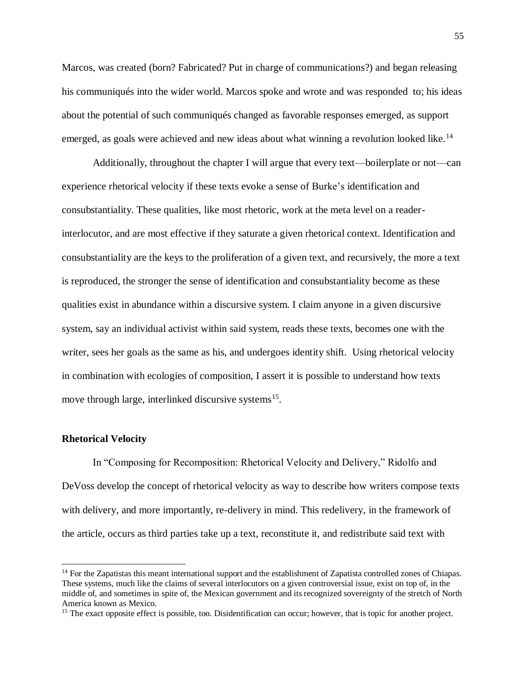Marcos, was created (born? Fabricated? Put in charge of communications?) and began releasing his communiqués into the wider world. Marcos spoke and wrote and was responded to; his ideas about the potential of such communiqués changed as favorable responses emerged, as support emerged, as goals were achieved and new ideas about what winning a revolution looked like.<sup>14</sup>

Additionally, throughout the chapter I will argue that every text—boilerplate or not—can experience rhetorical velocity if these texts evoke a sense of Burke's identification and consubstantiality. These qualities, like most rhetoric, work at the meta level on a readerinterlocutor, and are most effective if they saturate a given rhetorical context. Identification and consubstantiality are the keys to the proliferation of a given text, and recursively, the more a text is reproduced, the stronger the sense of identification and consubstantiality become as these qualities exist in abundance within a discursive system. I claim anyone in a given discursive system, say an individual activist within said system, reads these texts, becomes one with the writer, sees her goals as the same as his, and undergoes identity shift. Using rhetorical velocity in combination with ecologies of composition, I assert it is possible to understand how texts move through large, interlinked discursive systems<sup>15</sup>.

## **Rhetorical Velocity**

 $\overline{\phantom{a}}$ 

In "Composing for Recomposition: Rhetorical Velocity and Delivery," Ridolfo and DeVoss develop the concept of rhetorical velocity as way to describe how writers compose texts with delivery, and more importantly, re-delivery in mind. This redelivery, in the framework of the article, occurs as third parties take up a text, reconstitute it, and redistribute said text with

<sup>&</sup>lt;sup>14</sup> For the Zapatistas this meant international support and the establishment of Zapatista controlled zones of Chiapas. These systems, much like the claims of several interlocutors on a given controversial issue, exist on top of, in the middle of, and sometimes in spite of, the Mexican government and its recognized sovereignty of the stretch of North America known as Mexico.

<sup>&</sup>lt;sup>15</sup> The exact opposite effect is possible, too. Disidentification can occur; however, that is topic for another project.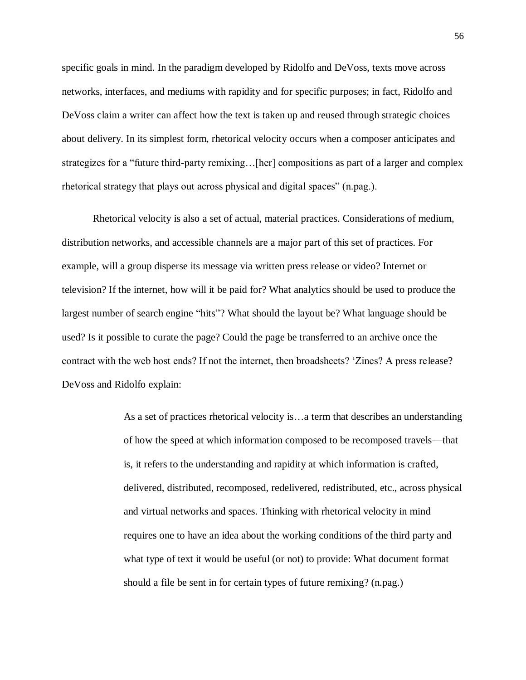specific goals in mind. In the paradigm developed by Ridolfo and DeVoss, texts move across networks, interfaces, and mediums with rapidity and for specific purposes; in fact, Ridolfo and DeVoss claim a writer can affect how the text is taken up and reused through strategic choices about delivery. In its simplest form, rhetorical velocity occurs when a composer anticipates and strategizes for a "future third-party remixing...[her] compositions as part of a larger and complex rhetorical strategy that plays out across physical and digital spaces" (n.pag.).

Rhetorical velocity is also a set of actual, material practices. Considerations of medium, distribution networks, and accessible channels are a major part of this set of practices. For example, will a group disperse its message via written press release or video? Internet or television? If the internet, how will it be paid for? What analytics should be used to produce the largest number of search engine "hits"? What should the layout be? What language should be used? Is it possible to curate the page? Could the page be transferred to an archive once the contract with the web host ends? If not the internet, then broadsheets? 'Zines? A press release? DeVoss and Ridolfo explain:

> As a set of practices rhetorical velocity is…a term that describes an understanding of how the speed at which information composed to be recomposed travels—that is, it refers to the understanding and rapidity at which information is crafted, delivered, distributed, recomposed, redelivered, redistributed, etc., across physical and virtual networks and spaces. Thinking with rhetorical velocity in mind requires one to have an idea about the working conditions of the third party and what type of text it would be useful (or not) to provide: What document format should a file be sent in for certain types of future remixing? (n.pag.)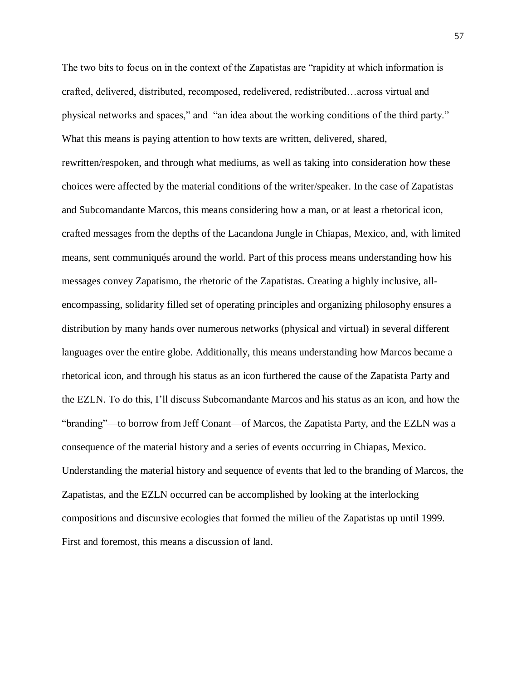The two bits to focus on in the context of the Zapatistas are "rapidity at which information is crafted, delivered, distributed, recomposed, redelivered, redistributed…across virtual and physical networks and spaces," and "an idea about the working conditions of the third party." What this means is paying attention to how texts are written, delivered, shared, rewritten/respoken, and through what mediums, as well as taking into consideration how these choices were affected by the material conditions of the writer/speaker. In the case of Zapatistas and Subcomandante Marcos, this means considering how a man, or at least a rhetorical icon, crafted messages from the depths of the Lacandona Jungle in Chiapas, Mexico, and, with limited means, sent communiqués around the world. Part of this process means understanding how his messages convey Zapatismo, the rhetoric of the Zapatistas. Creating a highly inclusive, allencompassing, solidarity filled set of operating principles and organizing philosophy ensures a distribution by many hands over numerous networks (physical and virtual) in several different languages over the entire globe. Additionally, this means understanding how Marcos became a rhetorical icon, and through his status as an icon furthered the cause of the Zapatista Party and the EZLN. To do this, I'll discuss Subcomandante Marcos and his status as an icon, and how the "branding"—to borrow from Jeff Conant—of Marcos, the Zapatista Party, and the EZLN was a consequence of the material history and a series of events occurring in Chiapas, Mexico. Understanding the material history and sequence of events that led to the branding of Marcos, the Zapatistas, and the EZLN occurred can be accomplished by looking at the interlocking compositions and discursive ecologies that formed the milieu of the Zapatistas up until 1999. First and foremost, this means a discussion of land.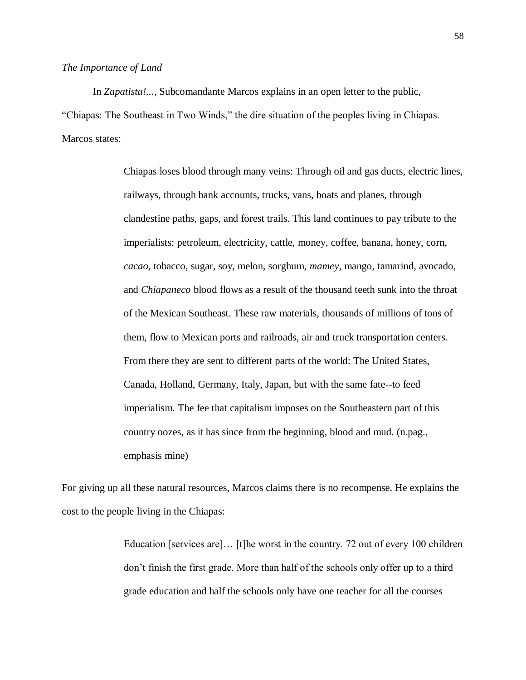In *Zapatista!...*, Subcomandante Marcos explains in an open letter to the public, "Chiapas: The Southeast in Two Winds," the dire situation of the peoples living in Chiapas. Marcos states:

> Chiapas loses blood through many veins: Through oil and gas ducts, electric lines, railways, through bank accounts, trucks, vans, boats and planes, through clandestine paths, gaps, and forest trails. This land continues to pay tribute to the imperialists: petroleum, electricity, cattle, money, coffee, banana, honey, corn, *cacao*, tobacco, sugar, soy, melon, sorghum, *mamey*, mango, tamarind, avocado, and *Chiapaneco* blood flows as a result of the thousand teeth sunk into the throat of the Mexican Southeast. These raw materials, thousands of millions of tons of them, flow to Mexican ports and railroads, air and truck transportation centers. From there they are sent to different parts of the world: The United States, Canada, Holland, Germany, Italy, Japan, but with the same fate--to feed imperialism. The fee that capitalism imposes on the Southeastern part of this country oozes, as it has since from the beginning, blood and mud. (n.pag., emphasis mine)

For giving up all these natural resources, Marcos claims there is no recompense. He explains the cost to the people living in the Chiapas:

> Education [services are]... [t]he worst in the country. 72 out of every 100 children don't finish the first grade. More than half of the schools only offer up to a third grade education and half the schools only have one teacher for all the courses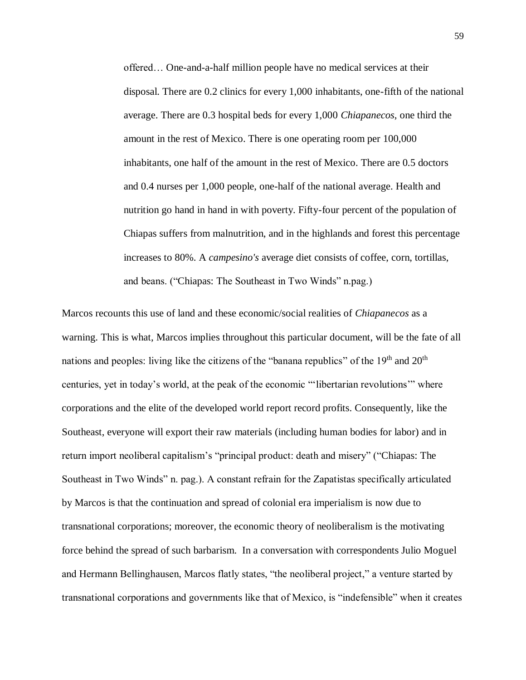offered… One-and-a-half million people have no medical services at their disposal. There are 0.2 clinics for every 1,000 inhabitants, one-fifth of the national average. There are 0.3 hospital beds for every 1,000 *Chiapanecos*, one third the amount in the rest of Mexico. There is one operating room per 100,000 inhabitants, one half of the amount in the rest of Mexico. There are 0.5 doctors and 0.4 nurses per 1,000 people, one-half of the national average. Health and nutrition go hand in hand in with poverty. Fifty-four percent of the population of Chiapas suffers from malnutrition, and in the highlands and forest this percentage increases to 80%. A *campesino's* average diet consists of coffee, corn, tortillas, and beans. ("Chiapas: The Southeast in Two Winds" n.pag.)

Marcos recounts this use of land and these economic/social realities of *Chiapanecos* as a warning. This is what, Marcos implies throughout this particular document, will be the fate of all nations and peoples: living like the citizens of the "banana republics" of the  $19<sup>th</sup>$  and  $20<sup>th</sup>$ centuries, yet in today's world, at the peak of the economic "'libertarian revolutions'" where corporations and the elite of the developed world report record profits. Consequently, like the Southeast, everyone will export their raw materials (including human bodies for labor) and in return import neoliberal capitalism's "principal product: death and misery" ("Chiapas: The Southeast in Two Winds" n. pag.). A constant refrain for the Zapatistas specifically articulated by Marcos is that the continuation and spread of colonial era imperialism is now due to transnational corporations; moreover, the economic theory of neoliberalism is the motivating force behind the spread of such barbarism. In a conversation with correspondents Julio Moguel and Hermann Bellinghausen, Marcos flatly states, "the neoliberal project," a venture started by transnational corporations and governments like that of Mexico, is "indefensible" when it creates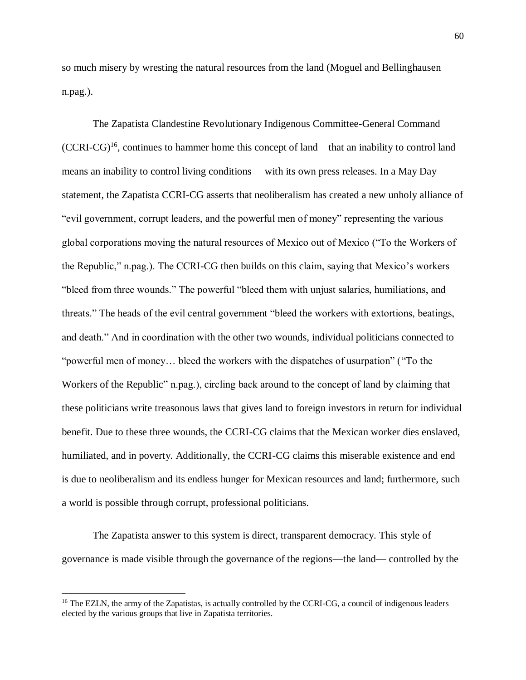so much misery by wresting the natural resources from the land (Moguel and Bellinghausen n.pag.).

The Zapatista Clandestine Revolutionary Indigenous Committee-General Command  $(CCRI-CG)^{16}$ , continues to hammer home this concept of land—that an inability to control land means an inability to control living conditions— with its own press releases. In a May Day statement, the Zapatista CCRI-CG asserts that neoliberalism has created a new unholy alliance of "evil government, corrupt leaders, and the powerful men of money" representing the various global corporations moving the natural resources of Mexico out of Mexico ("To the Workers of the Republic," n.pag.). The CCRI-CG then builds on this claim, saying that Mexico's workers "bleed from three wounds." The powerful "bleed them with unjust salaries, humiliations, and threats." The heads of the evil central government "bleed the workers with extortions, beatings, and death." And in coordination with the other two wounds, individual politicians connected to "powerful men of money… bleed the workers with the dispatches of usurpation" ("To the Workers of the Republic" n.pag.), circling back around to the concept of land by claiming that these politicians write treasonous laws that gives land to foreign investors in return for individual benefit. Due to these three wounds, the CCRI-CG claims that the Mexican worker dies enslaved, humiliated, and in poverty. Additionally, the CCRI-CG claims this miserable existence and end is due to neoliberalism and its endless hunger for Mexican resources and land; furthermore, such a world is possible through corrupt, professional politicians.

The Zapatista answer to this system is direct, transparent democracy. This style of governance is made visible through the governance of the regions—the land— controlled by the

 $\overline{a}$ 

<sup>&</sup>lt;sup>16</sup> The EZLN, the army of the Zapatistas, is actually controlled by the CCRI-CG, a council of indigenous leaders elected by the various groups that live in Zapatista territories.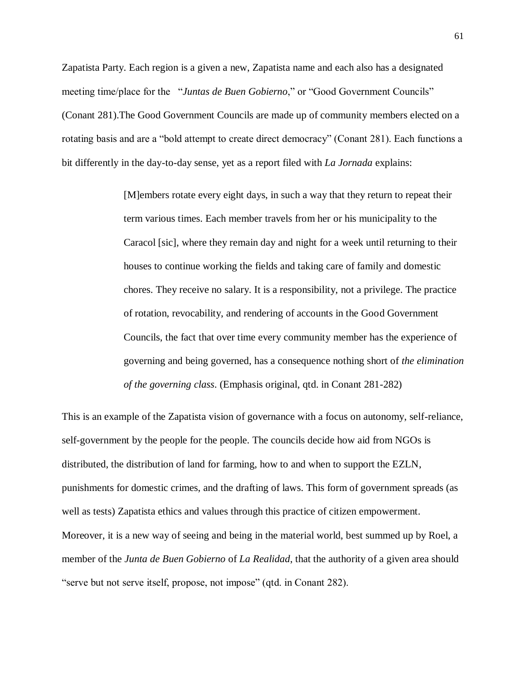Zapatista Party. Each region is a given a new, Zapatista name and each also has a designated meeting time/place for the *"Juntas de Buen Gobierno*," or "Good Government Councils" (Conant 281).The Good Government Councils are made up of community members elected on a rotating basis and are a "bold attempt to create direct democracy" (Conant 281). Each functions a bit differently in the day-to-day sense, yet as a report filed with *La Jornada* explains:

> [M]embers rotate every eight days, in such a way that they return to repeat their term various times. Each member travels from her or his municipality to the Caracol [sic], where they remain day and night for a week until returning to their houses to continue working the fields and taking care of family and domestic chores. They receive no salary. It is a responsibility, not a privilege. The practice of rotation, revocability, and rendering of accounts in the Good Government Councils, the fact that over time every community member has the experience of governing and being governed, has a consequence nothing short of *the elimination of the governing class*. (Emphasis original, qtd. in Conant 281-282)

This is an example of the Zapatista vision of governance with a focus on autonomy, self-reliance, self-government by the people for the people. The councils decide how aid from NGOs is distributed, the distribution of land for farming, how to and when to support the EZLN, punishments for domestic crimes, and the drafting of laws. This form of government spreads (as well as tests) Zapatista ethics and values through this practice of citizen empowerment. Moreover, it is a new way of seeing and being in the material world, best summed up by Roel, a member of the *Junta de Buen Gobierno* of *La Realidad*, that the authority of a given area should "serve but not serve itself, propose, not impose" (qtd. in Conant 282).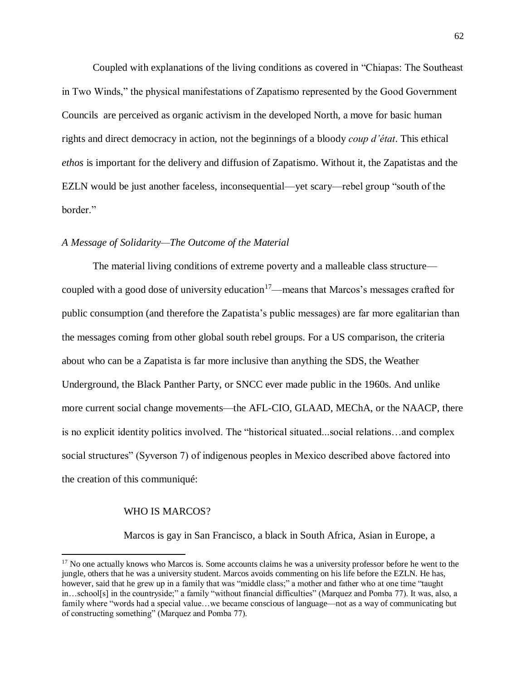Coupled with explanations of the living conditions as covered in "Chiapas: The Southeast in Two Winds," the physical manifestations of Zapatismo represented by the Good Government Councils are perceived as organic activism in the developed North, a move for basic human rights and direct democracy in action, not the beginnings of a bloody *coup d'état*. This ethical *ethos* is important for the delivery and diffusion of Zapatismo. Without it, the Zapatistas and the EZLN would be just another faceless, inconsequential—yet scary—rebel group "south of the border."

# *A Message of Solidarity—The Outcome of the Material*

The material living conditions of extreme poverty and a malleable class structure coupled with a good dose of university education<sup>17</sup>—means that Marcos's messages crafted for public consumption (and therefore the Zapatista's public messages) are far more egalitarian than the messages coming from other global south rebel groups. For a US comparison, the criteria about who can be a Zapatista is far more inclusive than anything the SDS, the Weather Underground, the Black Panther Party, or SNCC ever made public in the 1960s. And unlike more current social change movements—the AFL-CIO, GLAAD, MEChA, or the NAACP, there is no explicit identity politics involved. The "historical situated...social relations…and complex social structures" (Syverson 7) of indigenous peoples in Mexico described above factored into the creation of this communiqué:

# WHO IS MARCOS?

 $\overline{\phantom{a}}$ 

Marcos is gay in San Francisco, a black in South Africa, Asian in Europe, a

 $17$  No one actually knows who Marcos is. Some accounts claims he was a university professor before he went to the jungle, others that he was a university student. Marcos avoids commenting on his life before the EZLN. He has, however, said that he grew up in a family that was "middle class;" a mother and father who at one time "taught in…school[s] in the countryside;" a family "without financial difficulties" (Marquez and Pomba 77). It was, also, a family where "words had a special value…we became conscious of language—not as a way of communicating but of constructing something" (Marquez and Pomba 77).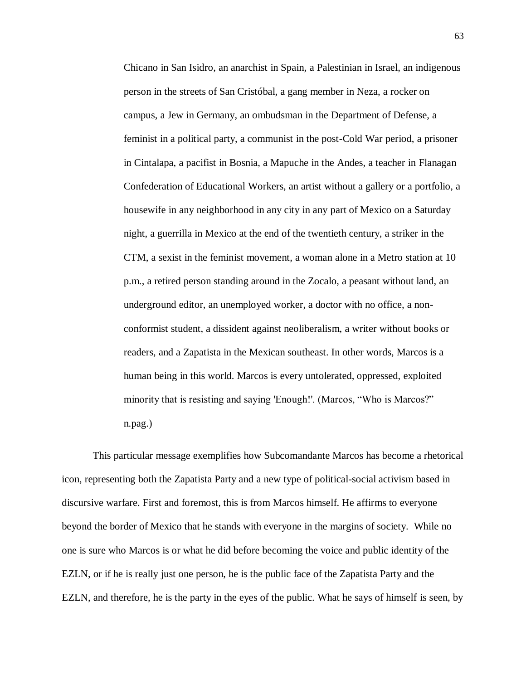Chicano in San Isidro, an anarchist in Spain, a Palestinian in Israel, an indigenous person in the streets of San Cristóbal, a gang member in Neza, a rocker on campus, a Jew in Germany, an ombudsman in the Department of Defense, a feminist in a political party, a communist in the post-Cold War period, a prisoner in Cintalapa, a pacifist in Bosnia, a Mapuche in the Andes, a teacher in Flanagan Confederation of Educational Workers, an artist without a gallery or a portfolio, a housewife in any neighborhood in any city in any part of Mexico on a Saturday night, a guerrilla in Mexico at the end of the twentieth century, a striker in the CTM, a sexist in the feminist movement, a woman alone in a Metro station at 10 p.m., a retired person standing around in the Zocalo, a peasant without land, an underground editor, an unemployed worker, a doctor with no office, a nonconformist student, a dissident against neoliberalism, a writer without books or readers, and a Zapatista in the Mexican southeast. In other words, Marcos is a human being in this world. Marcos is every untolerated, oppressed, exploited minority that is resisting and saying 'Enough!'. (Marcos, "Who is Marcos?" n.pag.)

This particular message exemplifies how Subcomandante Marcos has become a rhetorical icon, representing both the Zapatista Party and a new type of political-social activism based in discursive warfare. First and foremost, this is from Marcos himself. He affirms to everyone beyond the border of Mexico that he stands with everyone in the margins of society. While no one is sure who Marcos is or what he did before becoming the voice and public identity of the EZLN, or if he is really just one person, he is the public face of the Zapatista Party and the EZLN, and therefore, he is the party in the eyes of the public. What he says of himself is seen, by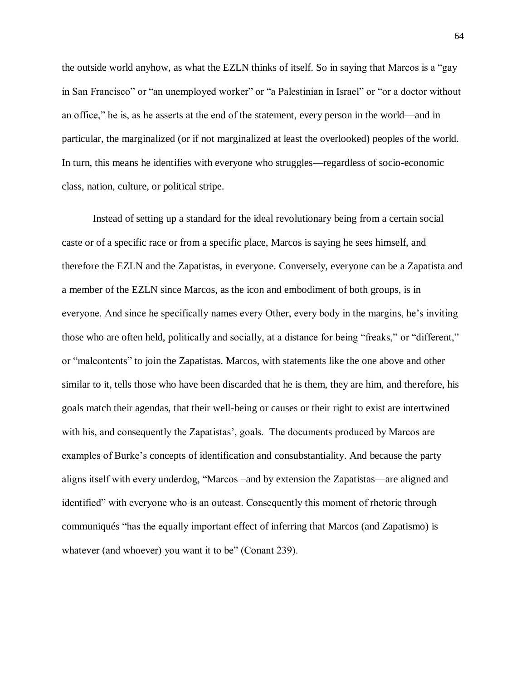the outside world anyhow, as what the EZLN thinks of itself. So in saying that Marcos is a "gay in San Francisco" or "an unemployed worker" or "a Palestinian in Israel" or "or a doctor without an office," he is, as he asserts at the end of the statement, every person in the world—and in particular, the marginalized (or if not marginalized at least the overlooked) peoples of the world. In turn, this means he identifies with everyone who struggles—regardless of socio-economic class, nation, culture, or political stripe.

Instead of setting up a standard for the ideal revolutionary being from a certain social caste or of a specific race or from a specific place, Marcos is saying he sees himself, and therefore the EZLN and the Zapatistas, in everyone. Conversely, everyone can be a Zapatista and a member of the EZLN since Marcos, as the icon and embodiment of both groups, is in everyone. And since he specifically names every Other, every body in the margins, he's inviting those who are often held, politically and socially, at a distance for being "freaks," or "different," or "malcontents" to join the Zapatistas. Marcos, with statements like the one above and other similar to it, tells those who have been discarded that he is them, they are him, and therefore, his goals match their agendas, that their well-being or causes or their right to exist are intertwined with his, and consequently the Zapatistas', goals. The documents produced by Marcos are examples of Burke's concepts of identification and consubstantiality. And because the party aligns itself with every underdog, "Marcos –and by extension the Zapatistas—are aligned and identified" with everyone who is an outcast. Consequently this moment of rhetoric through communiqués "has the equally important effect of inferring that Marcos (and Zapatismo) is whatever (and whoever) you want it to be" (Conant 239).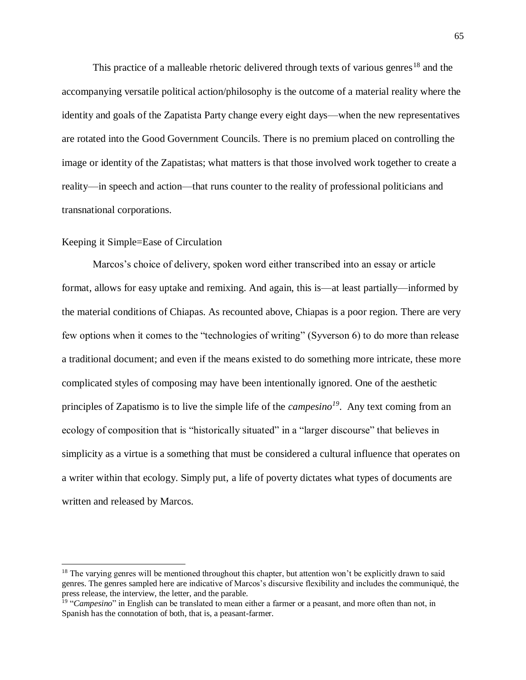This practice of a malleable rhetoric delivered through texts of various genres<sup>18</sup> and the accompanying versatile political action/philosophy is the outcome of a material reality where the identity and goals of the Zapatista Party change every eight days—when the new representatives are rotated into the Good Government Councils. There is no premium placed on controlling the image or identity of the Zapatistas; what matters is that those involved work together to create a reality—in speech and action—that runs counter to the reality of professional politicians and transnational corporations.

# Keeping it Simple=Ease of Circulation

 $\overline{\phantom{a}}$ 

Marcos's choice of delivery, spoken word either transcribed into an essay or article format, allows for easy uptake and remixing. And again, this is—at least partially—informed by the material conditions of Chiapas. As recounted above, Chiapas is a poor region. There are very few options when it comes to the "technologies of writing" (Syverson 6) to do more than release a traditional document; and even if the means existed to do something more intricate, these more complicated styles of composing may have been intentionally ignored. One of the aesthetic principles of Zapatismo is to live the simple life of the *campesino<sup>19</sup>*. Any text coming from an ecology of composition that is "historically situated" in a "larger discourse" that believes in simplicity as a virtue is a something that must be considered a cultural influence that operates on a writer within that ecology. Simply put, a life of poverty dictates what types of documents are written and released by Marcos.

 $18$  The varying genres will be mentioned throughout this chapter, but attention won't be explicitly drawn to said genres. The genres sampled here are indicative of Marcos's discursive flexibility and includes the communiqué, the press release, the interview, the letter, and the parable.

<sup>&</sup>lt;sup>19</sup> "Campesino" in English can be translated to mean either a farmer or a peasant, and more often than not, in Spanish has the connotation of both, that is, a peasant-farmer.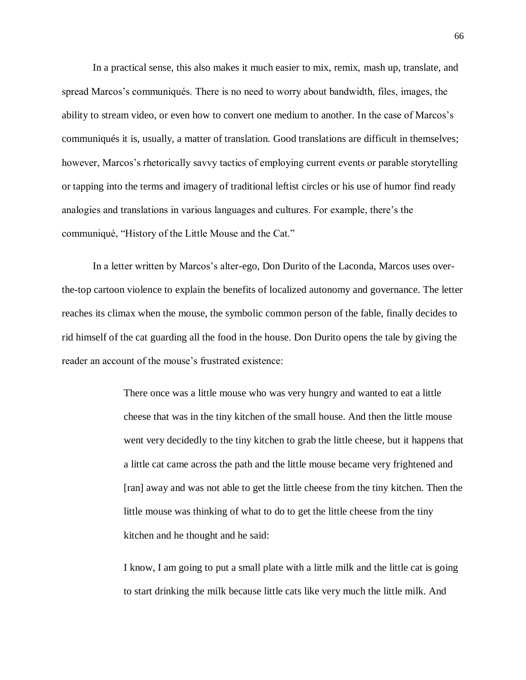In a practical sense, this also makes it much easier to mix, remix, mash up, translate, and spread Marcos's communiqués. There is no need to worry about bandwidth, files, images, the ability to stream video, or even how to convert one medium to another. In the case of Marcos's communiqués it is, usually, a matter of translation. Good translations are difficult in themselves; however, Marcos's rhetorically savvy tactics of employing current events or parable storytelling or tapping into the terms and imagery of traditional leftist circles or his use of humor find ready analogies and translations in various languages and cultures. For example, there's the communiqué, "History of the Little Mouse and the Cat."

In a letter written by Marcos's alter-ego, Don Durito of the Laconda, Marcos uses overthe-top cartoon violence to explain the benefits of localized autonomy and governance. The letter reaches its climax when the mouse, the symbolic common person of the fable, finally decides to rid himself of the cat guarding all the food in the house. Don Durito opens the tale by giving the reader an account of the mouse's frustrated existence:

> There once was a little mouse who was very hungry and wanted to eat a little cheese that was in the tiny kitchen of the small house. And then the little mouse went very decidedly to the tiny kitchen to grab the little cheese, but it happens that a little cat came across the path and the little mouse became very frightened and [ran] away and was not able to get the little cheese from the tiny kitchen. Then the little mouse was thinking of what to do to get the little cheese from the tiny kitchen and he thought and he said:

I know, I am going to put a small plate with a little milk and the little cat is going to start drinking the milk because little cats like very much the little milk. And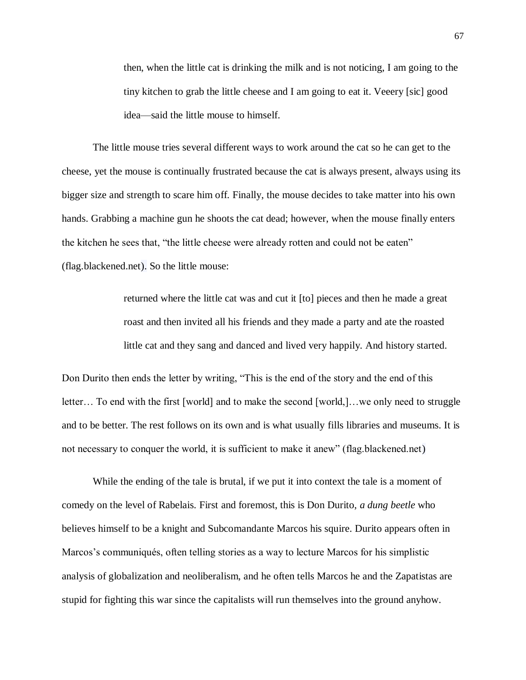then, when the little cat is drinking the milk and is not noticing, I am going to the tiny kitchen to grab the little cheese and I am going to eat it. Veeery [sic] good idea—said the little mouse to himself.

The little mouse tries several different ways to work around the cat so he can get to the cheese, yet the mouse is continually frustrated because the cat is always present, always using its bigger size and strength to scare him off. Finally, the mouse decides to take matter into his own hands. Grabbing a machine gun he shoots the cat dead; however, when the mouse finally enters the kitchen he sees that, "the little cheese were already rotten and could not be eaten" (flag.blackened.net). So the little mouse:

> returned where the little cat was and cut it [to] pieces and then he made a great roast and then invited all his friends and they made a party and ate the roasted little cat and they sang and danced and lived very happily. And history started.

Don Durito then ends the letter by writing, "This is the end of the story and the end of this letter… To end with the first [world] and to make the second [world,]…we only need to struggle and to be better. The rest follows on its own and is what usually fills libraries and museums. It is not necessary to conquer the world, it is sufficient to make it anew" (flag.blackened.net)

While the ending of the tale is brutal, if we put it into context the tale is a moment of comedy on the level of Rabelais. First and foremost, this is Don Durito, *a dung beetle* who believes himself to be a knight and Subcomandante Marcos his squire. Durito appears often in Marcos's communiqués, often telling stories as a way to lecture Marcos for his simplistic analysis of globalization and neoliberalism, and he often tells Marcos he and the Zapatistas are stupid for fighting this war since the capitalists will run themselves into the ground anyhow.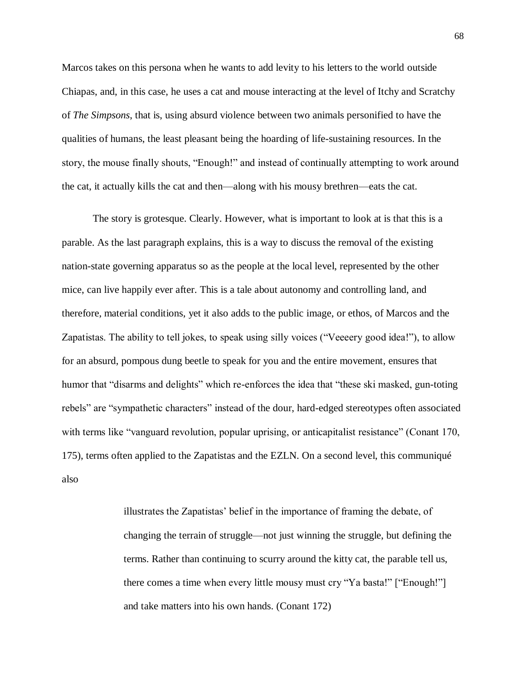Marcos takes on this persona when he wants to add levity to his letters to the world outside Chiapas, and, in this case, he uses a cat and mouse interacting at the level of Itchy and Scratchy of *The Simpsons*, that is, using absurd violence between two animals personified to have the qualities of humans, the least pleasant being the hoarding of life-sustaining resources. In the story, the mouse finally shouts, "Enough!" and instead of continually attempting to work around the cat, it actually kills the cat and then—along with his mousy brethren—eats the cat.

The story is grotesque. Clearly. However, what is important to look at is that this is a parable. As the last paragraph explains, this is a way to discuss the removal of the existing nation-state governing apparatus so as the people at the local level, represented by the other mice, can live happily ever after. This is a tale about autonomy and controlling land, and therefore, material conditions, yet it also adds to the public image, or ethos, of Marcos and the Zapatistas. The ability to tell jokes, to speak using silly voices ("Veeeery good idea!"), to allow for an absurd, pompous dung beetle to speak for you and the entire movement, ensures that humor that "disarms and delights" which re-enforces the idea that "these ski masked, gun-toting rebels" are "sympathetic characters" instead of the dour, hard-edged stereotypes often associated with terms like "vanguard revolution, popular uprising, or anticapitalist resistance" (Conant 170, 175), terms often applied to the Zapatistas and the EZLN. On a second level, this communiqué also

> illustrates the Zapatistas' belief in the importance of framing the debate, of changing the terrain of struggle—not just winning the struggle, but defining the terms. Rather than continuing to scurry around the kitty cat, the parable tell us, there comes a time when every little mousy must cry "Ya basta!" ["Enough!"] and take matters into his own hands. (Conant 172)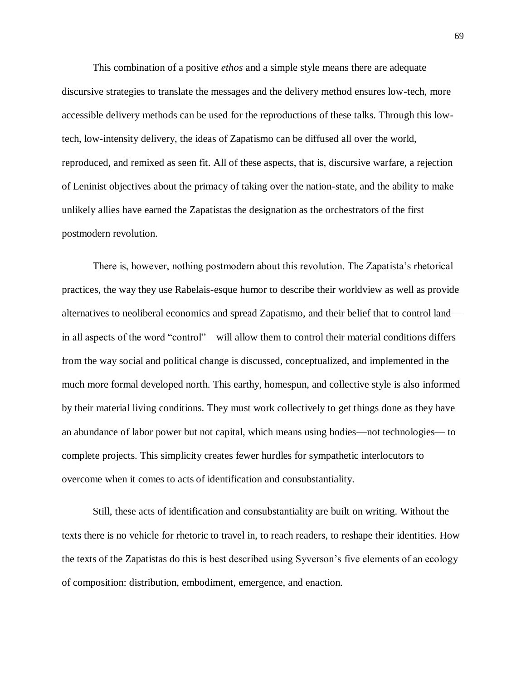This combination of a positive *ethos* and a simple style means there are adequate discursive strategies to translate the messages and the delivery method ensures low-tech, more accessible delivery methods can be used for the reproductions of these talks. Through this lowtech, low-intensity delivery, the ideas of Zapatismo can be diffused all over the world, reproduced, and remixed as seen fit. All of these aspects, that is, discursive warfare, a rejection of Leninist objectives about the primacy of taking over the nation-state, and the ability to make unlikely allies have earned the Zapatistas the designation as the orchestrators of the first postmodern revolution.

There is, however, nothing postmodern about this revolution. The Zapatista's rhetorical practices, the way they use Rabelais-esque humor to describe their worldview as well as provide alternatives to neoliberal economics and spread Zapatismo, and their belief that to control land in all aspects of the word "control"—will allow them to control their material conditions differs from the way social and political change is discussed, conceptualized, and implemented in the much more formal developed north. This earthy, homespun, and collective style is also informed by their material living conditions. They must work collectively to get things done as they have an abundance of labor power but not capital, which means using bodies—not technologies— to complete projects. This simplicity creates fewer hurdles for sympathetic interlocutors to overcome when it comes to acts of identification and consubstantiality.

Still, these acts of identification and consubstantiality are built on writing. Without the texts there is no vehicle for rhetoric to travel in, to reach readers, to reshape their identities. How the texts of the Zapatistas do this is best described using Syverson's five elements of an ecology of composition: distribution, embodiment, emergence, and enaction.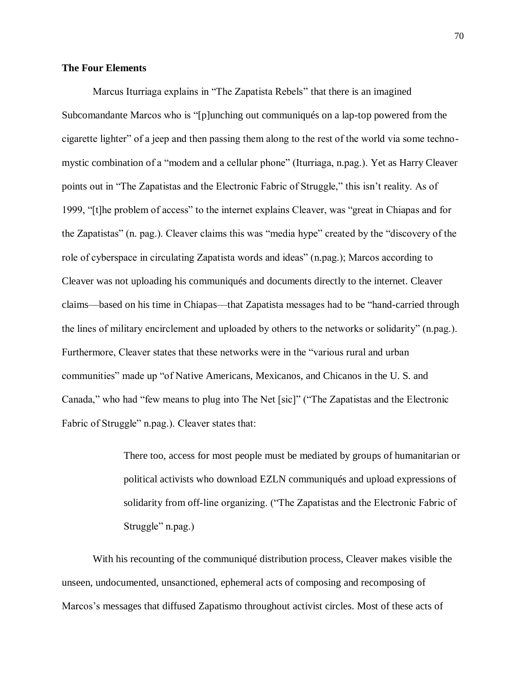## **The Four Elements**

Marcus Iturriaga explains in "The Zapatista Rebels" that there is an imagined Subcomandante Marcos who is "[p]unching out communiqués on a lap-top powered from the cigarette lighter" of a jeep and then passing them along to the rest of the world via some technomystic combination of a "modem and a cellular phone" (Iturriaga, n.pag.). Yet as Harry Cleaver points out in "The Zapatistas and the Electronic Fabric of Struggle," this isn't reality. As of 1999, "[t]he problem of access" to the internet explains Cleaver, was "great in Chiapas and for the Zapatistas" (n. pag.). Cleaver claims this was "media hype" created by the "discovery of the role of cyberspace in circulating Zapatista words and ideas" (n.pag.); Marcos according to Cleaver was not uploading his communiqués and documents directly to the internet. Cleaver claims—based on his time in Chiapas—that Zapatista messages had to be "hand-carried through the lines of military encirclement and uploaded by others to the networks or solidarity" (n.pag.). Furthermore, Cleaver states that these networks were in the "various rural and urban communities" made up "of Native Americans, Mexicanos, and Chicanos in the U. S. and Canada," who had "few means to plug into The Net [sic]" ("The Zapatistas and the Electronic Fabric of Struggle" n.pag.). Cleaver states that:

> There too, access for most people must be mediated by groups of humanitarian or political activists who download EZLN communiqués and upload expressions of solidarity from off-line organizing. ("The Zapatistas and the Electronic Fabric of Struggle" n.pag.)

With his recounting of the communiqué distribution process, Cleaver makes visible the unseen, undocumented, unsanctioned, ephemeral acts of composing and recomposing of Marcos's messages that diffused Zapatismo throughout activist circles. Most of these acts of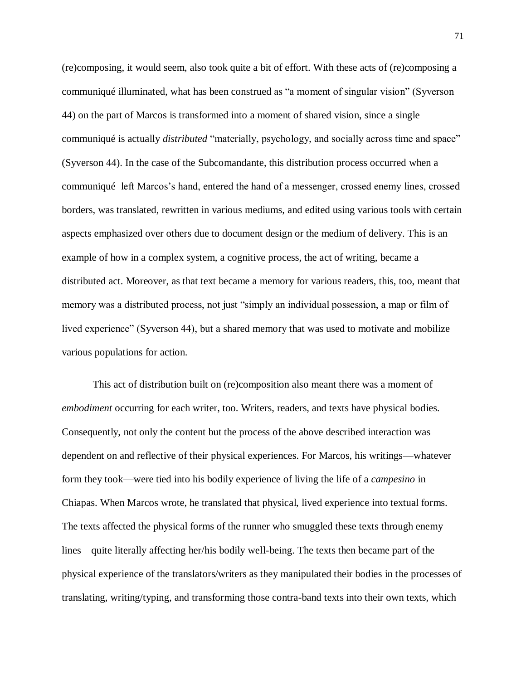(re)composing, it would seem, also took quite a bit of effort. With these acts of (re)composing a communiqué illuminated, what has been construed as "a moment of singular vision" (Syverson 44) on the part of Marcos is transformed into a moment of shared vision, since a single communiqué is actually *distributed* "materially, psychology, and socially across time and space" (Syverson 44). In the case of the Subcomandante, this distribution process occurred when a communiqué left Marcos's hand, entered the hand of a messenger, crossed enemy lines, crossed borders, was translated, rewritten in various mediums, and edited using various tools with certain aspects emphasized over others due to document design or the medium of delivery. This is an example of how in a complex system, a cognitive process, the act of writing, became a distributed act. Moreover, as that text became a memory for various readers, this, too, meant that memory was a distributed process, not just "simply an individual possession, a map or film of lived experience" (Syverson 44), but a shared memory that was used to motivate and mobilize various populations for action.

This act of distribution built on (re)composition also meant there was a moment of *embodiment* occurring for each writer, too. Writers, readers, and texts have physical bodies. Consequently, not only the content but the process of the above described interaction was dependent on and reflective of their physical experiences. For Marcos, his writings—whatever form they took—were tied into his bodily experience of living the life of a *campesino* in Chiapas. When Marcos wrote, he translated that physical, lived experience into textual forms. The texts affected the physical forms of the runner who smuggled these texts through enemy lines—quite literally affecting her/his bodily well-being. The texts then became part of the physical experience of the translators/writers as they manipulated their bodies in the processes of translating, writing/typing, and transforming those contra-band texts into their own texts, which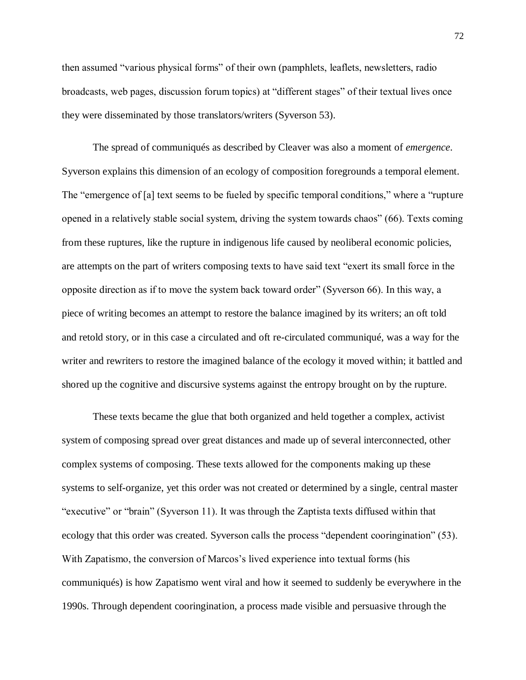then assumed "various physical forms" of their own (pamphlets, leaflets, newsletters, radio broadcasts, web pages, discussion forum topics) at "different stages" of their textual lives once they were disseminated by those translators/writers (Syverson 53).

The spread of communiqués as described by Cleaver was also a moment of *emergence*. Syverson explains this dimension of an ecology of composition foregrounds a temporal element. The "emergence of [a] text seems to be fueled by specific temporal conditions," where a "rupture opened in a relatively stable social system, driving the system towards chaos" (66). Texts coming from these ruptures, like the rupture in indigenous life caused by neoliberal economic policies, are attempts on the part of writers composing texts to have said text "exert its small force in the opposite direction as if to move the system back toward order" (Syverson 66). In this way, a piece of writing becomes an attempt to restore the balance imagined by its writers; an oft told and retold story, or in this case a circulated and oft re-circulated communiqué, was a way for the writer and rewriters to restore the imagined balance of the ecology it moved within; it battled and shored up the cognitive and discursive systems against the entropy brought on by the rupture.

These texts became the glue that both organized and held together a complex, activist system of composing spread over great distances and made up of several interconnected, other complex systems of composing. These texts allowed for the components making up these systems to self-organize, yet this order was not created or determined by a single, central master "executive" or "brain" (Syverson 11). It was through the Zaptista texts diffused within that ecology that this order was created. Syverson calls the process "dependent cooringination" (53). With Zapatismo, the conversion of Marcos's lived experience into textual forms (his communiqués) is how Zapatismo went viral and how it seemed to suddenly be everywhere in the 1990s. Through dependent cooringination, a process made visible and persuasive through the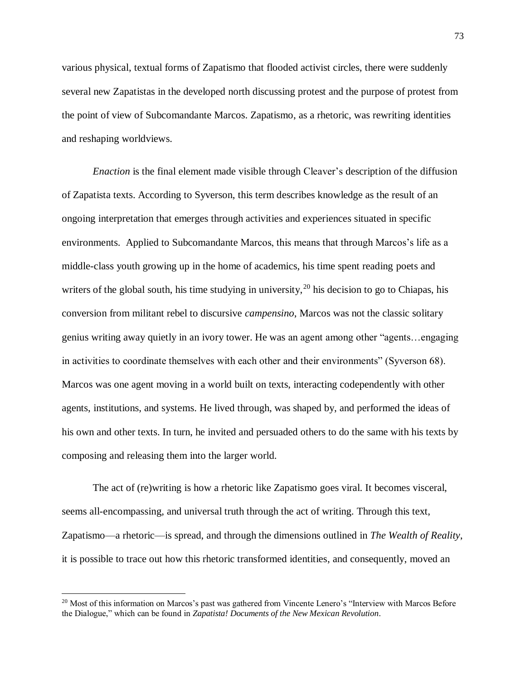various physical, textual forms of Zapatismo that flooded activist circles, there were suddenly several new Zapatistas in the developed north discussing protest and the purpose of protest from the point of view of Subcomandante Marcos. Zapatismo, as a rhetoric, was rewriting identities and reshaping worldviews.

*Enaction* is the final element made visible through Cleaver's description of the diffusion of Zapatista texts. According to Syverson, this term describes knowledge as the result of an ongoing interpretation that emerges through activities and experiences situated in specific environments. Applied to Subcomandante Marcos, this means that through Marcos's life as a middle-class youth growing up in the home of academics, his time spent reading poets and writers of the global south, his time studying in university,  $2<sup>0</sup>$  his decision to go to Chiapas, his conversion from militant rebel to discursive *campensino*, Marcos was not the classic solitary genius writing away quietly in an ivory tower. He was an agent among other "agents…engaging in activities to coordinate themselves with each other and their environments" (Syverson 68). Marcos was one agent moving in a world built on texts, interacting codependently with other agents, institutions, and systems. He lived through, was shaped by, and performed the ideas of his own and other texts. In turn, he invited and persuaded others to do the same with his texts by composing and releasing them into the larger world.

The act of (re)writing is how a rhetoric like Zapatismo goes viral. It becomes visceral, seems all-encompassing, and universal truth through the act of writing. Through this text, Zapatismo—a rhetoric—is spread, and through the dimensions outlined in *The Wealth of Reality*, it is possible to trace out how this rhetoric transformed identities, and consequently, moved an

 $\overline{a}$ 

<sup>&</sup>lt;sup>20</sup> Most of this information on Marcos's past was gathered from Vincente Lenero's "Interview with Marcos Before the Dialogue," which can be found in *Zapatista! Documents of the New Mexican Revolution*.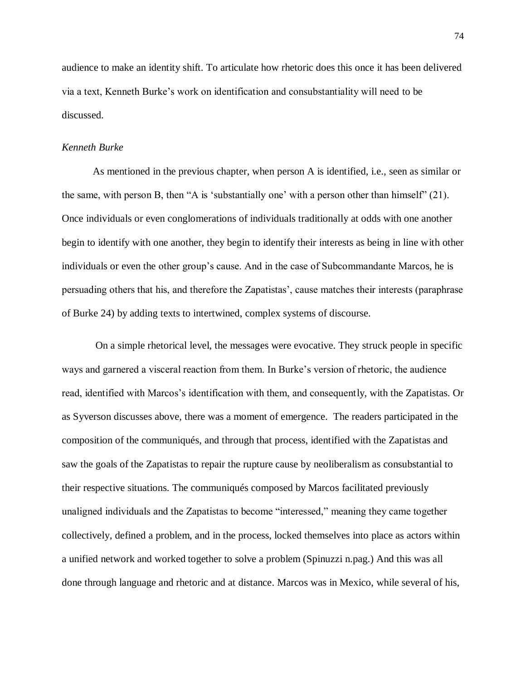audience to make an identity shift. To articulate how rhetoric does this once it has been delivered via a text, Kenneth Burke's work on identification and consubstantiality will need to be discussed.

# *Kenneth Burke*

As mentioned in the previous chapter, when person A is identified, i.e., seen as similar or the same, with person B, then "A is 'substantially one' with a person other than himself" (21). Once individuals or even conglomerations of individuals traditionally at odds with one another begin to identify with one another, they begin to identify their interests as being in line with other individuals or even the other group's cause. And in the case of Subcommandante Marcos, he is persuading others that his, and therefore the Zapatistas', cause matches their interests (paraphrase of Burke 24) by adding texts to intertwined, complex systems of discourse.

On a simple rhetorical level, the messages were evocative. They struck people in specific ways and garnered a visceral reaction from them. In Burke's version of rhetoric, the audience read, identified with Marcos's identification with them, and consequently, with the Zapatistas. Or as Syverson discusses above, there was a moment of emergence. The readers participated in the composition of the communiqués, and through that process, identified with the Zapatistas and saw the goals of the Zapatistas to repair the rupture cause by neoliberalism as consubstantial to their respective situations. The communiqués composed by Marcos facilitated previously unaligned individuals and the Zapatistas to become "interessed," meaning they came together collectively, defined a problem, and in the process, locked themselves into place as actors within a unified network and worked together to solve a problem (Spinuzzi n.pag.) And this was all done through language and rhetoric and at distance. Marcos was in Mexico, while several of his,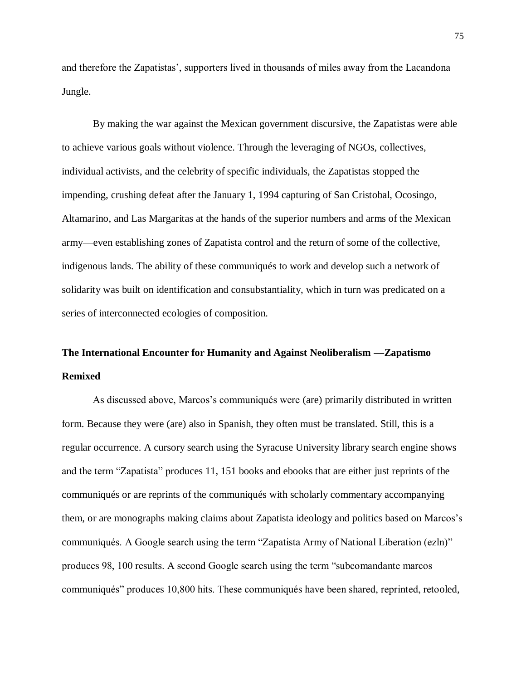and therefore the Zapatistas', supporters lived in thousands of miles away from the Lacandona Jungle.

By making the war against the Mexican government discursive, the Zapatistas were able to achieve various goals without violence. Through the leveraging of NGOs, collectives, individual activists, and the celebrity of specific individuals, the Zapatistas stopped the impending, crushing defeat after the January 1, 1994 capturing of San Cristobal, Ocosingo, Altamarino, and Las Margaritas at the hands of the superior numbers and arms of the Mexican army—even establishing zones of Zapatista control and the return of some of the collective, indigenous lands. The ability of these communiqués to work and develop such a network of solidarity was built on identification and consubstantiality, which in turn was predicated on a series of interconnected ecologies of composition.

# **The International Encounter for Humanity and Against Neoliberalism —Zapatismo Remixed**

As discussed above, Marcos's communiqués were (are) primarily distributed in written form. Because they were (are) also in Spanish, they often must be translated. Still, this is a regular occurrence. A cursory search using the Syracuse University library search engine shows and the term "Zapatista" produces 11, 151 books and ebooks that are either just reprints of the communiqués or are reprints of the communiqués with scholarly commentary accompanying them, or are monographs making claims about Zapatista ideology and politics based on Marcos's communiqués. A Google search using the term "Zapatista Army of National Liberation (ezln)" produces 98, 100 results. A second Google search using the term "subcomandante marcos communiqués" produces 10,800 hits. These communiqués have been shared, reprinted, retooled,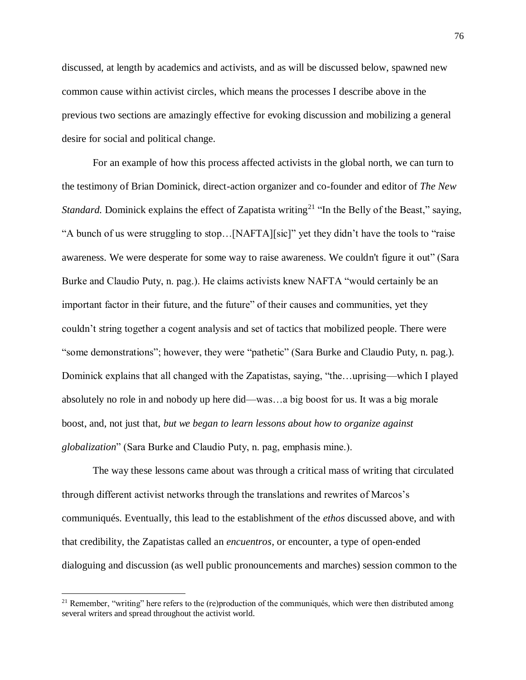discussed, at length by academics and activists, and as will be discussed below, spawned new common cause within activist circles, which means the processes I describe above in the previous two sections are amazingly effective for evoking discussion and mobilizing a general desire for social and political change.

For an example of how this process affected activists in the global north, we can turn to the testimony of Brian Dominick, direct-action organizer and co-founder and editor of *The New Standard.* Dominick explains the effect of Zapatista writing<sup>21</sup> "In the Belly of the Beast," saying, "A bunch of us were struggling to stop…[NAFTA][sic]" yet they didn't have the tools to "raise awareness. We were desperate for some way to raise awareness. We couldn't figure it out" (Sara Burke and Claudio Puty, n. pag.). He claims activists knew NAFTA "would certainly be an important factor in their future, and the future" of their causes and communities, yet they couldn't string together a cogent analysis and set of tactics that mobilized people. There were "some demonstrations"; however, they were "pathetic" (Sara Burke and Claudio Puty, n. pag.). Dominick explains that all changed with the Zapatistas, saying, "the…uprising—which I played absolutely no role in and nobody up here did—was…a big boost for us. It was a big morale boost, and, not just that, *but we began to learn lessons about how to organize against globalization*" (Sara Burke and Claudio Puty, n. pag, emphasis mine.).

The way these lessons came about was through a critical mass of writing that circulated through different activist networks through the translations and rewrites of Marcos's communiqués. Eventually, this lead to the establishment of the *ethos* discussed above, and with that credibility, the Zapatistas called an *encuentros*, or encounter, a type of open-ended dialoguing and discussion (as well public pronouncements and marches) session common to the

 $\overline{a}$ 

<sup>&</sup>lt;sup>21</sup> Remember, "writing" here refers to the (re)production of the communiqués, which were then distributed among several writers and spread throughout the activist world.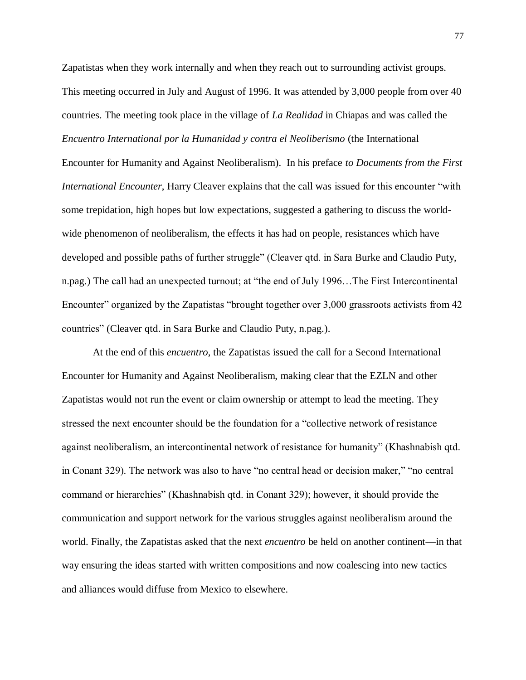Zapatistas when they work internally and when they reach out to surrounding activist groups. This meeting occurred in July and August of 1996. It was attended by 3,000 people from over 40 countries. The meeting took place in the village of *La Realidad* in Chiapas and was called the *Encuentro International por la Humanidad y contra el Neoliberismo* (the International

Encounter for Humanity and Against Neoliberalism). In his preface *to Documents from the First International Encounter*, Harry Cleaver explains that the call was issued for this encounter "with some trepidation, high hopes but low expectations, suggested a gathering to discuss the worldwide phenomenon of neoliberalism, the effects it has had on people, resistances which have developed and possible paths of further struggle" (Cleaver qtd. in Sara Burke and Claudio Puty, n.pag.) The call had an unexpected turnout; at "the end of July 1996…The First Intercontinental Encounter" organized by the Zapatistas "brought together over 3,000 grassroots activists from 42 countries" (Cleaver qtd. in Sara Burke and Claudio Puty, n.pag.).

At the end of this *encuentro*, the Zapatistas issued the call for a Second International Encounter for Humanity and Against Neoliberalism, making clear that the EZLN and other Zapatistas would not run the event or claim ownership or attempt to lead the meeting. They stressed the next encounter should be the foundation for a "collective network of resistance against neoliberalism, an intercontinental network of resistance for humanity" (Khashnabish qtd. in Conant 329). The network was also to have "no central head or decision maker," "no central command or hierarchies" (Khashnabish qtd. in Conant 329); however, it should provide the communication and support network for the various struggles against neoliberalism around the world. Finally, the Zapatistas asked that the next *encuentro* be held on another continent—in that way ensuring the ideas started with written compositions and now coalescing into new tactics and alliances would diffuse from Mexico to elsewhere.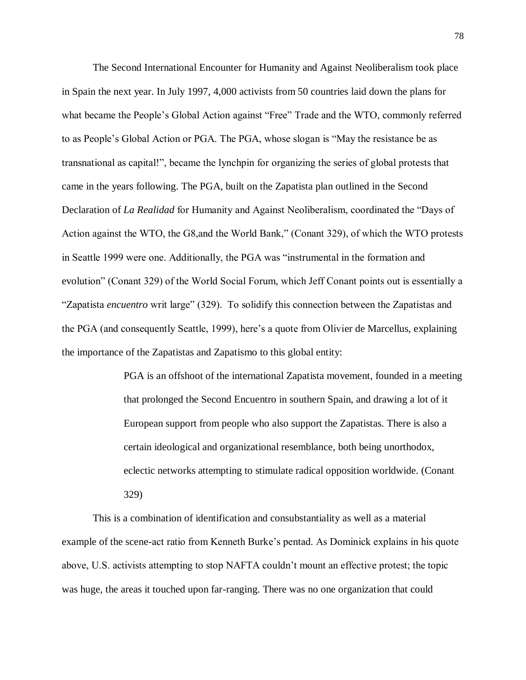The Second International Encounter for Humanity and Against Neoliberalism took place in Spain the next year. In July 1997, 4,000 activists from 50 countries laid down the plans for what became the People's Global Action against "Free" Trade and the WTO, commonly referred to as People's Global Action or PGA. The PGA, whose slogan is "May the resistance be as transnational as capital!", became the lynchpin for organizing the series of global protests that came in the years following. The PGA, built on the Zapatista plan outlined in the Second Declaration of *La Realidad* for Humanity and Against Neoliberalism, coordinated the "Days of Action against the WTO, the G8,and the World Bank," (Conant 329), of which the WTO protests in Seattle 1999 were one. Additionally, the PGA was "instrumental in the formation and evolution" (Conant 329) of the World Social Forum, which Jeff Conant points out is essentially a "Zapatista *encuentro* writ large" (329). To solidify this connection between the Zapatistas and the PGA (and consequently Seattle, 1999), here's a quote from Olivier de Marcellus, explaining the importance of the Zapatistas and Zapatismo to this global entity:

> PGA is an offshoot of the international Zapatista movement, founded in a meeting that prolonged the Second Encuentro in southern Spain, and drawing a lot of it European support from people who also support the Zapatistas. There is also a certain ideological and organizational resemblance, both being unorthodox, eclectic networks attempting to stimulate radical opposition worldwide. (Conant 329)

This is a combination of identification and consubstantiality as well as a material example of the scene-act ratio from Kenneth Burke's pentad. As Dominick explains in his quote above, U.S. activists attempting to stop NAFTA couldn't mount an effective protest; the topic was huge, the areas it touched upon far-ranging. There was no one organization that could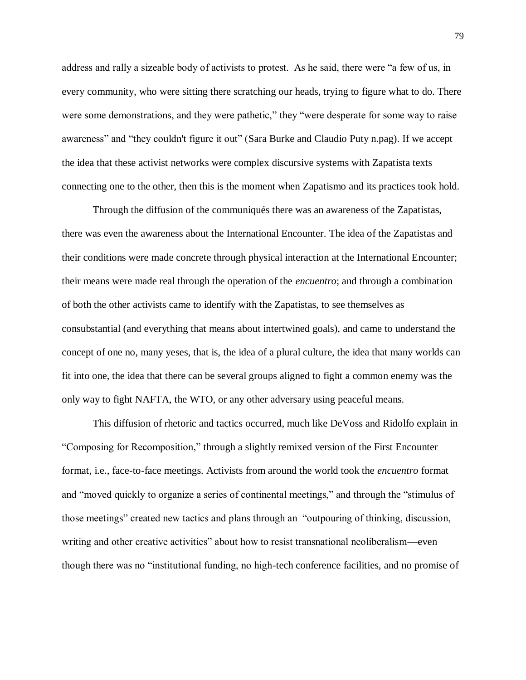address and rally a sizeable body of activists to protest. As he said, there were "a few of us, in every community, who were sitting there scratching our heads, trying to figure what to do. There were some demonstrations, and they were pathetic," they "were desperate for some way to raise awareness" and "they couldn't figure it out" (Sara Burke and Claudio Puty n.pag). If we accept the idea that these activist networks were complex discursive systems with Zapatista texts connecting one to the other, then this is the moment when Zapatismo and its practices took hold.

Through the diffusion of the communiqués there was an awareness of the Zapatistas, there was even the awareness about the International Encounter. The idea of the Zapatistas and their conditions were made concrete through physical interaction at the International Encounter; their means were made real through the operation of the *encuentro*; and through a combination of both the other activists came to identify with the Zapatistas, to see themselves as consubstantial (and everything that means about intertwined goals), and came to understand the concept of one no, many yeses, that is, the idea of a plural culture, the idea that many worlds can fit into one, the idea that there can be several groups aligned to fight a common enemy was the only way to fight NAFTA, the WTO, or any other adversary using peaceful means.

This diffusion of rhetoric and tactics occurred, much like DeVoss and Ridolfo explain in "Composing for Recomposition," through a slightly remixed version of the First Encounter format, i.e., face-to-face meetings. Activists from around the world took the *encuentro* format and "moved quickly to organize a series of continental meetings," and through the "stimulus of those meetings" created new tactics and plans through an "outpouring of thinking, discussion, writing and other creative activities" about how to resist transnational neoliberalism—even though there was no "institutional funding, no high-tech conference facilities, and no promise of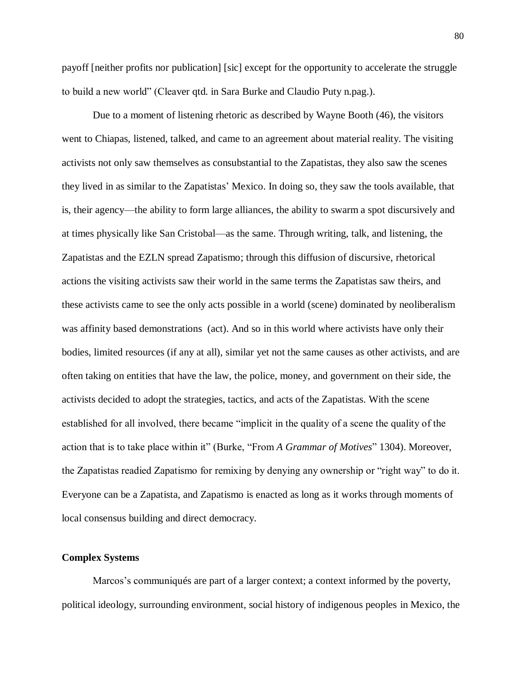payoff [neither profits nor publication] [sic] except for the opportunity to accelerate the struggle to build a new world" (Cleaver qtd. in Sara Burke and Claudio Puty n.pag.).

Due to a moment of listening rhetoric as described by Wayne Booth (46), the visitors went to Chiapas, listened, talked, and came to an agreement about material reality. The visiting activists not only saw themselves as consubstantial to the Zapatistas, they also saw the scenes they lived in as similar to the Zapatistas' Mexico. In doing so, they saw the tools available, that is, their agency—the ability to form large alliances, the ability to swarm a spot discursively and at times physically like San Cristobal—as the same. Through writing, talk, and listening, the Zapatistas and the EZLN spread Zapatismo; through this diffusion of discursive, rhetorical actions the visiting activists saw their world in the same terms the Zapatistas saw theirs, and these activists came to see the only acts possible in a world (scene) dominated by neoliberalism was affinity based demonstrations (act). And so in this world where activists have only their bodies, limited resources (if any at all), similar yet not the same causes as other activists, and are often taking on entities that have the law, the police, money, and government on their side, the activists decided to adopt the strategies, tactics, and acts of the Zapatistas. With the scene established for all involved, there became "implicit in the quality of a scene the quality of the action that is to take place within it" (Burke, "From *A Grammar of Motives*" 1304). Moreover, the Zapatistas readied Zapatismo for remixing by denying any ownership or "right way" to do it. Everyone can be a Zapatista, and Zapatismo is enacted as long as it works through moments of local consensus building and direct democracy.

### **Complex Systems**

Marcos's communiqués are part of a larger context; a context informed by the poverty, political ideology, surrounding environment, social history of indigenous peoples in Mexico, the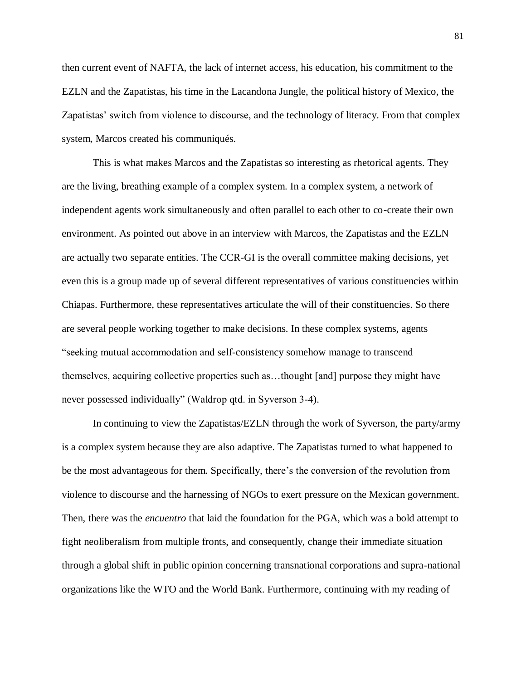then current event of NAFTA, the lack of internet access, his education, his commitment to the EZLN and the Zapatistas, his time in the Lacandona Jungle, the political history of Mexico, the Zapatistas' switch from violence to discourse, and the technology of literacy. From that complex system, Marcos created his communiqués.

This is what makes Marcos and the Zapatistas so interesting as rhetorical agents. They are the living, breathing example of a complex system. In a complex system, a network of independent agents work simultaneously and often parallel to each other to co-create their own environment. As pointed out above in an interview with Marcos, the Zapatistas and the EZLN are actually two separate entities. The CCR-GI is the overall committee making decisions, yet even this is a group made up of several different representatives of various constituencies within Chiapas. Furthermore, these representatives articulate the will of their constituencies. So there are several people working together to make decisions. In these complex systems, agents "seeking mutual accommodation and self-consistency somehow manage to transcend themselves, acquiring collective properties such as…thought [and] purpose they might have never possessed individually" (Waldrop qtd. in Syverson 3-4).

In continuing to view the Zapatistas/EZLN through the work of Syverson, the party/army is a complex system because they are also adaptive. The Zapatistas turned to what happened to be the most advantageous for them. Specifically, there's the conversion of the revolution from violence to discourse and the harnessing of NGOs to exert pressure on the Mexican government. Then, there was the *encuentro* that laid the foundation for the PGA, which was a bold attempt to fight neoliberalism from multiple fronts, and consequently, change their immediate situation through a global shift in public opinion concerning transnational corporations and supra-national organizations like the WTO and the World Bank. Furthermore, continuing with my reading of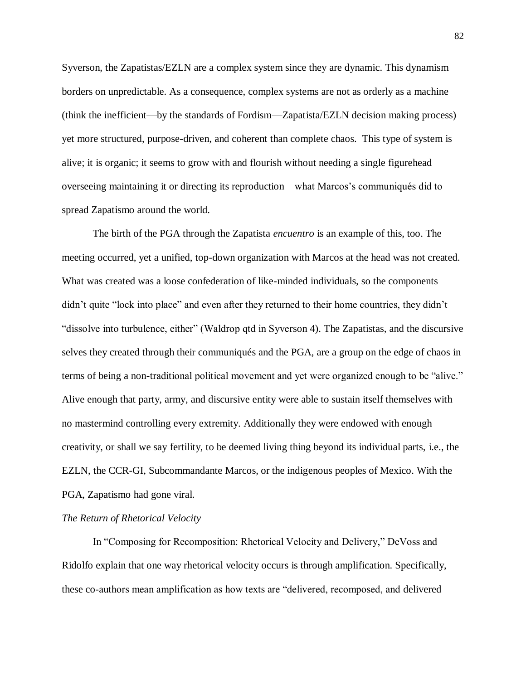Syverson, the Zapatistas/EZLN are a complex system since they are dynamic. This dynamism borders on unpredictable. As a consequence, complex systems are not as orderly as a machine (think the inefficient—by the standards of Fordism—Zapatista/EZLN decision making process) yet more structured, purpose-driven, and coherent than complete chaos. This type of system is alive; it is organic; it seems to grow with and flourish without needing a single figurehead overseeing maintaining it or directing its reproduction—what Marcos's communiqués did to spread Zapatismo around the world.

The birth of the PGA through the Zapatista *encuentro* is an example of this, too. The meeting occurred, yet a unified, top-down organization with Marcos at the head was not created. What was created was a loose confederation of like-minded individuals, so the components didn't quite "lock into place" and even after they returned to their home countries, they didn't "dissolve into turbulence, either" (Waldrop qtd in Syverson 4). The Zapatistas, and the discursive selves they created through their communiqués and the PGA, are a group on the edge of chaos in terms of being a non-traditional political movement and yet were organized enough to be "alive." Alive enough that party, army, and discursive entity were able to sustain itself themselves with no mastermind controlling every extremity. Additionally they were endowed with enough creativity, or shall we say fertility, to be deemed living thing beyond its individual parts, i.e., the EZLN, the CCR-GI, Subcommandante Marcos, or the indigenous peoples of Mexico. With the PGA, Zapatismo had gone viral.

## *The Return of Rhetorical Velocity*

In "Composing for Recomposition: Rhetorical Velocity and Delivery," DeVoss and Ridolfo explain that one way rhetorical velocity occurs is through amplification. Specifically, these co-authors mean amplification as how texts are "delivered, recomposed, and delivered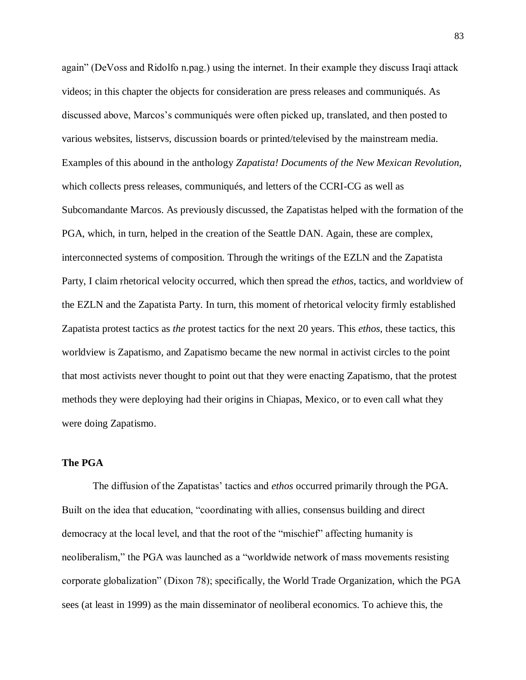again" (DeVoss and Ridolfo n.pag.) using the internet. In their example they discuss Iraqi attack videos; in this chapter the objects for consideration are press releases and communiqués. As discussed above, Marcos's communiqués were often picked up, translated, and then posted to various websites, listservs, discussion boards or printed/televised by the mainstream media. Examples of this abound in the anthology *Zapatista! Documents of the New Mexican Revolution,*  which collects press releases, communiqués, and letters of the CCRI-CG as well as Subcomandante Marcos. As previously discussed, the Zapatistas helped with the formation of the PGA, which, in turn, helped in the creation of the Seattle DAN. Again, these are complex, interconnected systems of composition. Through the writings of the EZLN and the Zapatista Party, I claim rhetorical velocity occurred, which then spread the *ethos*, tactics, and worldview of the EZLN and the Zapatista Party. In turn, this moment of rhetorical velocity firmly established Zapatista protest tactics as *the* protest tactics for the next 20 years. This *ethos*, these tactics, this worldview is Zapatismo, and Zapatismo became the new normal in activist circles to the point that most activists never thought to point out that they were enacting Zapatismo, that the protest methods they were deploying had their origins in Chiapas, Mexico, or to even call what they were doing Zapatismo.

# **The PGA**

The diffusion of the Zapatistas' tactics and *ethos* occurred primarily through the PGA. Built on the idea that education, "coordinating with allies, consensus building and direct democracy at the local level, and that the root of the "mischief" affecting humanity is neoliberalism," the PGA was launched as a "worldwide network of mass movements resisting corporate globalization" (Dixon 78); specifically, the World Trade Organization, which the PGA sees (at least in 1999) as the main disseminator of neoliberal economics. To achieve this, the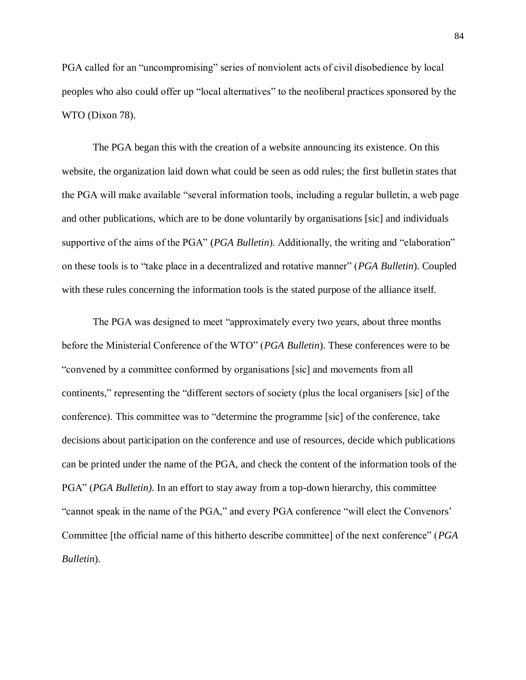PGA called for an "uncompromising" series of nonviolent acts of civil disobedience by local peoples who also could offer up "local alternatives" to the neoliberal practices sponsored by the WTO (Dixon 78).

The PGA began this with the creation of a website announcing its existence. On this website, the organization laid down what could be seen as odd rules; the first bulletin states that the PGA will make available "several information tools, including a regular bulletin, a web page and other publications, which are to be done voluntarily by organisations [sic] and individuals supportive of the aims of the PGA" (*PGA Bulletin*). Additionally, the writing and "elaboration" on these tools is to "take place in a decentralized and rotative manner" (*PGA Bulletin*). Coupled with these rules concerning the information tools is the stated purpose of the alliance itself.

The PGA was designed to meet "approximately every two years, about three months before the Ministerial Conference of the WTO" (*PGA Bulletin*). These conferences were to be "convened by a committee conformed by organisations [sic] and movements from all continents," representing the "different sectors of society (plus the local organisers [sic] of the conference). This committee was to "determine the programme [sic] of the conference, take decisions about participation on the conference and use of resources, decide which publications can be printed under the name of the PGA, and check the content of the information tools of the PGA" (*PGA Bulletin)*. In an effort to stay away from a top-down hierarchy, this committee "cannot speak in the name of the PGA," and every PGA conference "will elect the Convenors' Committee [the official name of this hitherto describe committee] of the next conference" (*PGA Bulletin*).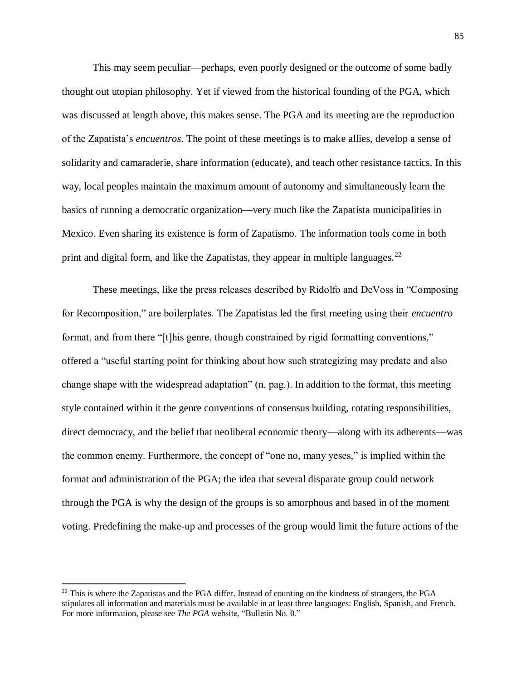This may seem peculiar—perhaps, even poorly designed or the outcome of some badly thought out utopian philosophy. Yet if viewed from the historical founding of the PGA, which was discussed at length above, this makes sense. The PGA and its meeting are the reproduction of the Zapatista's *encuentros*. The point of these meetings is to make allies, develop a sense of solidarity and camaraderie, share information (educate), and teach other resistance tactics. In this way, local peoples maintain the maximum amount of autonomy and simultaneously learn the basics of running a democratic organization—very much like the Zapatista municipalities in Mexico. Even sharing its existence is form of Zapatismo. The information tools come in both print and digital form, and like the Zapatistas, they appear in multiple languages.<sup>22</sup>

These meetings, like the press releases described by Ridolfo and DeVoss in "Composing for Recomposition," are boilerplates. The Zapatistas led the first meeting using their *encuentro* format, and from there "[t]his genre, though constrained by rigid formatting conventions," offered a "useful starting point for thinking about how such strategizing may predate and also change shape with the widespread adaptation" (n. pag.). In addition to the format, this meeting style contained within it the genre conventions of consensus building, rotating responsibilities, direct democracy, and the belief that neoliberal economic theory—along with its adherents—was the common enemy. Furthermore, the concept of "one no, many yeses," is implied within the format and administration of the PGA; the idea that several disparate group could network through the PGA is why the design of the groups is so amorphous and based in of the moment voting. Predefining the make-up and processes of the group would limit the future actions of the

 $\overline{a}$ 

<sup>&</sup>lt;sup>22</sup> This is where the Zapatistas and the PGA differ. Instead of counting on the kindness of strangers, the PGA stipulates all information and materials must be available in at least three languages: English, Spanish, and French. For more information, please see *The PGA* website, "Bulletin No. 0."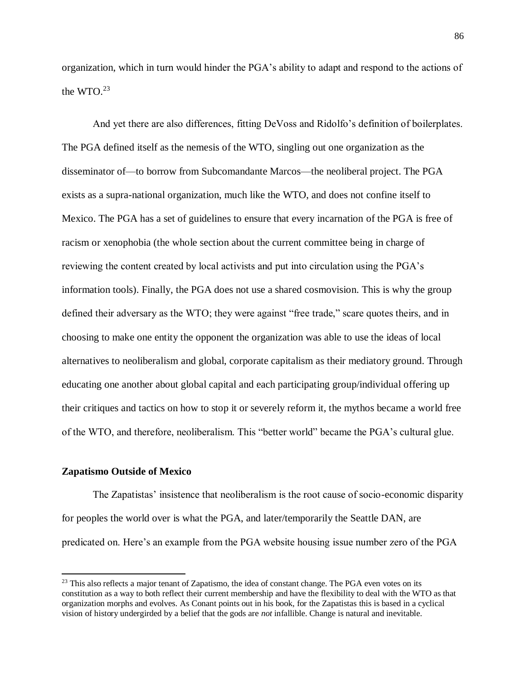organization, which in turn would hinder the PGA's ability to adapt and respond to the actions of the WTO. $23$ 

And yet there are also differences, fitting DeVoss and Ridolfo's definition of boilerplates. The PGA defined itself as the nemesis of the WTO, singling out one organization as the disseminator of—to borrow from Subcomandante Marcos—the neoliberal project. The PGA exists as a supra-national organization, much like the WTO, and does not confine itself to Mexico. The PGA has a set of guidelines to ensure that every incarnation of the PGA is free of racism or xenophobia (the whole section about the current committee being in charge of reviewing the content created by local activists and put into circulation using the PGA's information tools). Finally, the PGA does not use a shared cosmovision. This is why the group defined their adversary as the WTO; they were against "free trade," scare quotes theirs, and in choosing to make one entity the opponent the organization was able to use the ideas of local alternatives to neoliberalism and global, corporate capitalism as their mediatory ground. Through educating one another about global capital and each participating group/individual offering up their critiques and tactics on how to stop it or severely reform it, the mythos became a world free of the WTO, and therefore, neoliberalism. This "better world" became the PGA's cultural glue.

#### **Zapatismo Outside of Mexico**

 $\overline{\phantom{a}}$ 

The Zapatistas' insistence that neoliberalism is the root cause of socio-economic disparity for peoples the world over is what the PGA, and later/temporarily the Seattle DAN, are predicated on. Here's an example from the PGA website housing issue number zero of the PGA

<sup>&</sup>lt;sup>23</sup> This also reflects a major tenant of Zapatismo, the idea of constant change. The PGA even votes on its constitution as a way to both reflect their current membership and have the flexibility to deal with the WTO as that organization morphs and evolves. As Conant points out in his book, for the Zapatistas this is based in a cyclical vision of history undergirded by a belief that the gods are *not* infallible. Change is natural and inevitable.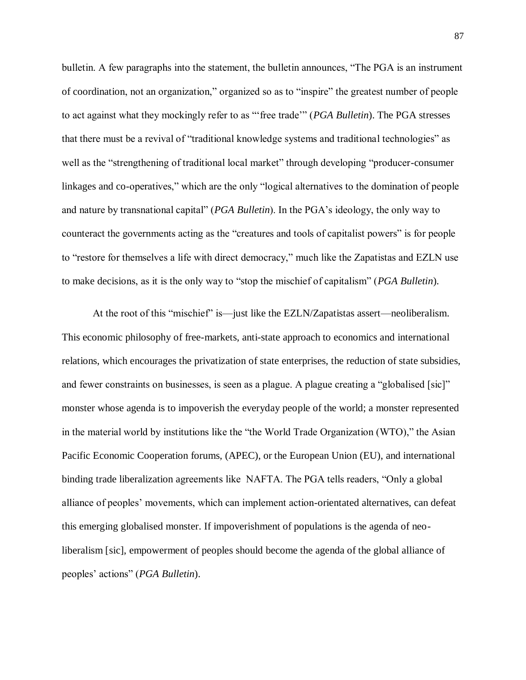bulletin. A few paragraphs into the statement, the bulletin announces, "The PGA is an instrument of coordination, not an organization," organized so as to "inspire" the greatest number of people to act against what they mockingly refer to as "'free trade'" (*PGA Bulletin*). The PGA stresses that there must be a revival of "traditional knowledge systems and traditional technologies" as well as the "strengthening of traditional local market" through developing "producer-consumer linkages and co-operatives," which are the only "logical alternatives to the domination of people and nature by transnational capital" (*PGA Bulletin*). In the PGA's ideology, the only way to counteract the governments acting as the "creatures and tools of capitalist powers" is for people to "restore for themselves a life with direct democracy," much like the Zapatistas and EZLN use to make decisions, as it is the only way to "stop the mischief of capitalism" (*PGA Bulletin*).

At the root of this "mischief" is—just like the EZLN/Zapatistas assert—neoliberalism. This economic philosophy of free-markets, anti-state approach to economics and international relations, which encourages the privatization of state enterprises, the reduction of state subsidies, and fewer constraints on businesses, is seen as a plague. A plague creating a "globalised [sic]" monster whose agenda is to impoverish the everyday people of the world; a monster represented in the material world by institutions like the "the World Trade Organization (WTO)," the Asian Pacific Economic Cooperation forums, (APEC), or the European Union (EU), and international binding trade liberalization agreements like NAFTA. The PGA tells readers, "Only a global alliance of peoples' movements, which can implement action-orientated alternatives, can defeat this emerging globalised monster. If impoverishment of populations is the agenda of neoliberalism [sic], empowerment of peoples should become the agenda of the global alliance of peoples' actions" (*PGA Bulletin*).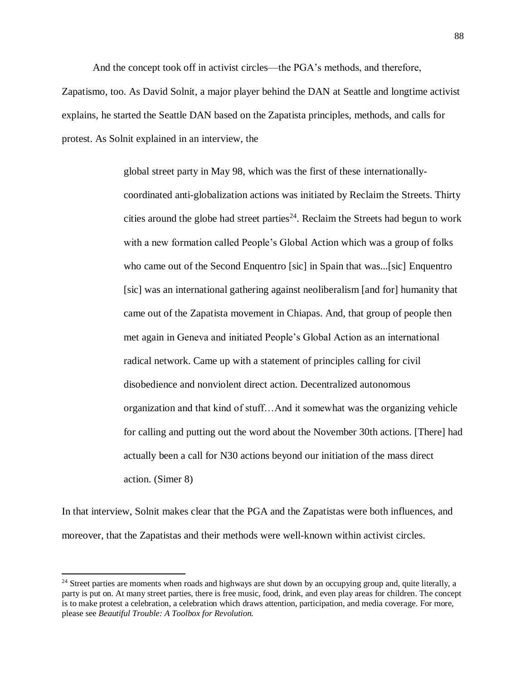And the concept took off in activist circles—the PGA's methods, and therefore,

Zapatismo, too. As David Solnit, a major player behind the DAN at Seattle and longtime activist explains, he started the Seattle DAN based on the Zapatista principles, methods, and calls for protest. As Solnit explained in an interview, the

> global street party in May 98, which was the first of these internationallycoordinated anti-globalization actions was initiated by Reclaim the Streets. Thirty cities around the globe had street parties<sup>24</sup>. Reclaim the Streets had begun to work with a new formation called People's Global Action which was a group of folks who came out of the Second Enquentro [sic] in Spain that was...[sic] Enquentro [sic] was an international gathering against neoliberalism [and for] humanity that came out of the Zapatista movement in Chiapas. And, that group of people then met again in Geneva and initiated People's Global Action as an international radical network. Came up with a statement of principles calling for civil disobedience and nonviolent direct action. Decentralized autonomous organization and that kind of stuff…And it somewhat was the organizing vehicle for calling and putting out the word about the November 30th actions. [There] had actually been a call for N30 actions beyond our initiation of the mass direct action. (Simer 8)

In that interview, Solnit makes clear that the PGA and the Zapatistas were both influences, and moreover, that the Zapatistas and their methods were well-known within activist circles.

 $\overline{\phantom{a}}$ 

<sup>&</sup>lt;sup>24</sup> Street parties are moments when roads and highways are shut down by an occupying group and, quite literally, a party is put on. At many street parties, there is free music, food, drink, and even play areas for children. The concept is to make protest a celebration, a celebration which draws attention, participation, and media coverage. For more, please see *Beautiful Trouble: A Toolbox for Revolution.*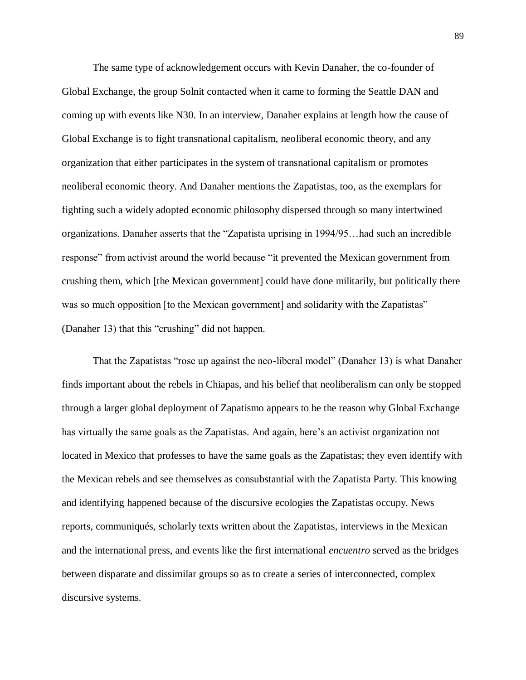The same type of acknowledgement occurs with Kevin Danaher, the co-founder of Global Exchange, the group Solnit contacted when it came to forming the Seattle DAN and coming up with events like N30. In an interview, Danaher explains at length how the cause of Global Exchange is to fight transnational capitalism, neoliberal economic theory, and any organization that either participates in the system of transnational capitalism or promotes neoliberal economic theory. And Danaher mentions the Zapatistas, too, as the exemplars for fighting such a widely adopted economic philosophy dispersed through so many intertwined organizations. Danaher asserts that the "Zapatista uprising in 1994/95…had such an incredible response" from activist around the world because "it prevented the Mexican government from crushing them, which [the Mexican government] could have done militarily, but politically there was so much opposition [to the Mexican government] and solidarity with the Zapatistas" (Danaher 13) that this "crushing" did not happen.

That the Zapatistas "rose up against the neo-liberal model" (Danaher 13) is what Danaher finds important about the rebels in Chiapas, and his belief that neoliberalism can only be stopped through a larger global deployment of Zapatismo appears to be the reason why Global Exchange has virtually the same goals as the Zapatistas. And again, here's an activist organization not located in Mexico that professes to have the same goals as the Zapatistas; they even identify with the Mexican rebels and see themselves as consubstantial with the Zapatista Party. This knowing and identifying happened because of the discursive ecologies the Zapatistas occupy. News reports, communiqués, scholarly texts written about the Zapatistas, interviews in the Mexican and the international press, and events like the first international *encuentro* served as the bridges between disparate and dissimilar groups so as to create a series of interconnected, complex discursive systems.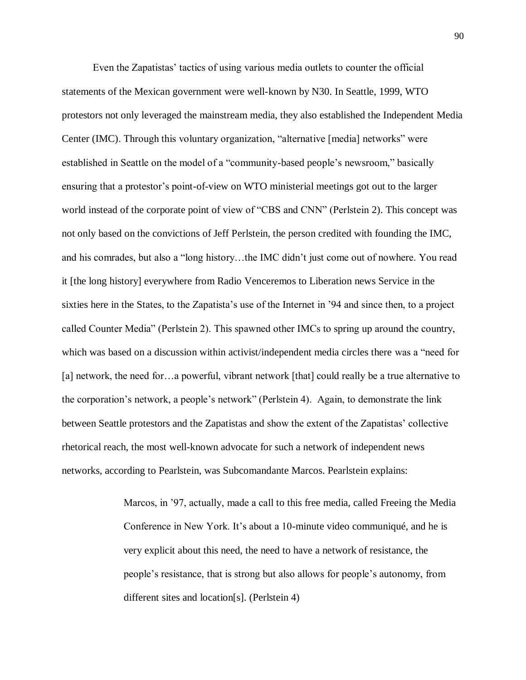Even the Zapatistas' tactics of using various media outlets to counter the official statements of the Mexican government were well-known by N30. In Seattle, 1999, WTO protestors not only leveraged the mainstream media, they also established the Independent Media Center (IMC). Through this voluntary organization, "alternative [media] networks" were established in Seattle on the model of a "community-based people's newsroom," basically ensuring that a protestor's point-of-view on WTO ministerial meetings got out to the larger world instead of the corporate point of view of "CBS and CNN" (Perlstein 2). This concept was not only based on the convictions of Jeff Perlstein, the person credited with founding the IMC, and his comrades, but also a "long history…the IMC didn't just come out of nowhere. You read it [the long history] everywhere from Radio Venceremos to Liberation news Service in the sixties here in the States, to the Zapatista's use of the Internet in '94 and since then, to a project called Counter Media" (Perlstein 2). This spawned other IMCs to spring up around the country, which was based on a discussion within activist/independent media circles there was a "need for [a] network, the need for…a powerful, vibrant network [that] could really be a true alternative to the corporation's network, a people's network" (Perlstein 4). Again, to demonstrate the link between Seattle protestors and the Zapatistas and show the extent of the Zapatistas' collective rhetorical reach, the most well-known advocate for such a network of independent news networks, according to Pearlstein, was Subcomandante Marcos. Pearlstein explains:

> Marcos, in '97, actually, made a call to this free media, called Freeing the Media Conference in New York. It's about a 10-minute video communiqué, and he is very explicit about this need, the need to have a network of resistance, the people's resistance, that is strong but also allows for people's autonomy, from different sites and location[s]. (Perlstein 4)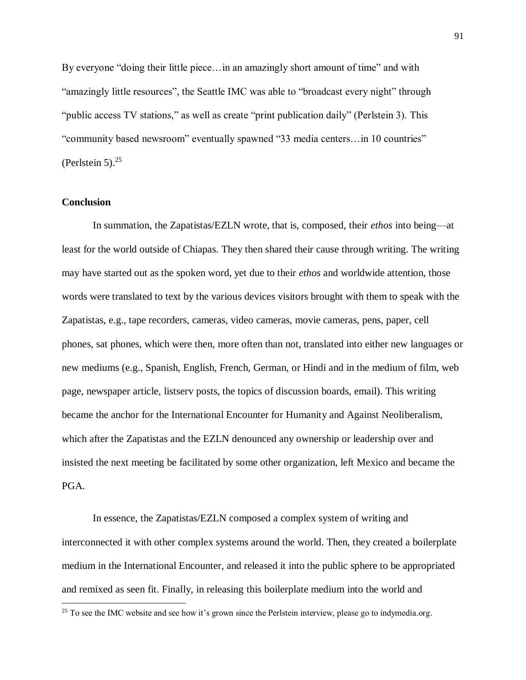By everyone "doing their little piece…in an amazingly short amount of time" and with "amazingly little resources", the Seattle IMC was able to "broadcast every night" through "public access TV stations," as well as create "print publication daily" (Perlstein 3). This "community based newsroom" eventually spawned "33 media centers…in 10 countries" (Perlstein 5). $^{25}$ 

# **Conclusion**

 $\overline{\phantom{a}}$ 

In summation, the Zapatistas/EZLN wrote, that is, composed, their *ethos* into being—at least for the world outside of Chiapas. They then shared their cause through writing. The writing may have started out as the spoken word, yet due to their *ethos* and worldwide attention, those words were translated to text by the various devices visitors brought with them to speak with the Zapatistas, e.g., tape recorders, cameras, video cameras, movie cameras, pens, paper, cell phones, sat phones, which were then, more often than not, translated into either new languages or new mediums (e.g., Spanish, English, French, German, or Hindi and in the medium of film, web page, newspaper article, listserv posts, the topics of discussion boards, email). This writing became the anchor for the International Encounter for Humanity and Against Neoliberalism, which after the Zapatistas and the EZLN denounced any ownership or leadership over and insisted the next meeting be facilitated by some other organization, left Mexico and became the PGA.

In essence, the Zapatistas/EZLN composed a complex system of writing and interconnected it with other complex systems around the world. Then, they created a boilerplate medium in the International Encounter, and released it into the public sphere to be appropriated and remixed as seen fit. Finally, in releasing this boilerplate medium into the world and

<sup>&</sup>lt;sup>25</sup> To see the IMC website and see how it's grown since the Perlstein interview, please go to indymedia.org.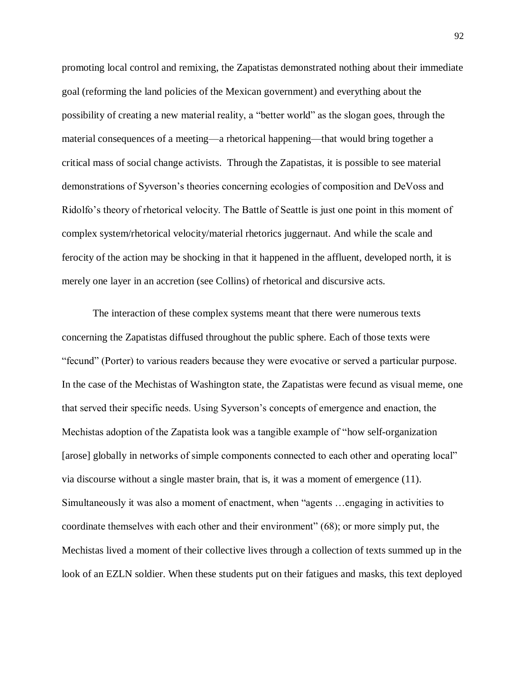promoting local control and remixing, the Zapatistas demonstrated nothing about their immediate goal (reforming the land policies of the Mexican government) and everything about the possibility of creating a new material reality, a "better world" as the slogan goes, through the material consequences of a meeting—a rhetorical happening—that would bring together a critical mass of social change activists. Through the Zapatistas, it is possible to see material demonstrations of Syverson's theories concerning ecologies of composition and DeVoss and Ridolfo's theory of rhetorical velocity. The Battle of Seattle is just one point in this moment of complex system/rhetorical velocity/material rhetorics juggernaut. And while the scale and ferocity of the action may be shocking in that it happened in the affluent, developed north, it is merely one layer in an accretion (see Collins) of rhetorical and discursive acts.

The interaction of these complex systems meant that there were numerous texts concerning the Zapatistas diffused throughout the public sphere. Each of those texts were "fecund" (Porter) to various readers because they were evocative or served a particular purpose. In the case of the Mechistas of Washington state, the Zapatistas were fecund as visual meme, one that served their specific needs. Using Syverson's concepts of emergence and enaction, the Mechistas adoption of the Zapatista look was a tangible example of "how self-organization [arose] globally in networks of simple components connected to each other and operating local" via discourse without a single master brain, that is, it was a moment of emergence (11). Simultaneously it was also a moment of enactment, when "agents …engaging in activities to coordinate themselves with each other and their environment" (68); or more simply put, the Mechistas lived a moment of their collective lives through a collection of texts summed up in the look of an EZLN soldier. When these students put on their fatigues and masks, this text deployed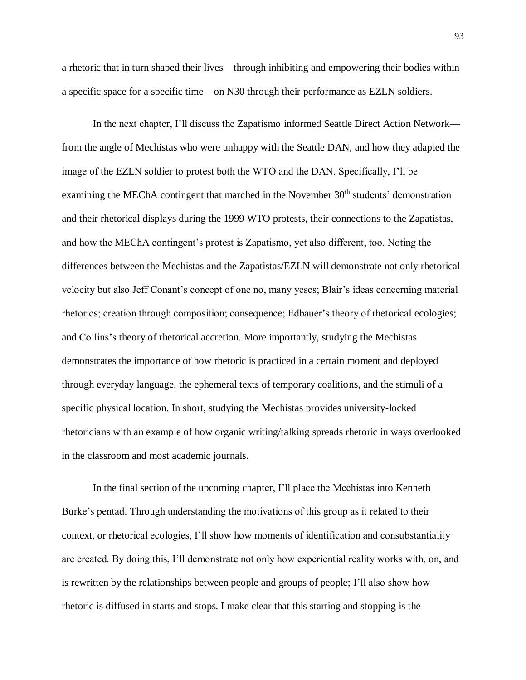a rhetoric that in turn shaped their lives—through inhibiting and empowering their bodies within a specific space for a specific time—on N30 through their performance as EZLN soldiers.

In the next chapter, I'll discuss the Zapatismo informed Seattle Direct Action Network from the angle of Mechistas who were unhappy with the Seattle DAN, and how they adapted the image of the EZLN soldier to protest both the WTO and the DAN. Specifically, I'll be examining the MEChA contingent that marched in the November 30<sup>th</sup> students' demonstration and their rhetorical displays during the 1999 WTO protests, their connections to the Zapatistas, and how the MEChA contingent's protest is Zapatismo, yet also different, too. Noting the differences between the Mechistas and the Zapatistas/EZLN will demonstrate not only rhetorical velocity but also Jeff Conant's concept of one no, many yeses; Blair's ideas concerning material rhetorics; creation through composition; consequence; Edbauer's theory of rhetorical ecologies; and Collins's theory of rhetorical accretion. More importantly, studying the Mechistas demonstrates the importance of how rhetoric is practiced in a certain moment and deployed through everyday language, the ephemeral texts of temporary coalitions, and the stimuli of a specific physical location. In short, studying the Mechistas provides university-locked rhetoricians with an example of how organic writing/talking spreads rhetoric in ways overlooked in the classroom and most academic journals.

In the final section of the upcoming chapter, I'll place the Mechistas into Kenneth Burke's pentad. Through understanding the motivations of this group as it related to their context, or rhetorical ecologies, I'll show how moments of identification and consubstantiality are created. By doing this, I'll demonstrate not only how experiential reality works with, on, and is rewritten by the relationships between people and groups of people; I'll also show how rhetoric is diffused in starts and stops. I make clear that this starting and stopping is the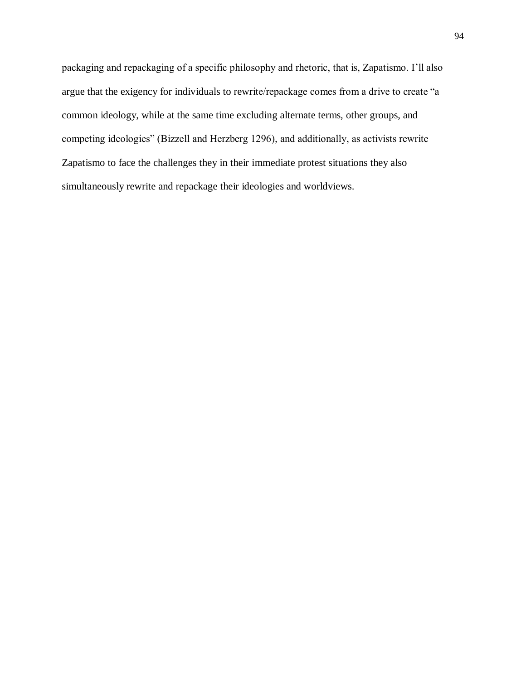packaging and repackaging of a specific philosophy and rhetoric, that is, Zapatismo. I'll also argue that the exigency for individuals to rewrite/repackage comes from a drive to create "a common ideology, while at the same time excluding alternate terms, other groups, and competing ideologies" (Bizzell and Herzberg 1296), and additionally, as activists rewrite Zapatismo to face the challenges they in their immediate protest situations they also simultaneously rewrite and repackage their ideologies and worldviews.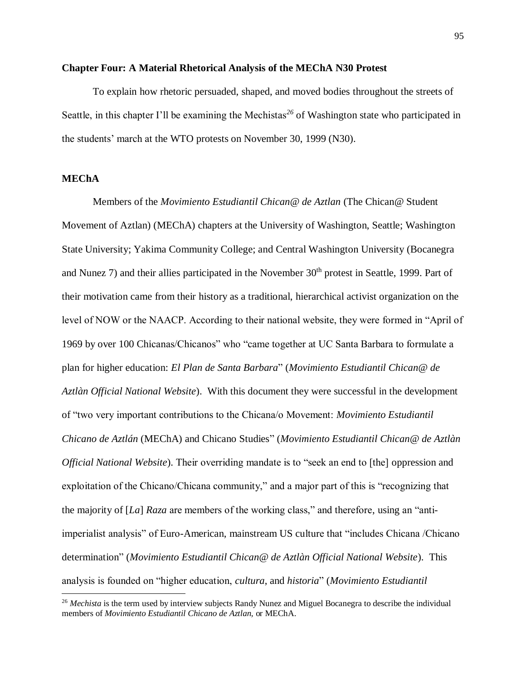#### **Chapter Four: A Material Rhetorical Analysis of the MEChA N30 Protest**

To explain how rhetoric persuaded, shaped, and moved bodies throughout the streets of Seattle, in this chapter I'll be examining the Mechistas<sup>26</sup> of Washington state who participated in the students' march at the WTO protests on November 30, 1999 (N30).

#### **MEChA**

 $\overline{a}$ 

Members of the *Movimiento Estudiantil Chican@ de Aztlan* (The Chican@ Student Movement of Aztlan) (MEChA) chapters at the University of Washington, Seattle; Washington State University; Yakima Community College; and Central Washington University (Bocanegra and Nunez 7) and their allies participated in the November 30<sup>th</sup> protest in Seattle, 1999. Part of their motivation came from their history as a traditional, hierarchical activist organization on the level of NOW or the NAACP. According to their national website, they were formed in "April of 1969 by over 100 Chicanas/Chicanos" who "came together at UC Santa Barbara to formulate a plan for higher education: *El Plan de Santa Barbara*" (*Movimiento Estudiantil Chican@ de Aztlàn Official National Website*). With this document they were successful in the development of "two very important contributions to the Chicana/o Movement: *Movimiento Estudiantil Chicano de Aztlán* (MEChA) and Chicano Studies" (*Movimiento Estudiantil Chican@ de Aztlàn Official National Website*). Their overriding mandate is to "seek an end to [the] oppression and exploitation of the Chicano/Chicana community," and a major part of this is "recognizing that the majority of [*La*] *Raza* are members of the working class," and therefore, using an "antiimperialist analysis" of Euro-American, mainstream US culture that "includes Chicana /Chicano determination" (*Movimiento Estudiantil Chican@ de Aztlàn Official National Website*). This analysis is founded on "higher education, *cultura*, and *historia*" (*Movimiento Estudiantil* 

<sup>&</sup>lt;sup>26</sup> *Mechista* is the term used by interview subjects Randy Nunez and Miguel Bocanegra to describe the individual members of *Movimiento Estudiantil Chicano de Aztlan,* or MEChA.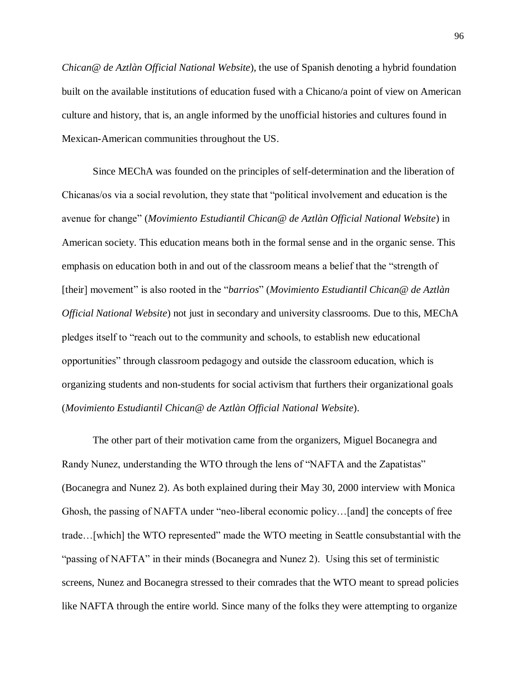*Chican@ de Aztlàn Official National Website*), the use of Spanish denoting a hybrid foundation built on the available institutions of education fused with a Chicano/a point of view on American culture and history, that is, an angle informed by the unofficial histories and cultures found in Mexican-American communities throughout the US.

Since MEChA was founded on the principles of self-determination and the liberation of Chicanas/os via a social revolution, they state that "political involvement and education is the avenue for change" (*Movimiento Estudiantil Chican@ de Aztlàn Official National Website*) in American society. This education means both in the formal sense and in the organic sense. This emphasis on education both in and out of the classroom means a belief that the "strength of [their] movement" is also rooted in the "*barrios*" (*Movimiento Estudiantil Chican@ de Aztlàn Official National Website*) not just in secondary and university classrooms. Due to this, MEChA pledges itself to "reach out to the community and schools, to establish new educational opportunities" through classroom pedagogy and outside the classroom education, which is organizing students and non-students for social activism that furthers their organizational goals (*Movimiento Estudiantil Chican@ de Aztlàn Official National Website*).

The other part of their motivation came from the organizers, Miguel Bocanegra and Randy Nunez, understanding the WTO through the lens of "NAFTA and the Zapatistas" (Bocanegra and Nunez 2). As both explained during their May 30, 2000 interview with Monica Ghosh, the passing of NAFTA under "neo-liberal economic policy…[and] the concepts of free trade…[which] the WTO represented" made the WTO meeting in Seattle consubstantial with the "passing of NAFTA" in their minds (Bocanegra and Nunez 2). Using this set of terministic screens, Nunez and Bocanegra stressed to their comrades that the WTO meant to spread policies like NAFTA through the entire world. Since many of the folks they were attempting to organize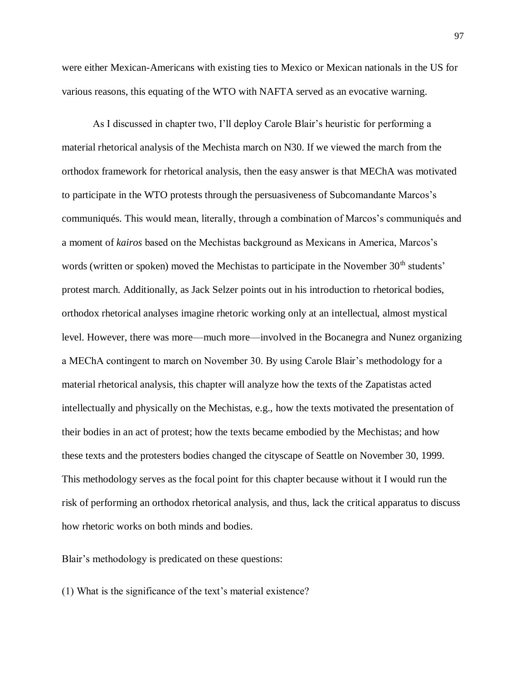were either Mexican-Americans with existing ties to Mexico or Mexican nationals in the US for various reasons, this equating of the WTO with NAFTA served as an evocative warning.

As I discussed in chapter two, I'll deploy Carole Blair's heuristic for performing a material rhetorical analysis of the Mechista march on N30. If we viewed the march from the orthodox framework for rhetorical analysis, then the easy answer is that MEChA was motivated to participate in the WTO protests through the persuasiveness of Subcomandante Marcos's communiqués. This would mean, literally, through a combination of Marcos's communiqués and a moment of *kairos* based on the Mechistas background as Mexicans in America, Marcos's words (written or spoken) moved the Mechistas to participate in the November 30<sup>th</sup> students' protest march. Additionally, as Jack Selzer points out in his introduction to rhetorical bodies, orthodox rhetorical analyses imagine rhetoric working only at an intellectual, almost mystical level. However, there was more—much more—involved in the Bocanegra and Nunez organizing a MEChA contingent to march on November 30. By using Carole Blair's methodology for a material rhetorical analysis, this chapter will analyze how the texts of the Zapatistas acted intellectually and physically on the Mechistas, e.g., how the texts motivated the presentation of their bodies in an act of protest; how the texts became embodied by the Mechistas; and how these texts and the protesters bodies changed the cityscape of Seattle on November 30, 1999. This methodology serves as the focal point for this chapter because without it I would run the risk of performing an orthodox rhetorical analysis, and thus, lack the critical apparatus to discuss how rhetoric works on both minds and bodies.

Blair's methodology is predicated on these questions:

(1) What is the significance of the text's material existence?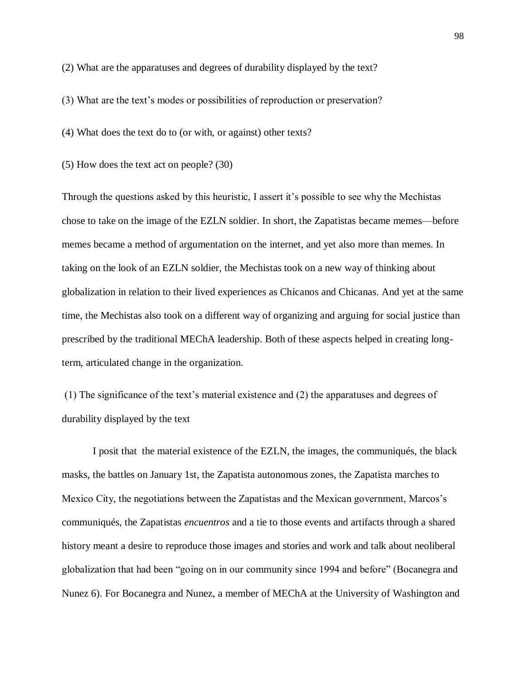(2) What are the apparatuses and degrees of durability displayed by the text?

(3) What are the text's modes or possibilities of reproduction or preservation?

(4) What does the text do to (or with, or against) other texts?

(5) How does the text act on people? (30)

Through the questions asked by this heuristic, I assert it's possible to see why the Mechistas chose to take on the image of the EZLN soldier. In short, the Zapatistas became memes—before memes became a method of argumentation on the internet, and yet also more than memes. In taking on the look of an EZLN soldier, the Mechistas took on a new way of thinking about globalization in relation to their lived experiences as Chicanos and Chicanas. And yet at the same time, the Mechistas also took on a different way of organizing and arguing for social justice than prescribed by the traditional MEChA leadership. Both of these aspects helped in creating longterm, articulated change in the organization.

(1) The significance of the text's material existence and (2) the apparatuses and degrees of durability displayed by the text

I posit that the material existence of the EZLN, the images, the communiqués, the black masks, the battles on January 1st, the Zapatista autonomous zones, the Zapatista marches to Mexico City, the negotiations between the Zapatistas and the Mexican government, Marcos's communiqués, the Zapatistas *encuentros* and a tie to those events and artifacts through a shared history meant a desire to reproduce those images and stories and work and talk about neoliberal globalization that had been "going on in our community since 1994 and before" (Bocanegra and Nunez 6). For Bocanegra and Nunez, a member of MEChA at the University of Washington and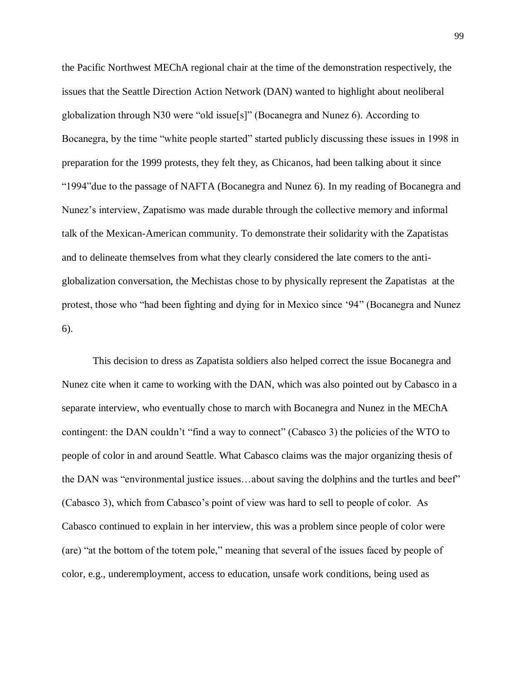the Pacific Northwest MEChA regional chair at the time of the demonstration respectively, the issues that the Seattle Direction Action Network (DAN) wanted to highlight about neoliberal globalization through N30 were "old issue[s]" (Bocanegra and Nunez 6). According to Bocanegra, by the time "white people started" started publicly discussing these issues in 1998 in preparation for the 1999 protests, they felt they, as Chicanos, had been talking about it since "1994"due to the passage of NAFTA (Bocanegra and Nunez 6). In my reading of Bocanegra and Nunez's interview, Zapatismo was made durable through the collective memory and informal talk of the Mexican-American community. To demonstrate their solidarity with the Zapatistas and to delineate themselves from what they clearly considered the late comers to the antiglobalization conversation, the Mechistas chose to by physically represent the Zapatistas at the protest, those who "had been fighting and dying for in Mexico since '94" (Bocanegra and Nunez 6).

This decision to dress as Zapatista soldiers also helped correct the issue Bocanegra and Nunez cite when it came to working with the DAN, which was also pointed out by Cabasco in a separate interview, who eventually chose to march with Bocanegra and Nunez in the MEChA contingent: the DAN couldn't "find a way to connect" (Cabasco 3) the policies of the WTO to people of color in and around Seattle. What Cabasco claims was the major organizing thesis of the DAN was "environmental justice issues…about saving the dolphins and the turtles and beef" (Cabasco 3), which from Cabasco's point of view was hard to sell to people of color. As Cabasco continued to explain in her interview, this was a problem since people of color were (are) "at the bottom of the totem pole," meaning that several of the issues faced by people of color, e.g., underemployment, access to education, unsafe work conditions, being used as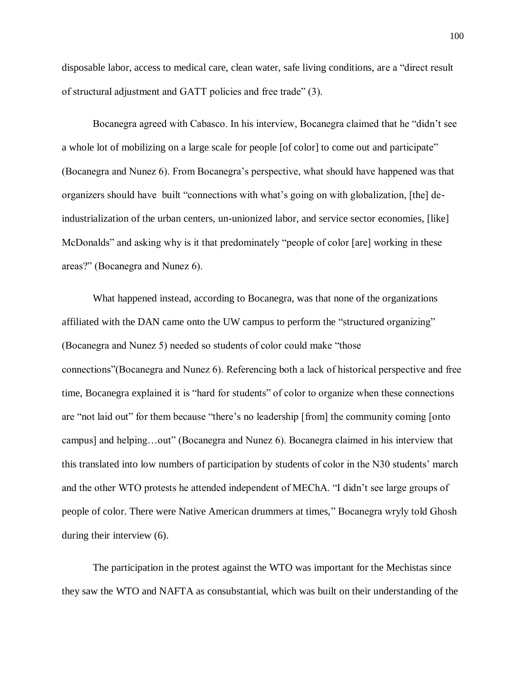disposable labor, access to medical care, clean water, safe living conditions, are a "direct result of structural adjustment and GATT policies and free trade" (3).

Bocanegra agreed with Cabasco. In his interview, Bocanegra claimed that he "didn't see a whole lot of mobilizing on a large scale for people [of color] to come out and participate" (Bocanegra and Nunez 6). From Bocanegra's perspective, what should have happened was that organizers should have built "connections with what's going on with globalization, [the] deindustrialization of the urban centers, un-unionized labor, and service sector economies, [like] McDonalds" and asking why is it that predominately "people of color [are] working in these areas?" (Bocanegra and Nunez 6).

What happened instead, according to Bocanegra, was that none of the organizations affiliated with the DAN came onto the UW campus to perform the "structured organizing" (Bocanegra and Nunez 5) needed so students of color could make "those connections"(Bocanegra and Nunez 6). Referencing both a lack of historical perspective and free time, Bocanegra explained it is "hard for students" of color to organize when these connections are "not laid out" for them because "there's no leadership [from] the community coming [onto campus] and helping…out" (Bocanegra and Nunez 6). Bocanegra claimed in his interview that this translated into low numbers of participation by students of color in the N30 students' march and the other WTO protests he attended independent of MEChA. "I didn't see large groups of people of color. There were Native American drummers at times," Bocanegra wryly told Ghosh during their interview (6).

The participation in the protest against the WTO was important for the Mechistas since they saw the WTO and NAFTA as consubstantial, which was built on their understanding of the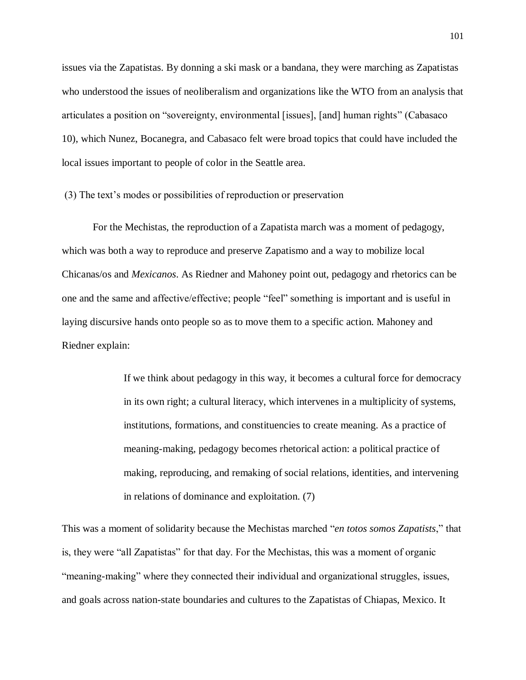issues via the Zapatistas. By donning a ski mask or a bandana, they were marching as Zapatistas who understood the issues of neoliberalism and organizations like the WTO from an analysis that articulates a position on "sovereignty, environmental [issues], [and] human rights" (Cabasaco 10), which Nunez, Bocanegra, and Cabasaco felt were broad topics that could have included the local issues important to people of color in the Seattle area.

(3) The text's modes or possibilities of reproduction or preservation

For the Mechistas, the reproduction of a Zapatista march was a moment of pedagogy, which was both a way to reproduce and preserve Zapatismo and a way to mobilize local Chicanas/os and *Mexicanos*. As Riedner and Mahoney point out, pedagogy and rhetorics can be one and the same and affective/effective; people "feel" something is important and is useful in laying discursive hands onto people so as to move them to a specific action. Mahoney and Riedner explain:

> If we think about pedagogy in this way, it becomes a cultural force for democracy in its own right; a cultural literacy, which intervenes in a multiplicity of systems, institutions, formations, and constituencies to create meaning. As a practice of meaning-making, pedagogy becomes rhetorical action: a political practice of making, reproducing, and remaking of social relations, identities, and intervening in relations of dominance and exploitation. (7)

This was a moment of solidarity because the Mechistas marched "*en totos somos Zapatists*," that is, they were "all Zapatistas" for that day. For the Mechistas, this was a moment of organic "meaning-making" where they connected their individual and organizational struggles, issues, and goals across nation-state boundaries and cultures to the Zapatistas of Chiapas, Mexico. It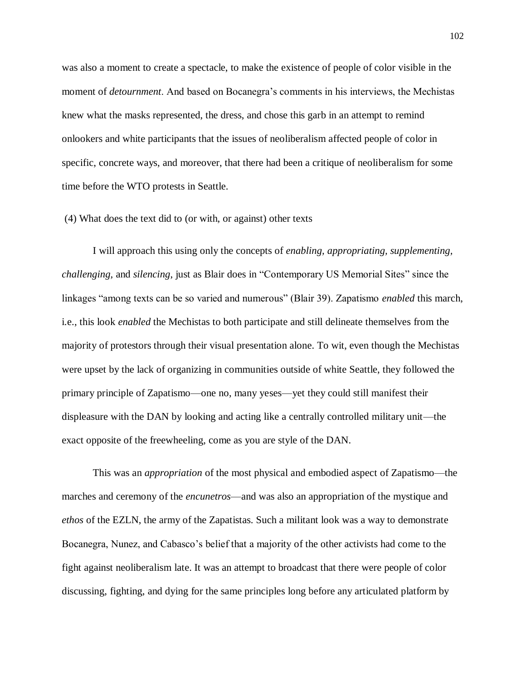was also a moment to create a spectacle, to make the existence of people of color visible in the moment of *detournment*. And based on Bocanegra's comments in his interviews, the Mechistas knew what the masks represented, the dress, and chose this garb in an attempt to remind onlookers and white participants that the issues of neoliberalism affected people of color in specific, concrete ways, and moreover, that there had been a critique of neoliberalism for some time before the WTO protests in Seattle.

## (4) What does the text did to (or with, or against) other texts

I will approach this using only the concepts of *enabling, appropriating, supplementing, challenging,* and *silencing*, just as Blair does in "Contemporary US Memorial Sites" since the linkages "among texts can be so varied and numerous" (Blair 39). Zapatismo *enabled* this march, i.e., this look *enabled* the Mechistas to both participate and still delineate themselves from the majority of protestors through their visual presentation alone. To wit, even though the Mechistas were upset by the lack of organizing in communities outside of white Seattle, they followed the primary principle of Zapatismo—one no, many yeses—yet they could still manifest their displeasure with the DAN by looking and acting like a centrally controlled military unit—the exact opposite of the freewheeling, come as you are style of the DAN.

This was an *appropriation* of the most physical and embodied aspect of Zapatismo—the marches and ceremony of the *encunetros*—and was also an appropriation of the mystique and *ethos* of the EZLN, the army of the Zapatistas. Such a militant look was a way to demonstrate Bocanegra, Nunez, and Cabasco's belief that a majority of the other activists had come to the fight against neoliberalism late. It was an attempt to broadcast that there were people of color discussing, fighting, and dying for the same principles long before any articulated platform by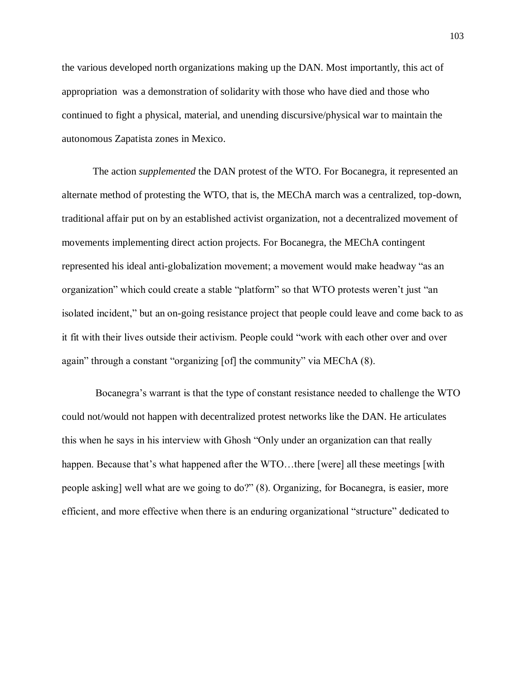the various developed north organizations making up the DAN. Most importantly, this act of appropriation was a demonstration of solidarity with those who have died and those who continued to fight a physical, material, and unending discursive/physical war to maintain the autonomous Zapatista zones in Mexico.

The action *supplemented* the DAN protest of the WTO. For Bocanegra, it represented an alternate method of protesting the WTO, that is, the MEChA march was a centralized, top-down, traditional affair put on by an established activist organization, not a decentralized movement of movements implementing direct action projects. For Bocanegra, the MEChA contingent represented his ideal anti-globalization movement; a movement would make headway "as an organization" which could create a stable "platform" so that WTO protests weren't just "an isolated incident," but an on-going resistance project that people could leave and come back to as it fit with their lives outside their activism. People could "work with each other over and over again" through a constant "organizing [of] the community" via MEChA (8).

Bocanegra's warrant is that the type of constant resistance needed to challenge the WTO could not/would not happen with decentralized protest networks like the DAN. He articulates this when he says in his interview with Ghosh "Only under an organization can that really happen. Because that's what happened after the WTO...there [were] all these meetings [with] people asking] well what are we going to do?" (8). Organizing, for Bocanegra, is easier, more efficient, and more effective when there is an enduring organizational "structure" dedicated to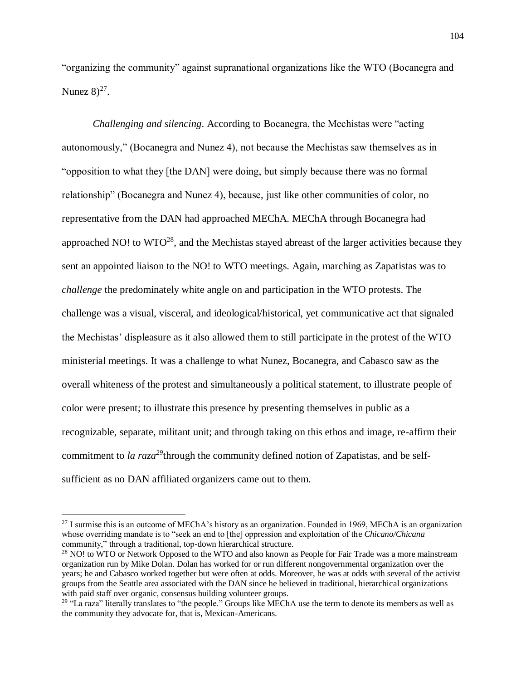"organizing the community" against supranational organizations like the WTO (Bocanegra and Nunez  $8)^{27}$ .

*Challenging and silencing*. According to Bocanegra, the Mechistas were "acting autonomously," (Bocanegra and Nunez 4), not because the Mechistas saw themselves as in "opposition to what they [the DAN] were doing, but simply because there was no formal relationship" (Bocanegra and Nunez 4), because, just like other communities of color, no representative from the DAN had approached MEChA. MEChA through Bocanegra had approached NO! to  $WTO^{28}$ , and the Mechistas stayed abreast of the larger activities because they sent an appointed liaison to the NO! to WTO meetings. Again, marching as Zapatistas was to *challenge* the predominately white angle on and participation in the WTO protests. The challenge was a visual, visceral, and ideological/historical, yet communicative act that signaled the Mechistas' displeasure as it also allowed them to still participate in the protest of the WTO ministerial meetings. It was a challenge to what Nunez, Bocanegra, and Cabasco saw as the overall whiteness of the protest and simultaneously a political statement, to illustrate people of color were present; to illustrate this presence by presenting themselves in public as a recognizable, separate, militant unit; and through taking on this ethos and image, re-affirm their commitment to *la raza<sup>29</sup>*through the community defined notion of Zapatistas, and be selfsufficient as no DAN affiliated organizers came out to them.

 $\overline{\phantom{a}}$ 

 $27$  I surmise this is an outcome of MEChA's history as an organization. Founded in 1969, MEChA is an organization whose overriding mandate is to "seek an end to [the] oppression and exploitation of the *Chicano/Chicana* community," through a traditional, top-down hierarchical structure.

<sup>&</sup>lt;sup>28</sup> NO! to WTO or Network Opposed to the WTO and also known as People for Fair Trade was a more mainstream organization run by Mike Dolan. Dolan has worked for or run different nongovernmental organization over the years; he and Cabasco worked together but were often at odds. Moreover, he was at odds with several of the activist groups from the Seattle area associated with the DAN since he believed in traditional, hierarchical organizations with paid staff over organic, consensus building volunteer groups.

 $29$  "La raza" literally translates to "the people." Groups like MEChA use the term to denote its members as well as the community they advocate for, that is, Mexican-Americans.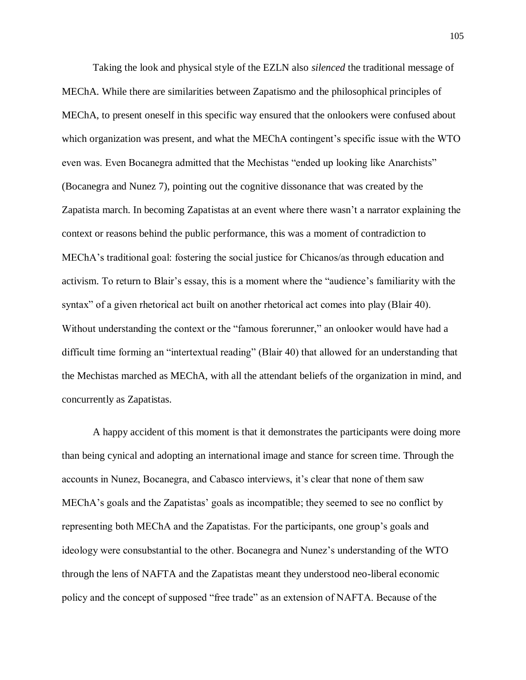Taking the look and physical style of the EZLN also *silenced* the traditional message of MEChA. While there are similarities between Zapatismo and the philosophical principles of MEChA, to present oneself in this specific way ensured that the onlookers were confused about which organization was present, and what the MEChA contingent's specific issue with the WTO even was. Even Bocanegra admitted that the Mechistas "ended up looking like Anarchists" (Bocanegra and Nunez 7), pointing out the cognitive dissonance that was created by the Zapatista march. In becoming Zapatistas at an event where there wasn't a narrator explaining the context or reasons behind the public performance, this was a moment of contradiction to MEChA's traditional goal: fostering the social justice for Chicanos/as through education and activism. To return to Blair's essay, this is a moment where the "audience's familiarity with the syntax" of a given rhetorical act built on another rhetorical act comes into play (Blair 40). Without understanding the context or the "famous forerunner," an onlooker would have had a difficult time forming an "intertextual reading" (Blair 40) that allowed for an understanding that the Mechistas marched as MEChA, with all the attendant beliefs of the organization in mind, and concurrently as Zapatistas.

A happy accident of this moment is that it demonstrates the participants were doing more than being cynical and adopting an international image and stance for screen time. Through the accounts in Nunez, Bocanegra, and Cabasco interviews, it's clear that none of them saw MEChA's goals and the Zapatistas' goals as incompatible; they seemed to see no conflict by representing both MEChA and the Zapatistas. For the participants, one group's goals and ideology were consubstantial to the other. Bocanegra and Nunez's understanding of the WTO through the lens of NAFTA and the Zapatistas meant they understood neo-liberal economic policy and the concept of supposed "free trade" as an extension of NAFTA. Because of the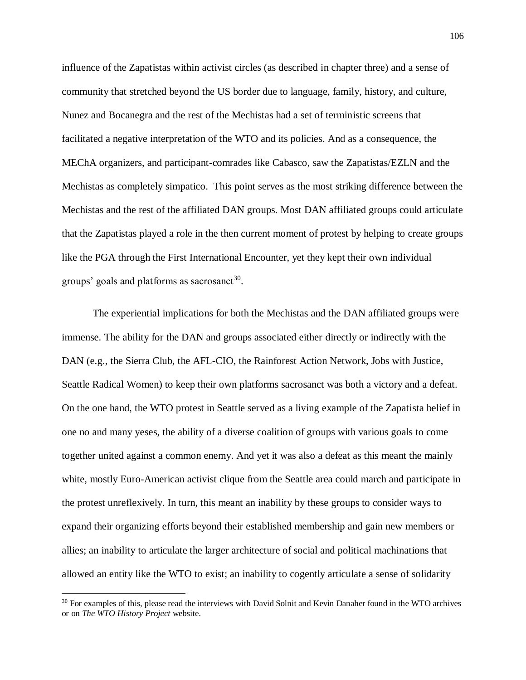influence of the Zapatistas within activist circles (as described in chapter three) and a sense of community that stretched beyond the US border due to language, family, history, and culture, Nunez and Bocanegra and the rest of the Mechistas had a set of terministic screens that facilitated a negative interpretation of the WTO and its policies. And as a consequence, the MEChA organizers, and participant-comrades like Cabasco, saw the Zapatistas/EZLN and the Mechistas as completely simpatico. This point serves as the most striking difference between the Mechistas and the rest of the affiliated DAN groups. Most DAN affiliated groups could articulate that the Zapatistas played a role in the then current moment of protest by helping to create groups like the PGA through the First International Encounter, yet they kept their own individual groups' goals and platforms as sacrosanct<sup>30</sup>.

The experiential implications for both the Mechistas and the DAN affiliated groups were immense. The ability for the DAN and groups associated either directly or indirectly with the DAN (e.g., the Sierra Club, the AFL-CIO, the Rainforest Action Network, Jobs with Justice, Seattle Radical Women) to keep their own platforms sacrosanct was both a victory and a defeat. On the one hand, the WTO protest in Seattle served as a living example of the Zapatista belief in one no and many yeses, the ability of a diverse coalition of groups with various goals to come together united against a common enemy. And yet it was also a defeat as this meant the mainly white, mostly Euro-American activist clique from the Seattle area could march and participate in the protest unreflexively. In turn, this meant an inability by these groups to consider ways to expand their organizing efforts beyond their established membership and gain new members or allies; an inability to articulate the larger architecture of social and political machinations that allowed an entity like the WTO to exist; an inability to cogently articulate a sense of solidarity

 $\overline{a}$ 

 $30$  For examples of this, please read the interviews with David Solnit and Kevin Danaher found in the WTO archives or on *The WTO History Project* website.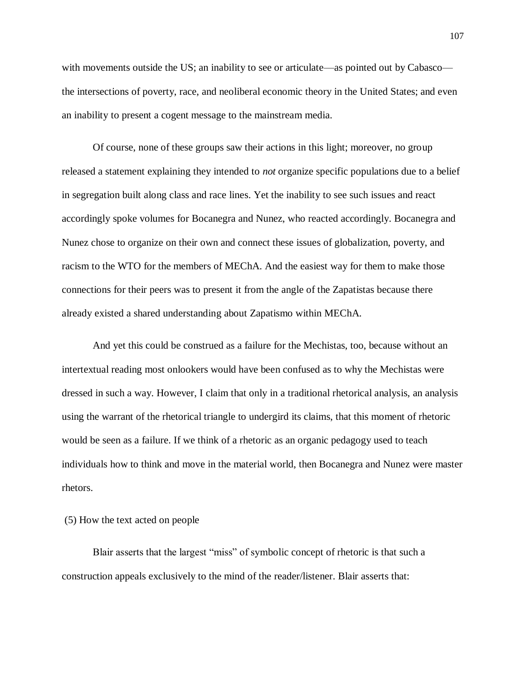with movements outside the US; an inability to see or articulate—as pointed out by Cabasco the intersections of poverty, race, and neoliberal economic theory in the United States; and even an inability to present a cogent message to the mainstream media.

Of course, none of these groups saw their actions in this light; moreover, no group released a statement explaining they intended to *not* organize specific populations due to a belief in segregation built along class and race lines. Yet the inability to see such issues and react accordingly spoke volumes for Bocanegra and Nunez, who reacted accordingly. Bocanegra and Nunez chose to organize on their own and connect these issues of globalization, poverty, and racism to the WTO for the members of MEChA. And the easiest way for them to make those connections for their peers was to present it from the angle of the Zapatistas because there already existed a shared understanding about Zapatismo within MEChA.

And yet this could be construed as a failure for the Mechistas, too, because without an intertextual reading most onlookers would have been confused as to why the Mechistas were dressed in such a way. However, I claim that only in a traditional rhetorical analysis, an analysis using the warrant of the rhetorical triangle to undergird its claims, that this moment of rhetoric would be seen as a failure. If we think of a rhetoric as an organic pedagogy used to teach individuals how to think and move in the material world, then Bocanegra and Nunez were master rhetors.

# (5) How the text acted on people

Blair asserts that the largest "miss" of symbolic concept of rhetoric is that such a construction appeals exclusively to the mind of the reader/listener. Blair asserts that: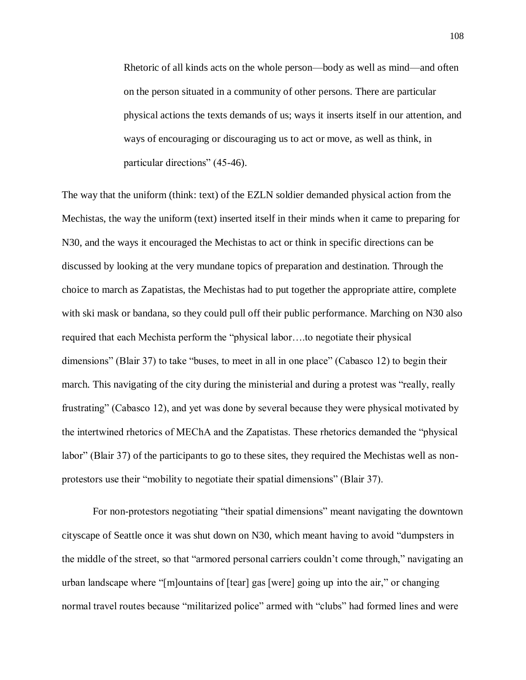Rhetoric of all kinds acts on the whole person—body as well as mind—and often on the person situated in a community of other persons. There are particular physical actions the texts demands of us; ways it inserts itself in our attention, and ways of encouraging or discouraging us to act or move, as well as think, in particular directions" (45-46).

The way that the uniform (think: text) of the EZLN soldier demanded physical action from the Mechistas, the way the uniform (text) inserted itself in their minds when it came to preparing for N30, and the ways it encouraged the Mechistas to act or think in specific directions can be discussed by looking at the very mundane topics of preparation and destination. Through the choice to march as Zapatistas, the Mechistas had to put together the appropriate attire, complete with ski mask or bandana, so they could pull off their public performance. Marching on N30 also required that each Mechista perform the "physical labor….to negotiate their physical dimensions" (Blair 37) to take "buses, to meet in all in one place" (Cabasco 12) to begin their march. This navigating of the city during the ministerial and during a protest was "really, really frustrating" (Cabasco 12), and yet was done by several because they were physical motivated by the intertwined rhetorics of MEChA and the Zapatistas. These rhetorics demanded the "physical labor" (Blair 37) of the participants to go to these sites, they required the Mechistas well as nonprotestors use their "mobility to negotiate their spatial dimensions" (Blair 37).

For non-protestors negotiating "their spatial dimensions" meant navigating the downtown cityscape of Seattle once it was shut down on N30, which meant having to avoid "dumpsters in the middle of the street, so that "armored personal carriers couldn't come through," navigating an urban landscape where "[m]ountains of [tear] gas [were] going up into the air," or changing normal travel routes because "militarized police" armed with "clubs" had formed lines and were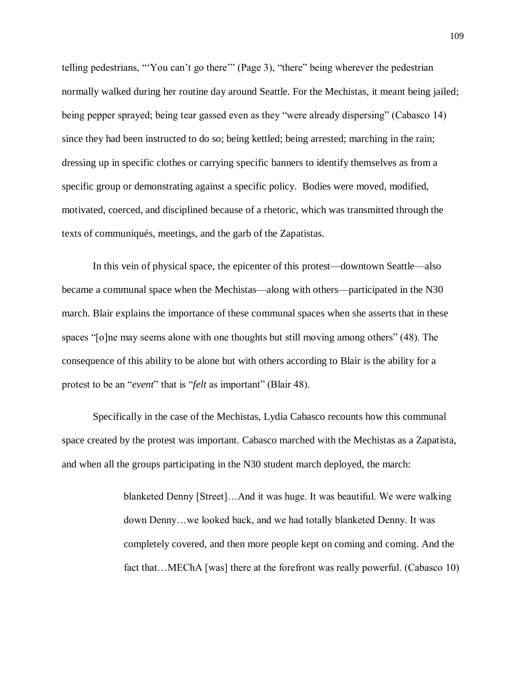telling pedestrians, "'You can't go there'" (Page 3), "there" being wherever the pedestrian normally walked during her routine day around Seattle. For the Mechistas, it meant being jailed; being pepper sprayed; being tear gassed even as they "were already dispersing" (Cabasco 14) since they had been instructed to do so; being kettled; being arrested; marching in the rain; dressing up in specific clothes or carrying specific banners to identify themselves as from a specific group or demonstrating against a specific policy. Bodies were moved, modified, motivated, coerced, and disciplined because of a rhetoric, which was transmitted through the texts of communiqués, meetings, and the garb of the Zapatistas.

In this vein of physical space, the epicenter of this protest—downtown Seattle—also became a communal space when the Mechistas—along with others—participated in the N30 march. Blair explains the importance of these communal spaces when she asserts that in these spaces "[o]ne may seems alone with one thoughts but still moving among others" (48). The consequence of this ability to be alone but with others according to Blair is the ability for a protest to be an "*event*" that is "*felt* as important" (Blair 48).

Specifically in the case of the Mechistas, Lydia Cabasco recounts how this communal space created by the protest was important. Cabasco marched with the Mechistas as a Zapatista, and when all the groups participating in the N30 student march deployed, the march:

> blanketed Denny [Street]…And it was huge. It was beautiful. We were walking down Denny…we looked back, and we had totally blanketed Denny. It was completely covered, and then more people kept on coming and coming. And the fact that…MEChA [was] there at the forefront was really powerful. (Cabasco 10)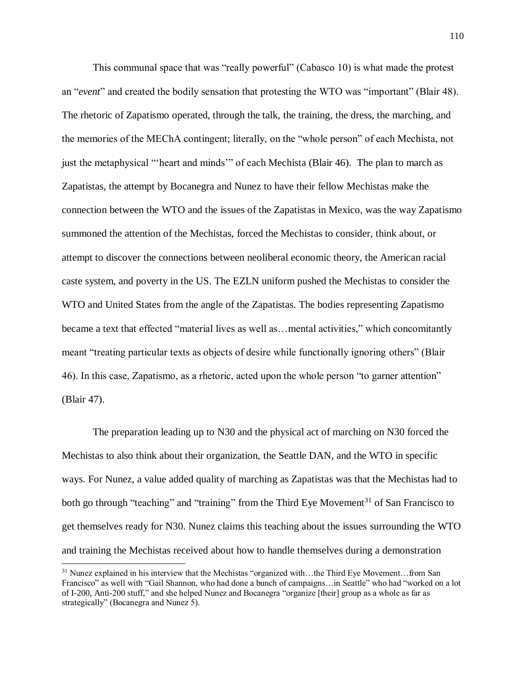This communal space that was "really powerful" (Cabasco 10) is what made the protest an "*event*" and created the bodily sensation that protesting the WTO was "important" (Blair 48). The rhetoric of Zapatismo operated, through the talk, the training, the dress, the marching, and the memories of the MEChA contingent; literally, on the "whole person" of each Mechista, not just the metaphysical "'heart and minds'" of each Mechista (Blair 46). The plan to march as Zapatistas, the attempt by Bocanegra and Nunez to have their fellow Mechistas make the connection between the WTO and the issues of the Zapatistas in Mexico, was the way Zapatismo summoned the attention of the Mechistas, forced the Mechistas to consider, think about, or attempt to discover the connections between neoliberal economic theory, the American racial caste system, and poverty in the US. The EZLN uniform pushed the Mechistas to consider the WTO and United States from the angle of the Zapatistas. The bodies representing Zapatismo became a text that effected "material lives as well as…mental activities," which concomitantly meant "treating particular texts as objects of desire while functionally ignoring others" (Blair 46). In this case, Zapatismo, as a rhetoric, acted upon the whole person "to garner attention" (Blair 47).

The preparation leading up to N30 and the physical act of marching on N30 forced the Mechistas to also think about their organization, the Seattle DAN, and the WTO in specific ways. For Nunez, a value added quality of marching as Zapatistas was that the Mechistas had to both go through "teaching" and "training" from the Third Eye Movement<sup>31</sup> of San Francisco to get themselves ready for N30. Nunez claims this teaching about the issues surrounding the WTO and training the Mechistas received about how to handle themselves during a demonstration

 $\overline{\phantom{a}}$ 

<sup>&</sup>lt;sup>31</sup> Nunez explained in his interview that the Mechistas "organized with...the Third Eye Movement...from San Francisco" as well with "Gail Shannon, who had done a bunch of campaigns…in Seattle" who had "worked on a lot of I-200, Anti-200 stuff," and she helped Nunez and Bocanegra "organize [their] group as a whole as far as strategically" (Bocanegra and Nunez 5).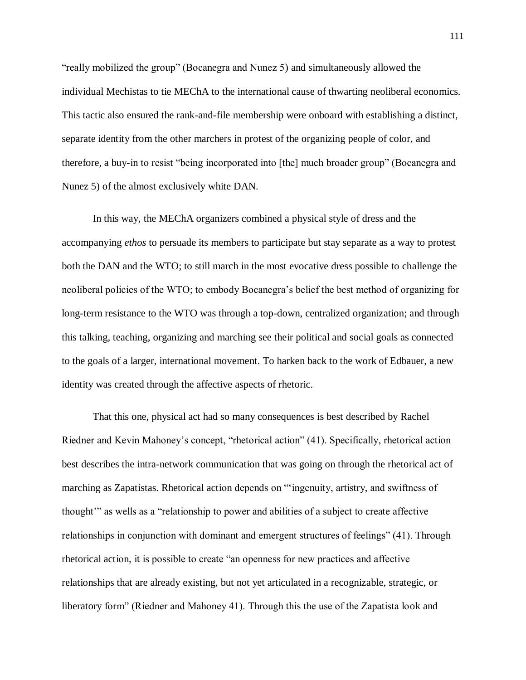"really mobilized the group" (Bocanegra and Nunez 5) and simultaneously allowed the individual Mechistas to tie MEChA to the international cause of thwarting neoliberal economics. This tactic also ensured the rank-and-file membership were onboard with establishing a distinct, separate identity from the other marchers in protest of the organizing people of color, and therefore, a buy-in to resist "being incorporated into [the] much broader group" (Bocanegra and Nunez 5) of the almost exclusively white DAN.

In this way, the MEChA organizers combined a physical style of dress and the accompanying *ethos* to persuade its members to participate but stay separate as a way to protest both the DAN and the WTO; to still march in the most evocative dress possible to challenge the neoliberal policies of the WTO; to embody Bocanegra's belief the best method of organizing for long-term resistance to the WTO was through a top-down, centralized organization; and through this talking, teaching, organizing and marching see their political and social goals as connected to the goals of a larger, international movement. To harken back to the work of Edbauer, a new identity was created through the affective aspects of rhetoric.

That this one, physical act had so many consequences is best described by Rachel Riedner and Kevin Mahoney's concept, "rhetorical action" (41). Specifically, rhetorical action best describes the intra-network communication that was going on through the rhetorical act of marching as Zapatistas. Rhetorical action depends on "'ingenuity, artistry, and swiftness of thought'" as wells as a "relationship to power and abilities of a subject to create affective relationships in conjunction with dominant and emergent structures of feelings" (41). Through rhetorical action, it is possible to create "an openness for new practices and affective relationships that are already existing, but not yet articulated in a recognizable, strategic, or liberatory form" (Riedner and Mahoney 41). Through this the use of the Zapatista look and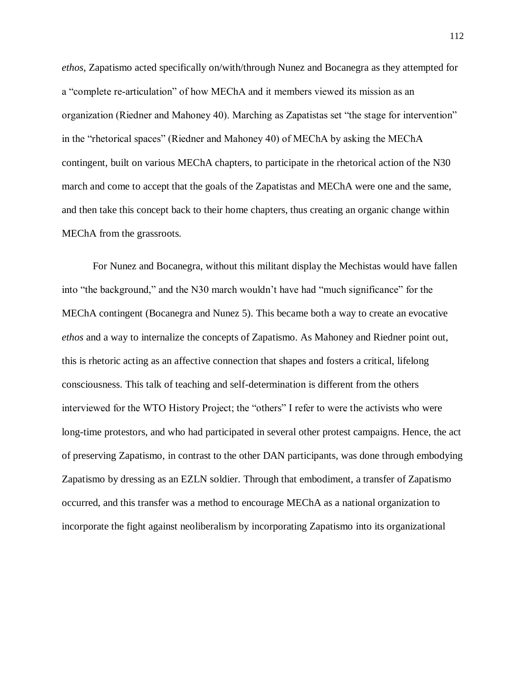*ethos*, Zapatismo acted specifically on/with/through Nunez and Bocanegra as they attempted for a "complete re-articulation" of how MEChA and it members viewed its mission as an organization (Riedner and Mahoney 40). Marching as Zapatistas set "the stage for intervention" in the "rhetorical spaces" (Riedner and Mahoney 40) of MEChA by asking the MEChA contingent, built on various MEChA chapters, to participate in the rhetorical action of the N30 march and come to accept that the goals of the Zapatistas and MEChA were one and the same, and then take this concept back to their home chapters, thus creating an organic change within MEChA from the grassroots.

For Nunez and Bocanegra, without this militant display the Mechistas would have fallen into "the background," and the N30 march wouldn't have had "much significance" for the MEChA contingent (Bocanegra and Nunez 5). This became both a way to create an evocative *ethos* and a way to internalize the concepts of Zapatismo. As Mahoney and Riedner point out, this is rhetoric acting as an affective connection that shapes and fosters a critical, lifelong consciousness. This talk of teaching and self-determination is different from the others interviewed for the WTO History Project; the "others" I refer to were the activists who were long-time protestors, and who had participated in several other protest campaigns. Hence, the act of preserving Zapatismo, in contrast to the other DAN participants, was done through embodying Zapatismo by dressing as an EZLN soldier. Through that embodiment, a transfer of Zapatismo occurred, and this transfer was a method to encourage MEChA as a national organization to incorporate the fight against neoliberalism by incorporating Zapatismo into its organizational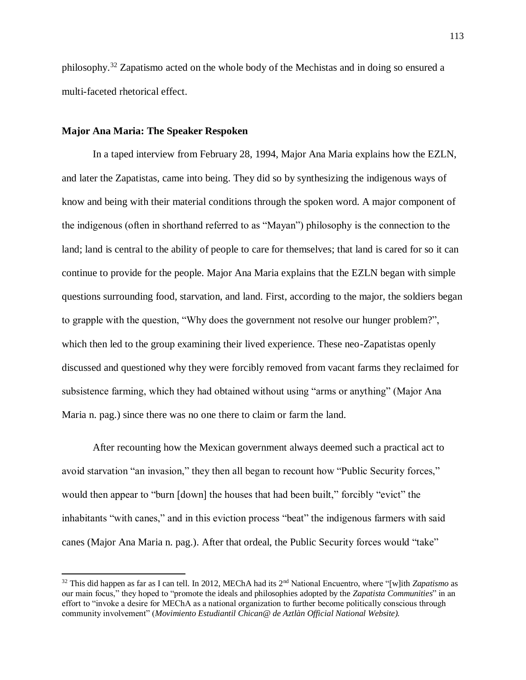philosophy.<sup>32</sup> Zapatismo acted on the whole body of the Mechistas and in doing so ensured a multi-faceted rhetorical effect.

#### **Major Ana Maria: The Speaker Respoken**

 $\overline{\phantom{a}}$ 

In a taped interview from February 28, 1994, Major Ana Maria explains how the EZLN, and later the Zapatistas, came into being. They did so by synthesizing the indigenous ways of know and being with their material conditions through the spoken word. A major component of the indigenous (often in shorthand referred to as "Mayan") philosophy is the connection to the land; land is central to the ability of people to care for themselves; that land is cared for so it can continue to provide for the people. Major Ana Maria explains that the EZLN began with simple questions surrounding food, starvation, and land. First, according to the major, the soldiers began to grapple with the question, "Why does the government not resolve our hunger problem?", which then led to the group examining their lived experience. These neo-Zapatistas openly discussed and questioned why they were forcibly removed from vacant farms they reclaimed for subsistence farming, which they had obtained without using "arms or anything" (Major Ana Maria n. pag.) since there was no one there to claim or farm the land.

After recounting how the Mexican government always deemed such a practical act to avoid starvation "an invasion," they then all began to recount how "Public Security forces," would then appear to "burn [down] the houses that had been built," forcibly "evict" the inhabitants "with canes," and in this eviction process "beat" the indigenous farmers with said canes (Major Ana Maria n. pag.). After that ordeal, the Public Security forces would "take"

<sup>32</sup> This did happen as far as I can tell. In 2012, MEChA had its 2nd National Encuentro, where "[w]ith *Zapatismo* as our main focus," they hoped to "promote the ideals and philosophies adopted by the *Zapatista Communities*" in an effort to "invoke a desire for MEChA as a national organization to further become politically conscious through community involvement" (*Movimiento Estudiantil Chican@ de Aztlàn Official National Website).*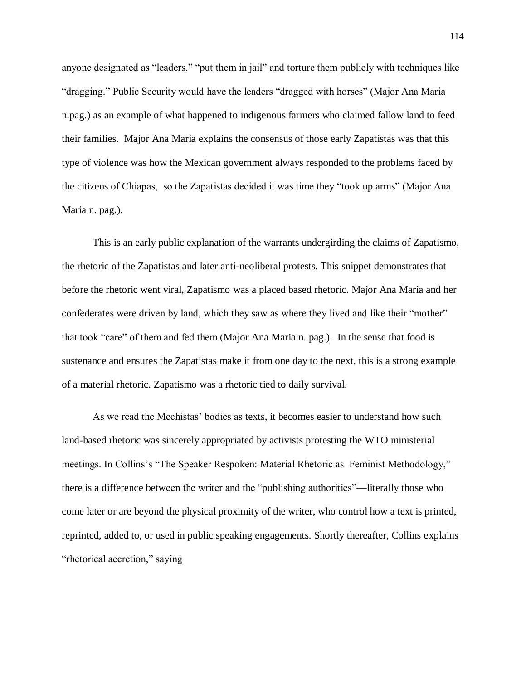anyone designated as "leaders," "put them in jail" and torture them publicly with techniques like "dragging." Public Security would have the leaders "dragged with horses" (Major Ana Maria n.pag.) as an example of what happened to indigenous farmers who claimed fallow land to feed their families. Major Ana Maria explains the consensus of those early Zapatistas was that this type of violence was how the Mexican government always responded to the problems faced by the citizens of Chiapas, so the Zapatistas decided it was time they "took up arms" (Major Ana Maria n. pag.).

This is an early public explanation of the warrants undergirding the claims of Zapatismo, the rhetoric of the Zapatistas and later anti-neoliberal protests. This snippet demonstrates that before the rhetoric went viral, Zapatismo was a placed based rhetoric. Major Ana Maria and her confederates were driven by land, which they saw as where they lived and like their "mother" that took "care" of them and fed them (Major Ana Maria n. pag.). In the sense that food is sustenance and ensures the Zapatistas make it from one day to the next, this is a strong example of a material rhetoric. Zapatismo was a rhetoric tied to daily survival.

As we read the Mechistas' bodies as texts, it becomes easier to understand how such land-based rhetoric was sincerely appropriated by activists protesting the WTO ministerial meetings. In Collins's "The Speaker Respoken: Material Rhetoric as Feminist Methodology," there is a difference between the writer and the "publishing authorities"—literally those who come later or are beyond the physical proximity of the writer, who control how a text is printed, reprinted, added to, or used in public speaking engagements. Shortly thereafter, Collins explains "rhetorical accretion," saying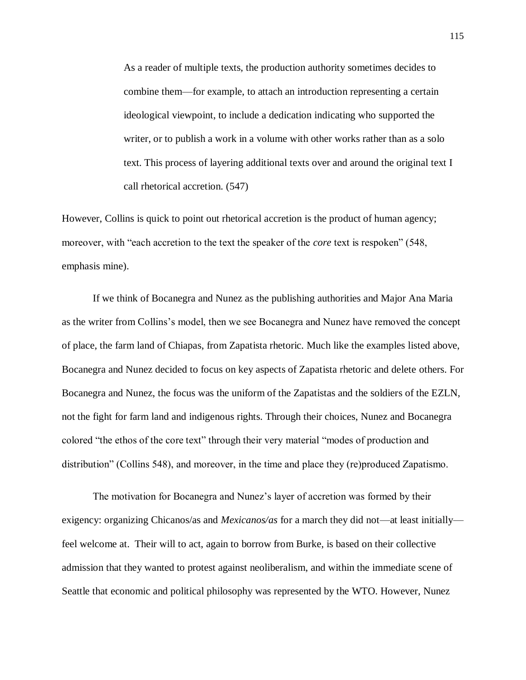As a reader of multiple texts, the production authority sometimes decides to combine them—for example, to attach an introduction representing a certain ideological viewpoint, to include a dedication indicating who supported the writer, or to publish a work in a volume with other works rather than as a solo text. This process of layering additional texts over and around the original text I call rhetorical accretion. (547)

However, Collins is quick to point out rhetorical accretion is the product of human agency; moreover, with "each accretion to the text the speaker of the *core* text is respoken" (548, emphasis mine).

If we think of Bocanegra and Nunez as the publishing authorities and Major Ana Maria as the writer from Collins's model, then we see Bocanegra and Nunez have removed the concept of place, the farm land of Chiapas, from Zapatista rhetoric. Much like the examples listed above, Bocanegra and Nunez decided to focus on key aspects of Zapatista rhetoric and delete others. For Bocanegra and Nunez, the focus was the uniform of the Zapatistas and the soldiers of the EZLN, not the fight for farm land and indigenous rights. Through their choices, Nunez and Bocanegra colored "the ethos of the core text" through their very material "modes of production and distribution" (Collins 548), and moreover, in the time and place they (re)produced Zapatismo.

The motivation for Bocanegra and Nunez's layer of accretion was formed by their exigency: organizing Chicanos/as and *Mexicanos/as* for a march they did not—at least initially feel welcome at. Their will to act, again to borrow from Burke, is based on their collective admission that they wanted to protest against neoliberalism, and within the immediate scene of Seattle that economic and political philosophy was represented by the WTO. However, Nunez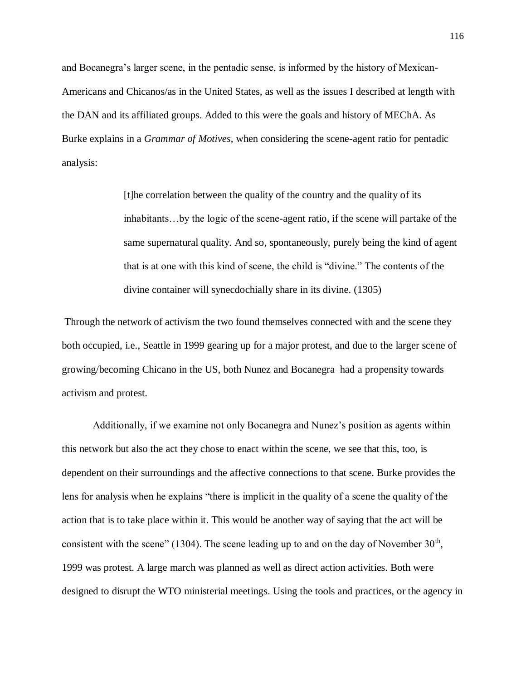and Bocanegra's larger scene, in the pentadic sense, is informed by the history of Mexican-Americans and Chicanos/as in the United States, as well as the issues I described at length with the DAN and its affiliated groups. Added to this were the goals and history of MEChA. As Burke explains in a *Grammar of Motives*, when considering the scene-agent ratio for pentadic analysis:

> [t]he correlation between the quality of the country and the quality of its inhabitants…by the logic of the scene-agent ratio, if the scene will partake of the same supernatural quality. And so, spontaneously, purely being the kind of agent that is at one with this kind of scene, the child is "divine." The contents of the divine container will synecdochially share in its divine. (1305)

Through the network of activism the two found themselves connected with and the scene they both occupied, i.e., Seattle in 1999 gearing up for a major protest, and due to the larger scene of growing/becoming Chicano in the US, both Nunez and Bocanegra had a propensity towards activism and protest.

Additionally, if we examine not only Bocanegra and Nunez's position as agents within this network but also the act they chose to enact within the scene, we see that this, too, is dependent on their surroundings and the affective connections to that scene. Burke provides the lens for analysis when he explains "there is implicit in the quality of a scene the quality of the action that is to take place within it. This would be another way of saying that the act will be consistent with the scene" (1304). The scene leading up to and on the day of November  $30<sup>th</sup>$ , 1999 was protest. A large march was planned as well as direct action activities. Both were designed to disrupt the WTO ministerial meetings. Using the tools and practices, or the agency in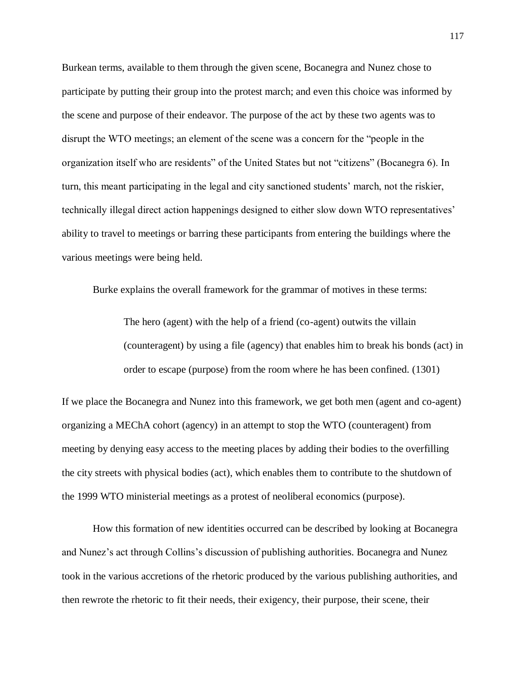Burkean terms, available to them through the given scene, Bocanegra and Nunez chose to participate by putting their group into the protest march; and even this choice was informed by the scene and purpose of their endeavor. The purpose of the act by these two agents was to disrupt the WTO meetings; an element of the scene was a concern for the "people in the organization itself who are residents" of the United States but not "citizens" (Bocanegra 6). In turn, this meant participating in the legal and city sanctioned students' march, not the riskier, technically illegal direct action happenings designed to either slow down WTO representatives' ability to travel to meetings or barring these participants from entering the buildings where the various meetings were being held.

Burke explains the overall framework for the grammar of motives in these terms:

The hero (agent) with the help of a friend (co-agent) outwits the villain (counteragent) by using a file (agency) that enables him to break his bonds (act) in order to escape (purpose) from the room where he has been confined. (1301)

If we place the Bocanegra and Nunez into this framework, we get both men (agent and co-agent) organizing a MEChA cohort (agency) in an attempt to stop the WTO (counteragent) from meeting by denying easy access to the meeting places by adding their bodies to the overfilling the city streets with physical bodies (act), which enables them to contribute to the shutdown of the 1999 WTO ministerial meetings as a protest of neoliberal economics (purpose).

How this formation of new identities occurred can be described by looking at Bocanegra and Nunez's act through Collins's discussion of publishing authorities. Bocanegra and Nunez took in the various accretions of the rhetoric produced by the various publishing authorities, and then rewrote the rhetoric to fit their needs, their exigency, their purpose, their scene, their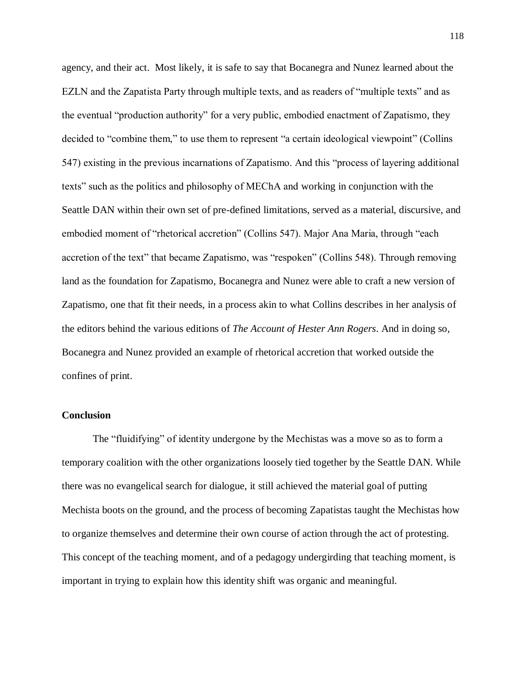agency, and their act. Most likely, it is safe to say that Bocanegra and Nunez learned about the EZLN and the Zapatista Party through multiple texts, and as readers of "multiple texts" and as the eventual "production authority" for a very public, embodied enactment of Zapatismo, they decided to "combine them," to use them to represent "a certain ideological viewpoint" (Collins 547) existing in the previous incarnations of Zapatismo. And this "process of layering additional texts" such as the politics and philosophy of MEChA and working in conjunction with the Seattle DAN within their own set of pre-defined limitations, served as a material, discursive, and embodied moment of "rhetorical accretion" (Collins 547). Major Ana Maria, through "each accretion of the text" that became Zapatismo, was "respoken" (Collins 548). Through removing land as the foundation for Zapatismo, Bocanegra and Nunez were able to craft a new version of Zapatismo, one that fit their needs, in a process akin to what Collins describes in her analysis of the editors behind the various editions of *The Account of Hester Ann Rogers*. And in doing so, Bocanegra and Nunez provided an example of rhetorical accretion that worked outside the confines of print.

## **Conclusion**

The "fluidifying" of identity undergone by the Mechistas was a move so as to form a temporary coalition with the other organizations loosely tied together by the Seattle DAN. While there was no evangelical search for dialogue, it still achieved the material goal of putting Mechista boots on the ground, and the process of becoming Zapatistas taught the Mechistas how to organize themselves and determine their own course of action through the act of protesting. This concept of the teaching moment, and of a pedagogy undergirding that teaching moment, is important in trying to explain how this identity shift was organic and meaningful.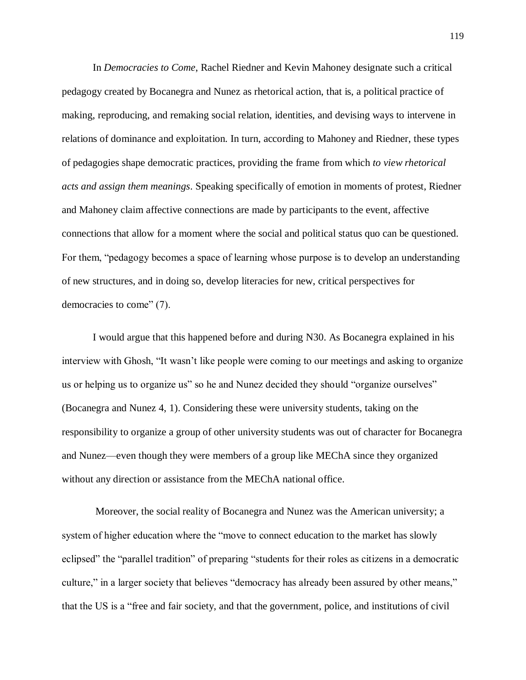In *Democracies to Come*, Rachel Riedner and Kevin Mahoney designate such a critical pedagogy created by Bocanegra and Nunez as rhetorical action, that is, a political practice of making, reproducing, and remaking social relation, identities, and devising ways to intervene in relations of dominance and exploitation. In turn, according to Mahoney and Riedner, these types of pedagogies shape democratic practices, providing the frame from which *to view rhetorical acts and assign them meanings*. Speaking specifically of emotion in moments of protest, Riedner and Mahoney claim affective connections are made by participants to the event, affective connections that allow for a moment where the social and political status quo can be questioned. For them, "pedagogy becomes a space of learning whose purpose is to develop an understanding of new structures, and in doing so, develop literacies for new, critical perspectives for democracies to come" (7).

I would argue that this happened before and during N30. As Bocanegra explained in his interview with Ghosh, "It wasn't like people were coming to our meetings and asking to organize us or helping us to organize us" so he and Nunez decided they should "organize ourselves" (Bocanegra and Nunez 4, 1). Considering these were university students, taking on the responsibility to organize a group of other university students was out of character for Bocanegra and Nunez—even though they were members of a group like MEChA since they organized without any direction or assistance from the MEChA national office.

Moreover, the social reality of Bocanegra and Nunez was the American university; a system of higher education where the "move to connect education to the market has slowly eclipsed" the "parallel tradition" of preparing "students for their roles as citizens in a democratic culture," in a larger society that believes "democracy has already been assured by other means," that the US is a "free and fair society, and that the government, police, and institutions of civil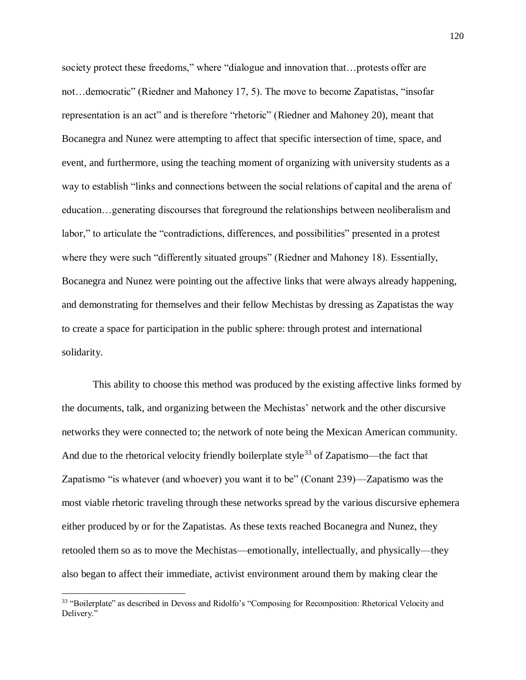society protect these freedoms," where "dialogue and innovation that...protests offer are not…democratic" (Riedner and Mahoney 17, 5). The move to become Zapatistas, "insofar representation is an act" and is therefore "rhetoric" (Riedner and Mahoney 20), meant that Bocanegra and Nunez were attempting to affect that specific intersection of time, space, and event, and furthermore, using the teaching moment of organizing with university students as a way to establish "links and connections between the social relations of capital and the arena of education…generating discourses that foreground the relationships between neoliberalism and labor," to articulate the "contradictions, differences, and possibilities" presented in a protest where they were such "differently situated groups" (Riedner and Mahoney 18). Essentially, Bocanegra and Nunez were pointing out the affective links that were always already happening, and demonstrating for themselves and their fellow Mechistas by dressing as Zapatistas the way to create a space for participation in the public sphere: through protest and international solidarity.

This ability to choose this method was produced by the existing affective links formed by the documents, talk, and organizing between the Mechistas' network and the other discursive networks they were connected to; the network of note being the Mexican American community. And due to the rhetorical velocity friendly boilerplate style<sup>33</sup> of Zapatismo—the fact that Zapatismo "is whatever (and whoever) you want it to be" (Conant 239)—Zapatismo was the most viable rhetoric traveling through these networks spread by the various discursive ephemera either produced by or for the Zapatistas. As these texts reached Bocanegra and Nunez, they retooled them so as to move the Mechistas—emotionally, intellectually, and physically—they also began to affect their immediate, activist environment around them by making clear the

 $\overline{a}$ 

<sup>&</sup>lt;sup>33</sup> "Boilerplate" as described in Devoss and Ridolfo's "Composing for Recomposition: Rhetorical Velocity and Delivery."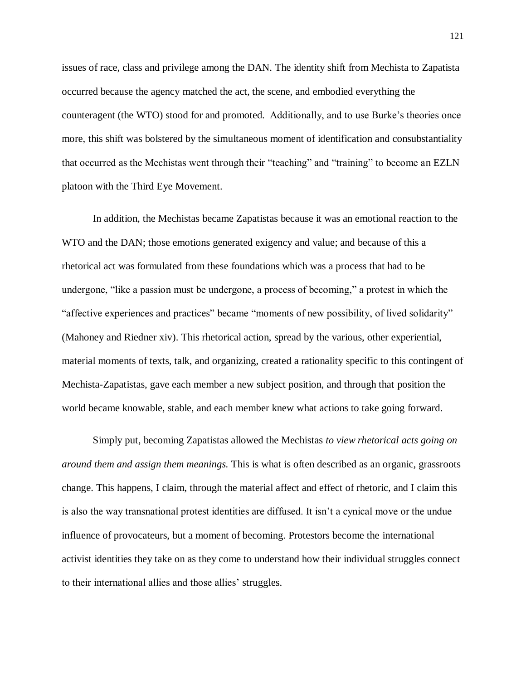issues of race, class and privilege among the DAN. The identity shift from Mechista to Zapatista occurred because the agency matched the act, the scene, and embodied everything the counteragent (the WTO) stood for and promoted. Additionally, and to use Burke's theories once more, this shift was bolstered by the simultaneous moment of identification and consubstantiality that occurred as the Mechistas went through their "teaching" and "training" to become an EZLN platoon with the Third Eye Movement.

In addition, the Mechistas became Zapatistas because it was an emotional reaction to the WTO and the DAN; those emotions generated exigency and value; and because of this a rhetorical act was formulated from these foundations which was a process that had to be undergone, "like a passion must be undergone, a process of becoming," a protest in which the "affective experiences and practices" became "moments of new possibility, of lived solidarity" (Mahoney and Riedner xiv). This rhetorical action, spread by the various, other experiential, material moments of texts, talk, and organizing, created a rationality specific to this contingent of Mechista-Zapatistas, gave each member a new subject position, and through that position the world became knowable, stable, and each member knew what actions to take going forward.

Simply put, becoming Zapatistas allowed the Mechistas *to view rhetorical acts going on around them and assign them meanings.* This is what is often described as an organic, grassroots change. This happens, I claim, through the material affect and effect of rhetoric, and I claim this is also the way transnational protest identities are diffused. It isn't a cynical move or the undue influence of provocateurs, but a moment of becoming. Protestors become the international activist identities they take on as they come to understand how their individual struggles connect to their international allies and those allies' struggles.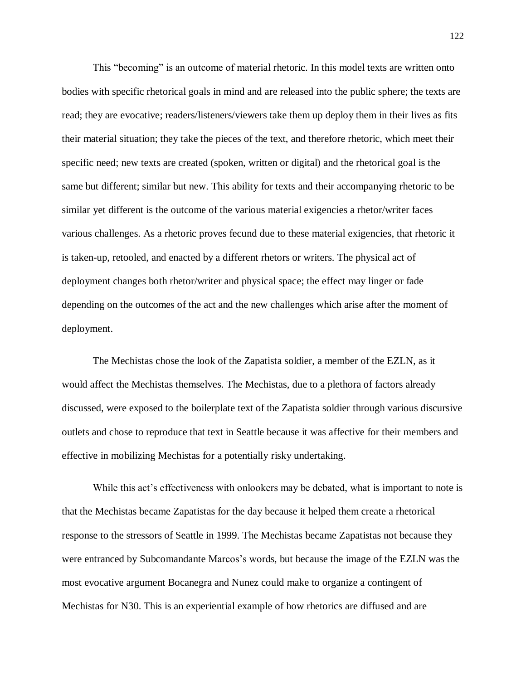This "becoming" is an outcome of material rhetoric. In this model texts are written onto bodies with specific rhetorical goals in mind and are released into the public sphere; the texts are read; they are evocative; readers/listeners/viewers take them up deploy them in their lives as fits their material situation; they take the pieces of the text, and therefore rhetoric, which meet their specific need; new texts are created (spoken, written or digital) and the rhetorical goal is the same but different; similar but new. This ability for texts and their accompanying rhetoric to be similar yet different is the outcome of the various material exigencies a rhetor/writer faces various challenges. As a rhetoric proves fecund due to these material exigencies, that rhetoric it is taken-up, retooled, and enacted by a different rhetors or writers. The physical act of deployment changes both rhetor/writer and physical space; the effect may linger or fade depending on the outcomes of the act and the new challenges which arise after the moment of deployment.

The Mechistas chose the look of the Zapatista soldier, a member of the EZLN, as it would affect the Mechistas themselves. The Mechistas, due to a plethora of factors already discussed, were exposed to the boilerplate text of the Zapatista soldier through various discursive outlets and chose to reproduce that text in Seattle because it was affective for their members and effective in mobilizing Mechistas for a potentially risky undertaking.

While this act's effectiveness with onlookers may be debated, what is important to note is that the Mechistas became Zapatistas for the day because it helped them create a rhetorical response to the stressors of Seattle in 1999. The Mechistas became Zapatistas not because they were entranced by Subcomandante Marcos's words, but because the image of the EZLN was the most evocative argument Bocanegra and Nunez could make to organize a contingent of Mechistas for N30. This is an experiential example of how rhetorics are diffused and are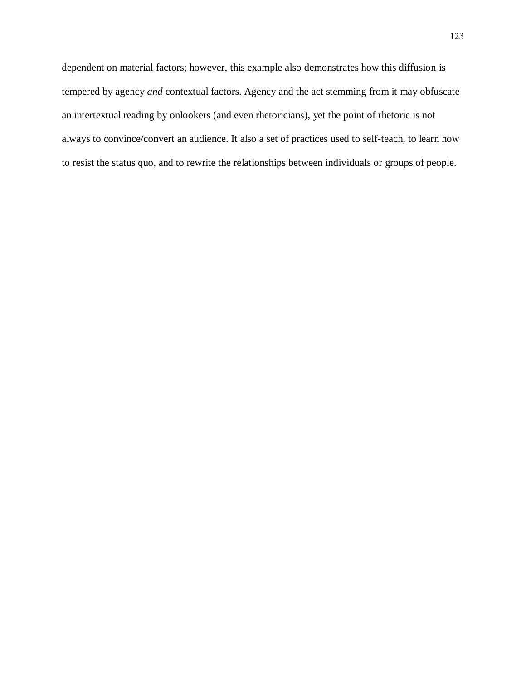dependent on material factors; however, this example also demonstrates how this diffusion is tempered by agency *and* contextual factors. Agency and the act stemming from it may obfuscate an intertextual reading by onlookers (and even rhetoricians), yet the point of rhetoric is not always to convince/convert an audience. It also a set of practices used to self-teach, to learn how to resist the status quo, and to rewrite the relationships between individuals or groups of people.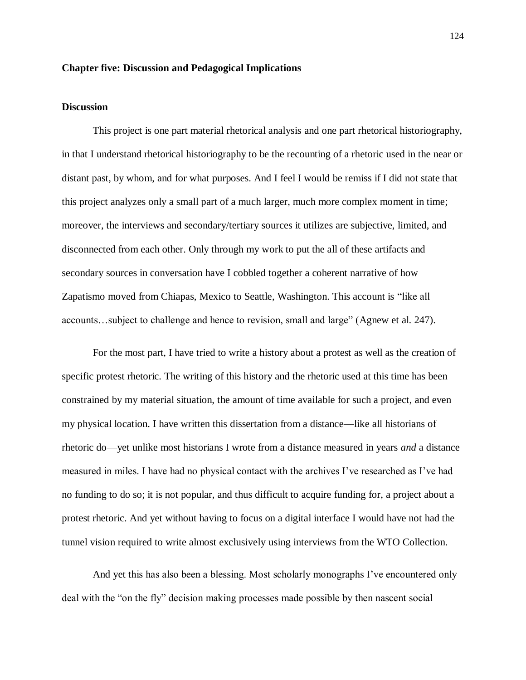### **Chapter five: Discussion and Pedagogical Implications**

### **Discussion**

This project is one part material rhetorical analysis and one part rhetorical historiography, in that I understand rhetorical historiography to be the recounting of a rhetoric used in the near or distant past, by whom, and for what purposes. And I feel I would be remiss if I did not state that this project analyzes only a small part of a much larger, much more complex moment in time; moreover, the interviews and secondary/tertiary sources it utilizes are subjective, limited, and disconnected from each other. Only through my work to put the all of these artifacts and secondary sources in conversation have I cobbled together a coherent narrative of how Zapatismo moved from Chiapas, Mexico to Seattle, Washington. This account is "like all accounts…subject to challenge and hence to revision, small and large" (Agnew et al. 247).

For the most part, I have tried to write a history about a protest as well as the creation of specific protest rhetoric. The writing of this history and the rhetoric used at this time has been constrained by my material situation, the amount of time available for such a project, and even my physical location. I have written this dissertation from a distance—like all historians of rhetoric do—yet unlike most historians I wrote from a distance measured in years *and* a distance measured in miles. I have had no physical contact with the archives I've researched as I've had no funding to do so; it is not popular, and thus difficult to acquire funding for, a project about a protest rhetoric. And yet without having to focus on a digital interface I would have not had the tunnel vision required to write almost exclusively using interviews from the WTO Collection.

And yet this has also been a blessing. Most scholarly monographs I've encountered only deal with the "on the fly" decision making processes made possible by then nascent social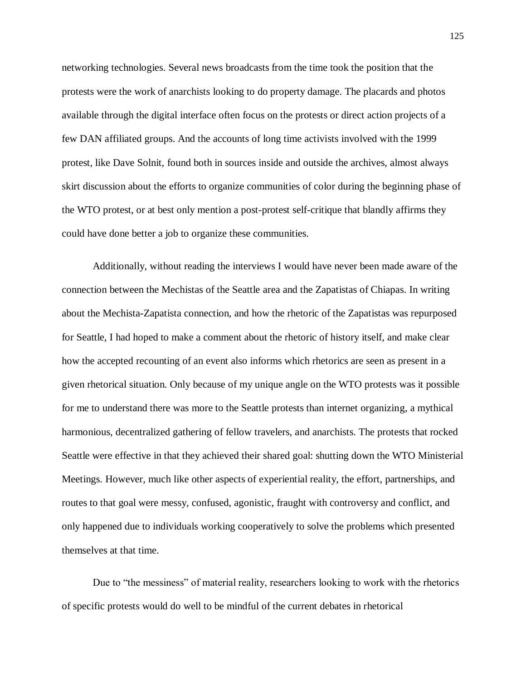networking technologies. Several news broadcasts from the time took the position that the protests were the work of anarchists looking to do property damage. The placards and photos available through the digital interface often focus on the protests or direct action projects of a few DAN affiliated groups. And the accounts of long time activists involved with the 1999 protest, like Dave Solnit, found both in sources inside and outside the archives, almost always skirt discussion about the efforts to organize communities of color during the beginning phase of the WTO protest, or at best only mention a post-protest self-critique that blandly affirms they could have done better a job to organize these communities.

Additionally, without reading the interviews I would have never been made aware of the connection between the Mechistas of the Seattle area and the Zapatistas of Chiapas. In writing about the Mechista-Zapatista connection, and how the rhetoric of the Zapatistas was repurposed for Seattle, I had hoped to make a comment about the rhetoric of history itself, and make clear how the accepted recounting of an event also informs which rhetorics are seen as present in a given rhetorical situation. Only because of my unique angle on the WTO protests was it possible for me to understand there was more to the Seattle protests than internet organizing, a mythical harmonious, decentralized gathering of fellow travelers, and anarchists. The protests that rocked Seattle were effective in that they achieved their shared goal: shutting down the WTO Ministerial Meetings. However, much like other aspects of experiential reality, the effort, partnerships, and routes to that goal were messy, confused, agonistic, fraught with controversy and conflict, and only happened due to individuals working cooperatively to solve the problems which presented themselves at that time.

Due to "the messiness" of material reality, researchers looking to work with the rhetorics of specific protests would do well to be mindful of the current debates in rhetorical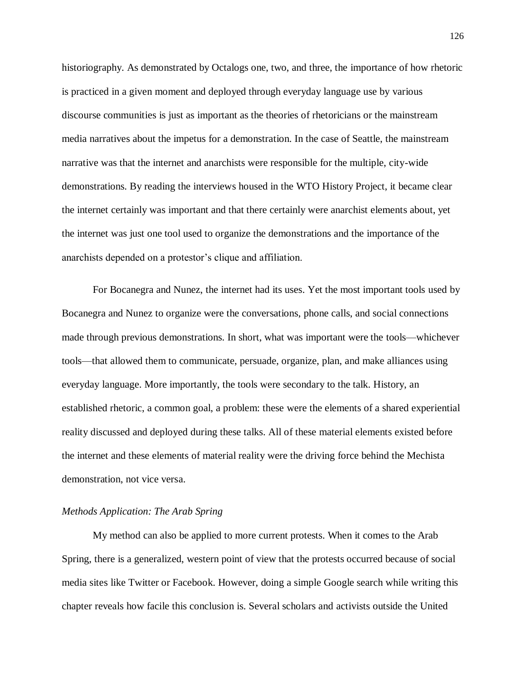historiography. As demonstrated by Octalogs one, two, and three, the importance of how rhetoric is practiced in a given moment and deployed through everyday language use by various discourse communities is just as important as the theories of rhetoricians or the mainstream media narratives about the impetus for a demonstration. In the case of Seattle, the mainstream narrative was that the internet and anarchists were responsible for the multiple, city-wide demonstrations. By reading the interviews housed in the WTO History Project, it became clear the internet certainly was important and that there certainly were anarchist elements about, yet the internet was just one tool used to organize the demonstrations and the importance of the anarchists depended on a protestor's clique and affiliation.

For Bocanegra and Nunez, the internet had its uses. Yet the most important tools used by Bocanegra and Nunez to organize were the conversations, phone calls, and social connections made through previous demonstrations. In short, what was important were the tools—whichever tools—that allowed them to communicate, persuade, organize, plan, and make alliances using everyday language. More importantly, the tools were secondary to the talk. History, an established rhetoric, a common goal, a problem: these were the elements of a shared experiential reality discussed and deployed during these talks. All of these material elements existed before the internet and these elements of material reality were the driving force behind the Mechista demonstration, not vice versa.

## *Methods Application: The Arab Spring*

My method can also be applied to more current protests. When it comes to the Arab Spring, there is a generalized, western point of view that the protests occurred because of social media sites like Twitter or Facebook. However, doing a simple Google search while writing this chapter reveals how facile this conclusion is. Several scholars and activists outside the United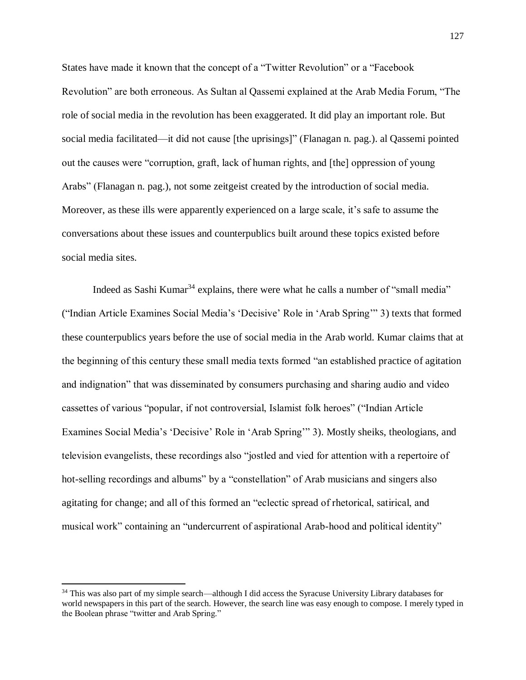States have made it known that the concept of a "Twitter Revolution" or a "Facebook Revolution" are both erroneous. As Sultan al Qassemi explained at the Arab Media Forum, "The role of social media in the revolution has been exaggerated. It did play an important role. But social media facilitated—it did not cause [the uprisings]" (Flanagan n. pag.). al Qassemi pointed out the causes were "corruption, graft, lack of human rights, and [the] oppression of young Arabs" (Flanagan n. pag.), not some zeitgeist created by the introduction of social media. Moreover, as these ills were apparently experienced on a large scale, it's safe to assume the conversations about these issues and counterpublics built around these topics existed before social media sites.

Indeed as Sashi Kumar<sup>34</sup> explains, there were what he calls a number of "small media" ("Indian Article Examines Social Media's 'Decisive' Role in 'Arab Spring'" 3) texts that formed these counterpublics years before the use of social media in the Arab world. Kumar claims that at the beginning of this century these small media texts formed "an established practice of agitation and indignation" that was disseminated by consumers purchasing and sharing audio and video cassettes of various "popular, if not controversial, Islamist folk heroes" ("Indian Article Examines Social Media's 'Decisive' Role in 'Arab Spring'" 3). Mostly sheiks, theologians, and television evangelists, these recordings also "jostled and vied for attention with a repertoire of hot-selling recordings and albums" by a "constellation" of Arab musicians and singers also agitating for change; and all of this formed an "eclectic spread of rhetorical, satirical, and musical work" containing an "undercurrent of aspirational Arab-hood and political identity"

 $\overline{a}$ 

<sup>&</sup>lt;sup>34</sup> This was also part of my simple search—although I did access the Syracuse University Library databases for world newspapers in this part of the search. However, the search line was easy enough to compose. I merely typed in the Boolean phrase "twitter and Arab Spring."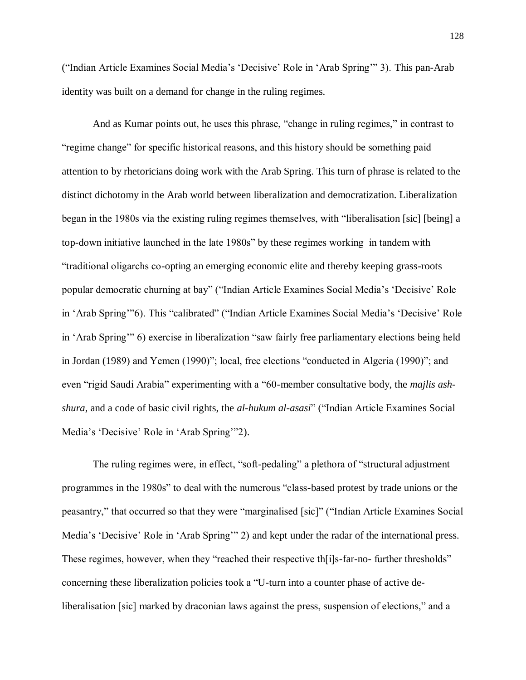("Indian Article Examines Social Media's 'Decisive' Role in 'Arab Spring'" 3). This pan-Arab identity was built on a demand for change in the ruling regimes.

And as Kumar points out, he uses this phrase, "change in ruling regimes," in contrast to "regime change" for specific historical reasons, and this history should be something paid attention to by rhetoricians doing work with the Arab Spring. This turn of phrase is related to the distinct dichotomy in the Arab world between liberalization and democratization. Liberalization began in the 1980s via the existing ruling regimes themselves, with "liberalisation [sic] [being] a top-down initiative launched in the late 1980s" by these regimes working in tandem with "traditional oligarchs co-opting an emerging economic elite and thereby keeping grass-roots popular democratic churning at bay" ("Indian Article Examines Social Media's 'Decisive' Role in 'Arab Spring'"6). This "calibrated" ("Indian Article Examines Social Media's 'Decisive' Role in 'Arab Spring'" 6) exercise in liberalization "saw fairly free parliamentary elections being held in Jordan (1989) and Yemen (1990)"; local, free elections "conducted in Algeria (1990)"; and even "rigid Saudi Arabia" experimenting with a "60-member consultative body, the *majlis ashshura*, and a code of basic civil rights, the *al-hukum al-asasi*" ("Indian Article Examines Social Media's 'Decisive' Role in 'Arab Spring'"2).

The ruling regimes were, in effect, "soft-pedaling" a plethora of "structural adjustment programmes in the 1980s" to deal with the numerous "class-based protest by trade unions or the peasantry," that occurred so that they were "marginalised [sic]" ("Indian Article Examines Social Media's 'Decisive' Role in 'Arab Spring'" 2) and kept under the radar of the international press. These regimes, however, when they "reached their respective th[i]s-far-no- further thresholds" concerning these liberalization policies took a "U-turn into a counter phase of active deliberalisation [sic] marked by draconian laws against the press, suspension of elections," and a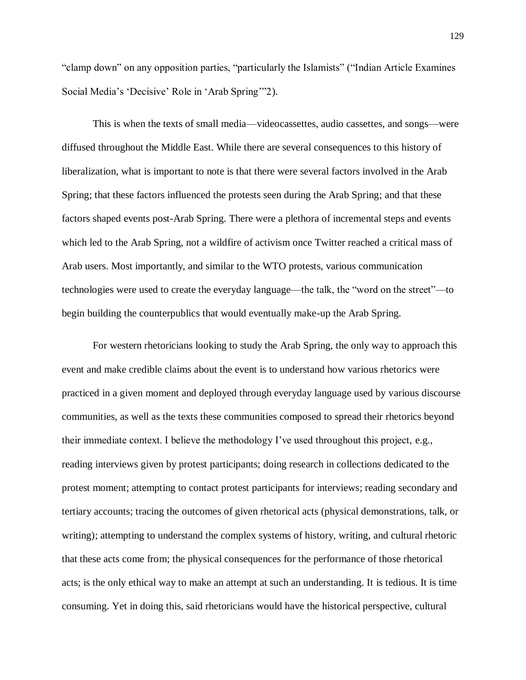"clamp down" on any opposition parties, "particularly the Islamists" ("Indian Article Examines Social Media's 'Decisive' Role in 'Arab Spring'"2).

This is when the texts of small media—videocassettes, audio cassettes, and songs—were diffused throughout the Middle East. While there are several consequences to this history of liberalization, what is important to note is that there were several factors involved in the Arab Spring; that these factors influenced the protests seen during the Arab Spring; and that these factors shaped events post-Arab Spring. There were a plethora of incremental steps and events which led to the Arab Spring, not a wildfire of activism once Twitter reached a critical mass of Arab users. Most importantly, and similar to the WTO protests, various communication technologies were used to create the everyday language—the talk, the "word on the street"—to begin building the counterpublics that would eventually make-up the Arab Spring.

For western rhetoricians looking to study the Arab Spring, the only way to approach this event and make credible claims about the event is to understand how various rhetorics were practiced in a given moment and deployed through everyday language used by various discourse communities, as well as the texts these communities composed to spread their rhetorics beyond their immediate context. I believe the methodology I've used throughout this project, e.g., reading interviews given by protest participants; doing research in collections dedicated to the protest moment; attempting to contact protest participants for interviews; reading secondary and tertiary accounts; tracing the outcomes of given rhetorical acts (physical demonstrations, talk, or writing); attempting to understand the complex systems of history, writing, and cultural rhetoric that these acts come from; the physical consequences for the performance of those rhetorical acts; is the only ethical way to make an attempt at such an understanding. It is tedious. It is time consuming. Yet in doing this, said rhetoricians would have the historical perspective, cultural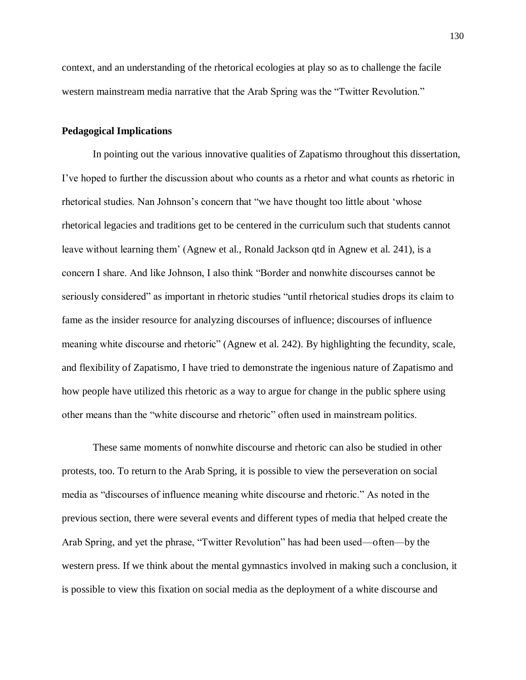context, and an understanding of the rhetorical ecologies at play so as to challenge the facile western mainstream media narrative that the Arab Spring was the "Twitter Revolution."

# **Pedagogical Implications**

In pointing out the various innovative qualities of Zapatismo throughout this dissertation, I've hoped to further the discussion about who counts as a rhetor and what counts as rhetoric in rhetorical studies. Nan Johnson's concern that "we have thought too little about 'whose rhetorical legacies and traditions get to be centered in the curriculum such that students cannot leave without learning them' (Agnew et al., Ronald Jackson qtd in Agnew et al. 241), is a concern I share. And like Johnson, I also think "Border and nonwhite discourses cannot be seriously considered" as important in rhetoric studies "until rhetorical studies drops its claim to fame as the insider resource for analyzing discourses of influence; discourses of influence meaning white discourse and rhetoric" (Agnew et al. 242). By highlighting the fecundity, scale, and flexibility of Zapatismo, I have tried to demonstrate the ingenious nature of Zapatismo and how people have utilized this rhetoric as a way to argue for change in the public sphere using other means than the "white discourse and rhetoric" often used in mainstream politics.

These same moments of nonwhite discourse and rhetoric can also be studied in other protests, too. To return to the Arab Spring, it is possible to view the perseveration on social media as "discourses of influence meaning white discourse and rhetoric." As noted in the previous section, there were several events and different types of media that helped create the Arab Spring, and yet the phrase, "Twitter Revolution" has had been used—often—by the western press. If we think about the mental gymnastics involved in making such a conclusion, it is possible to view this fixation on social media as the deployment of a white discourse and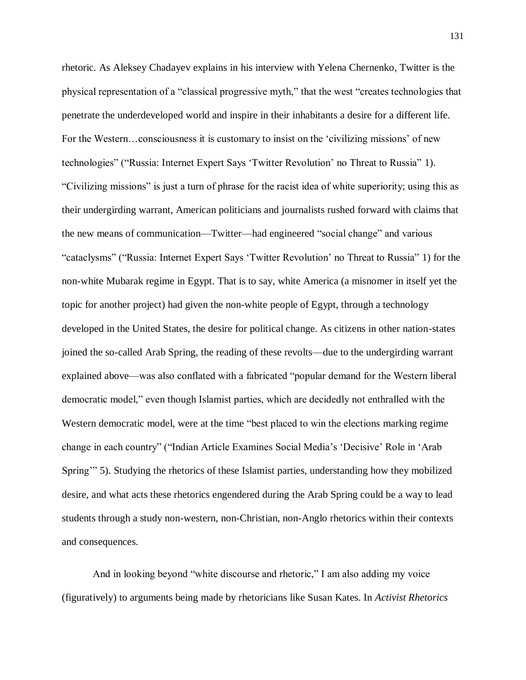rhetoric. As Aleksey Chadayev explains in his interview with Yelena Chernenko, Twitter is the physical representation of a "classical progressive myth," that the west "creates technologies that penetrate the underdeveloped world and inspire in their inhabitants a desire for a different life. For the Western…consciousness it is customary to insist on the 'civilizing missions' of new technologies" ("Russia: Internet Expert Says 'Twitter Revolution' no Threat to Russia" 1). "Civilizing missions" is just a turn of phrase for the racist idea of white superiority; using this as their undergirding warrant, American politicians and journalists rushed forward with claims that the new means of communication—Twitter—had engineered "social change" and various "cataclysms" ("Russia: Internet Expert Says 'Twitter Revolution' no Threat to Russia" 1) for the non-white Mubarak regime in Egypt. That is to say, white America (a misnomer in itself yet the topic for another project) had given the non-white people of Egypt, through a technology developed in the United States, the desire for political change. As citizens in other nation-states joined the so-called Arab Spring, the reading of these revolts—due to the undergirding warrant explained above—was also conflated with a fabricated "popular demand for the Western liberal democratic model," even though Islamist parties, which are decidedly not enthralled with the Western democratic model, were at the time "best placed to win the elections marking regime change in each country" ("Indian Article Examines Social Media's 'Decisive' Role in 'Arab Spring'" 5). Studying the rhetorics of these Islamist parties, understanding how they mobilized desire, and what acts these rhetorics engendered during the Arab Spring could be a way to lead students through a study non-western, non-Christian, non-Anglo rhetorics within their contexts and consequences.

And in looking beyond "white discourse and rhetoric," I am also adding my voice (figuratively) to arguments being made by rhetoricians like Susan Kates. In *Activist Rhetorics*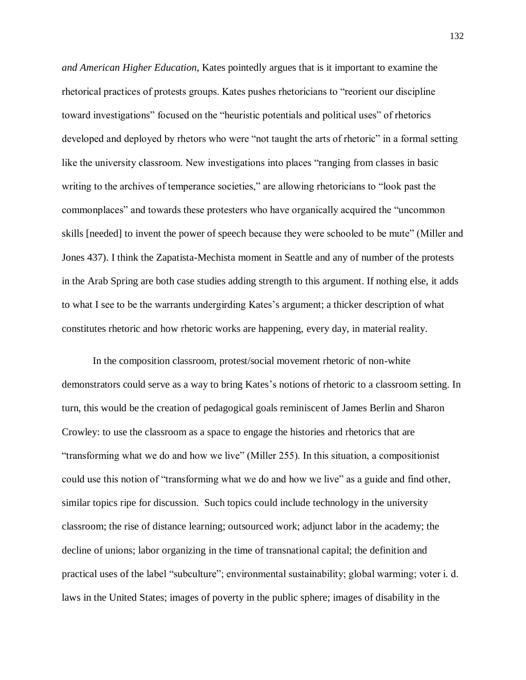*and American Higher Education*, Kates pointedly argues that is it important to examine the rhetorical practices of protests groups. Kates pushes rhetoricians to "reorient our discipline toward investigations" focused on the "heuristic potentials and political uses" of rhetorics developed and deployed by rhetors who were "not taught the arts of rhetoric" in a formal setting like the university classroom. New investigations into places "ranging from classes in basic writing to the archives of temperance societies," are allowing rhetoricians to "look past the commonplaces" and towards these protesters who have organically acquired the "uncommon skills [needed] to invent the power of speech because they were schooled to be mute" (Miller and Jones 437). I think the Zapatista-Mechista moment in Seattle and any of number of the protests in the Arab Spring are both case studies adding strength to this argument. If nothing else, it adds to what I see to be the warrants undergirding Kates's argument; a thicker description of what constitutes rhetoric and how rhetoric works are happening, every day, in material reality.

In the composition classroom, protest/social movement rhetoric of non-white demonstrators could serve as a way to bring Kates's notions of rhetoric to a classroom setting. In turn, this would be the creation of pedagogical goals reminiscent of James Berlin and Sharon Crowley: to use the classroom as a space to engage the histories and rhetorics that are "transforming what we do and how we live" (Miller 255). In this situation, a compositionist could use this notion of "transforming what we do and how we live" as a guide and find other, similar topics ripe for discussion. Such topics could include technology in the university classroom; the rise of distance learning; outsourced work; adjunct labor in the academy; the decline of unions; labor organizing in the time of transnational capital; the definition and practical uses of the label "subculture"; environmental sustainability; global warming; voter i. d. laws in the United States; images of poverty in the public sphere; images of disability in the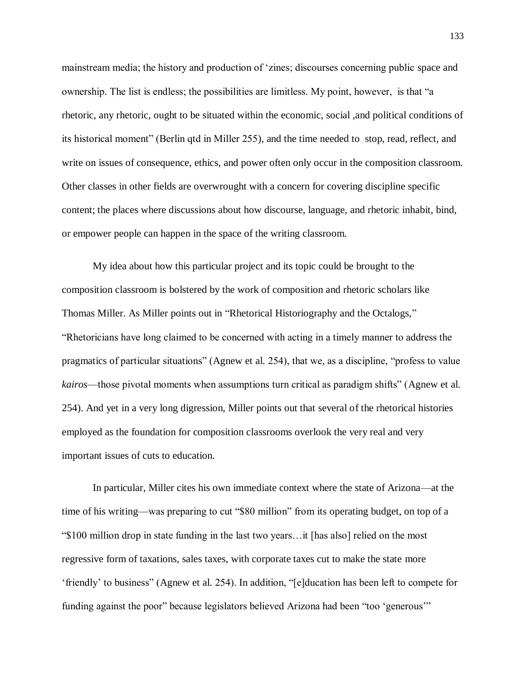mainstream media; the history and production of 'zines; discourses concerning public space and ownership. The list is endless; the possibilities are limitless. My point, however, is that "a rhetoric, any rhetoric, ought to be situated within the economic, social ,and political conditions of its historical moment" (Berlin qtd in Miller 255), and the time needed to stop, read, reflect, and write on issues of consequence, ethics, and power often only occur in the composition classroom. Other classes in other fields are overwrought with a concern for covering discipline specific content; the places where discussions about how discourse, language, and rhetoric inhabit, bind, or empower people can happen in the space of the writing classroom.

My idea about how this particular project and its topic could be brought to the composition classroom is bolstered by the work of composition and rhetoric scholars like Thomas Miller. As Miller points out in "Rhetorical Historiography and the Octalogs," "Rhetoricians have long claimed to be concerned with acting in a timely manner to address the pragmatics of particular situations" (Agnew et al. 254), that we, as a discipline, "profess to value *kairos*—those pivotal moments when assumptions turn critical as paradigm shifts" (Agnew et al. 254). And yet in a very long digression, Miller points out that several of the rhetorical histories employed as the foundation for composition classrooms overlook the very real and very important issues of cuts to education.

In particular, Miller cites his own immediate context where the state of Arizona—at the time of his writing—was preparing to cut "\$80 million" from its operating budget, on top of a "\$100 million drop in state funding in the last two years…it [has also] relied on the most regressive form of taxations, sales taxes, with corporate taxes cut to make the state more 'friendly' to business" (Agnew et al. 254). In addition, "[e]ducation has been left to compete for funding against the poor" because legislators believed Arizona had been "too 'generous'"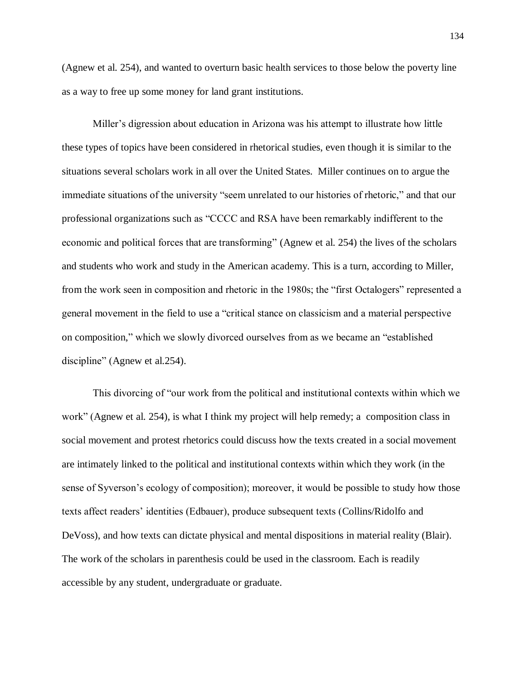(Agnew et al. 254), and wanted to overturn basic health services to those below the poverty line as a way to free up some money for land grant institutions.

Miller's digression about education in Arizona was his attempt to illustrate how little these types of topics have been considered in rhetorical studies, even though it is similar to the situations several scholars work in all over the United States. Miller continues on to argue the immediate situations of the university "seem unrelated to our histories of rhetoric," and that our professional organizations such as "CCCC and RSA have been remarkably indifferent to the economic and political forces that are transforming" (Agnew et al. 254) the lives of the scholars and students who work and study in the American academy. This is a turn, according to Miller, from the work seen in composition and rhetoric in the 1980s; the "first Octalogers" represented a general movement in the field to use a "critical stance on classicism and a material perspective on composition," which we slowly divorced ourselves from as we became an "established discipline" (Agnew et al.254).

This divorcing of "our work from the political and institutional contexts within which we work" (Agnew et al. 254), is what I think my project will help remedy; a composition class in social movement and protest rhetorics could discuss how the texts created in a social movement are intimately linked to the political and institutional contexts within which they work (in the sense of Syverson's ecology of composition); moreover, it would be possible to study how those texts affect readers' identities (Edbauer), produce subsequent texts (Collins/Ridolfo and DeVoss), and how texts can dictate physical and mental dispositions in material reality (Blair). The work of the scholars in parenthesis could be used in the classroom. Each is readily accessible by any student, undergraduate or graduate.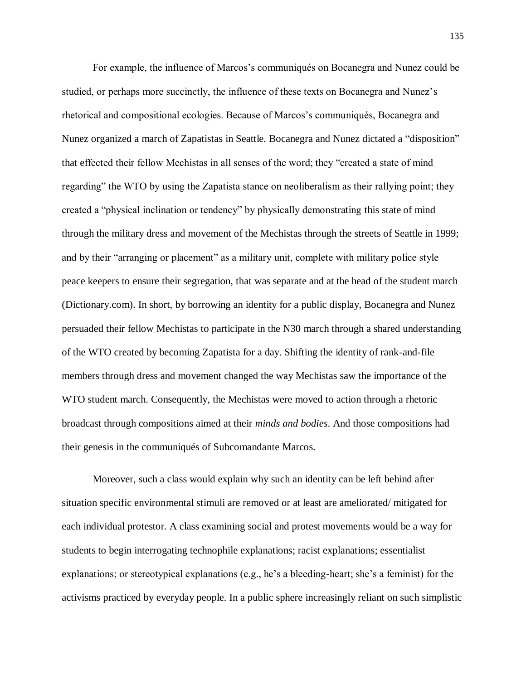For example, the influence of Marcos's communiqués on Bocanegra and Nunez could be studied, or perhaps more succinctly, the influence of these texts on Bocanegra and Nunez's rhetorical and compositional ecologies. Because of Marcos's communiqués, Bocanegra and Nunez organized a march of Zapatistas in Seattle. Bocanegra and Nunez dictated a "disposition" that effected their fellow Mechistas in all senses of the word; they "created a state of mind regarding" the WTO by using the Zapatista stance on neoliberalism as their rallying point; they created a "physical inclination or tendency" by physically demonstrating this state of mind through the military dress and movement of the Mechistas through the streets of Seattle in 1999; and by their "arranging or placement" as a military unit, complete with military police style peace keepers to ensure their segregation, that was separate and at the head of the student march (Dictionary.com). In short, by borrowing an identity for a public display, Bocanegra and Nunez persuaded their fellow Mechistas to participate in the N30 march through a shared understanding of the WTO created by becoming Zapatista for a day. Shifting the identity of rank-and-file members through dress and movement changed the way Mechistas saw the importance of the WTO student march. Consequently, the Mechistas were moved to action through a rhetoric broadcast through compositions aimed at their *minds and bodies*. And those compositions had their genesis in the communiqués of Subcomandante Marcos.

Moreover, such a class would explain why such an identity can be left behind after situation specific environmental stimuli are removed or at least are ameliorated/ mitigated for each individual protestor. A class examining social and protest movements would be a way for students to begin interrogating technophile explanations; racist explanations; essentialist explanations; or stereotypical explanations (e.g., he's a bleeding-heart; she's a feminist) for the activisms practiced by everyday people. In a public sphere increasingly reliant on such simplistic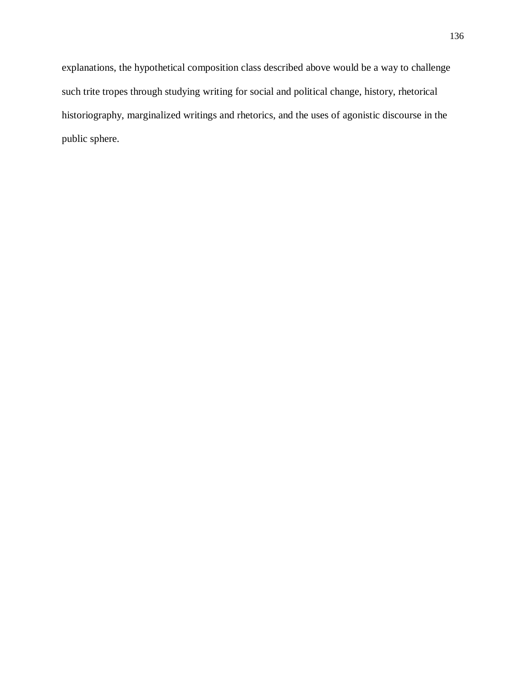explanations, the hypothetical composition class described above would be a way to challenge such trite tropes through studying writing for social and political change, history, rhetorical historiography, marginalized writings and rhetorics, and the uses of agonistic discourse in the public sphere.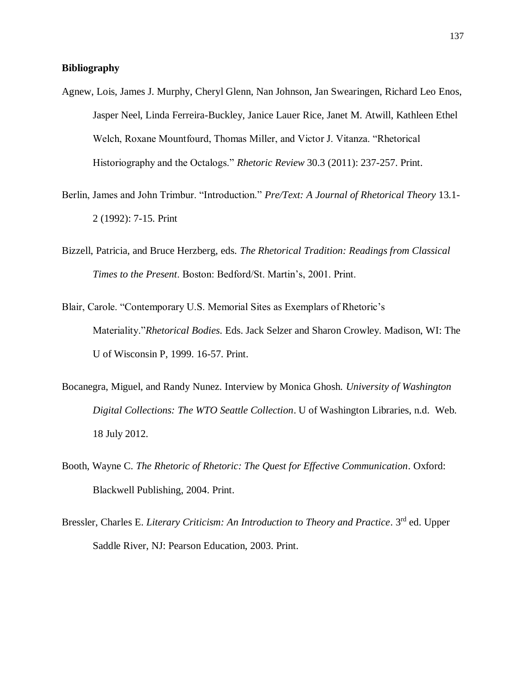### **Bibliography**

- Agnew, Lois, James J. Murphy, Cheryl Glenn, Nan Johnson, Jan Swearingen, Richard Leo Enos, Jasper Neel, Linda Ferreira-Buckley, Janice Lauer Rice, Janet M. Atwill, Kathleen Ethel Welch, Roxane Mountfourd, Thomas Miller, and Victor J. Vitanza. "Rhetorical Historiography and the Octalogs." *Rhetoric Review* 30.3 (2011): 237-257. Print.
- Berlin, James and John Trimbur. "Introduction." *Pre/Text: A Journal of Rhetorical Theory* 13.1- 2 (1992): 7-15. Print
- Bizzell, Patricia, and Bruce Herzberg, eds. *The Rhetorical Tradition: Readings from Classical Times to the Present*. Boston: Bedford/St. Martin's, 2001. Print.
- Blair, Carole. "Contemporary U.S. Memorial Sites as Exemplars of Rhetoric's Materiality."*Rhetorical Bodies*. Eds. Jack Selzer and Sharon Crowley. Madison, WI: The U of Wisconsin P, 1999. 16-57. Print.
- Bocanegra, Miguel, and Randy Nunez. Interview by Monica Ghosh. *University of Washington Digital Collections: The WTO Seattle Collection*. U of Washington Libraries, n.d. Web. 18 July 2012.
- Booth, Wayne C. *The Rhetoric of Rhetoric: The Quest for Effective Communication*. Oxford: Blackwell Publishing, 2004. Print.
- Bressler, Charles E. *Literary Criticism: An Introduction to Theory and Practice*. 3rd ed. Upper Saddle River, NJ: Pearson Education, 2003. Print.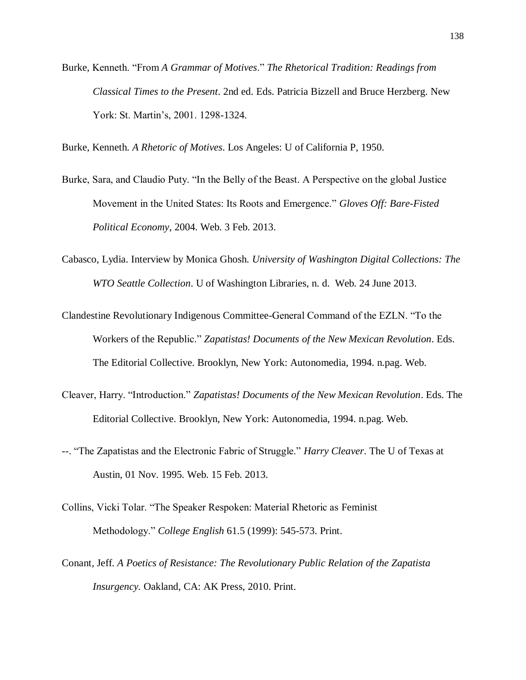Burke, Kenneth. "From *A Grammar of Motives*." *The Rhetorical Tradition: Readings from Classical Times to the Present*. 2nd ed. Eds. Patricia Bizzell and Bruce Herzberg. New York: St. Martin's, 2001. 1298-1324.

Burke, Kenneth. *A Rhetoric of Motives*. Los Angeles: U of California P, 1950.

- Burke, Sara, and Claudio Puty. "In the Belly of the Beast. A Perspective on the global Justice Movement in the United States: Its Roots and Emergence." *Gloves Off: Bare-Fisted Political Economy*, 2004. Web. 3 Feb. 2013.
- Cabasco, Lydia. Interview by Monica Ghosh. *University of Washington Digital Collections: The WTO Seattle Collection*. U of Washington Libraries, n. d. Web. 24 June 2013.
- Clandestine Revolutionary Indigenous Committee-General Command of the EZLN. "To the Workers of the Republic." *Zapatistas! Documents of the New Mexican Revolution*. Eds. The Editorial Collective. Brooklyn, New York: Autonomedia, 1994. n.pag. Web.
- Cleaver, Harry. "Introduction." *Zapatistas! Documents of the New Mexican Revolution*. Eds. The Editorial Collective. Brooklyn, New York: Autonomedia, 1994. n.pag. Web.
- --. "The Zapatistas and the Electronic Fabric of Struggle." *Harry Cleaver*. The U of Texas at Austin, 01 Nov. 1995. Web. 15 Feb. 2013.
- Collins, Vicki Tolar. "The Speaker Respoken: Material Rhetoric as Feminist Methodology." *College English* 61.5 (1999): 545-573. Print.
- Conant, Jeff. *A Poetics of Resistance: The Revolutionary Public Relation of the Zapatista Insurgency.* Oakland, CA: AK Press, 2010. Print.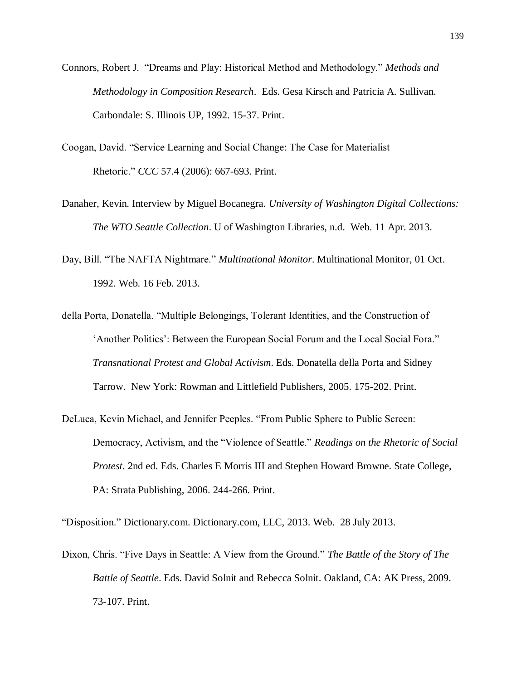- Connors, Robert J. "Dreams and Play: Historical Method and Methodology." *Methods and Methodology in Composition Research*. Eds. Gesa Kirsch and Patricia A. Sullivan. Carbondale: S. Illinois UP, 1992. 15-37. Print.
- Coogan, David. "Service Learning and Social Change: The Case for Materialist Rhetoric." *CCC* 57.4 (2006): 667-693. Print.
- Danaher, Kevin. Interview by Miguel Bocanegra. *University of Washington Digital Collections: The WTO Seattle Collection*. U of Washington Libraries, n.d. Web. 11 Apr. 2013.
- Day, Bill. "The NAFTA Nightmare." *Multinational Monitor*. Multinational Monitor, 01 Oct. 1992. Web. 16 Feb. 2013.
- della Porta, Donatella. "Multiple Belongings, Tolerant Identities, and the Construction of 'Another Politics': Between the European Social Forum and the Local Social Fora." *Transnational Protest and Global Activism*. Eds. Donatella della Porta and Sidney Tarrow. New York: Rowman and Littlefield Publishers, 2005. 175-202. Print.
- DeLuca, Kevin Michael, and Jennifer Peeples. "From Public Sphere to Public Screen: Democracy, Activism, and the "Violence of Seattle." *Readings on the Rhetoric of Social Protest*. 2nd ed. Eds. Charles E Morris III and Stephen Howard Browne. State College, PA: Strata Publishing, 2006. 244-266. Print.

"Disposition." Dictionary.com. Dictionary.com, LLC, 2013. Web. 28 July 2013.

Dixon, Chris. "Five Days in Seattle: A View from the Ground." *The Battle of the Story of The Battle of Seattle*. Eds. David Solnit and Rebecca Solnit. Oakland, CA: AK Press, 2009. 73-107. Print.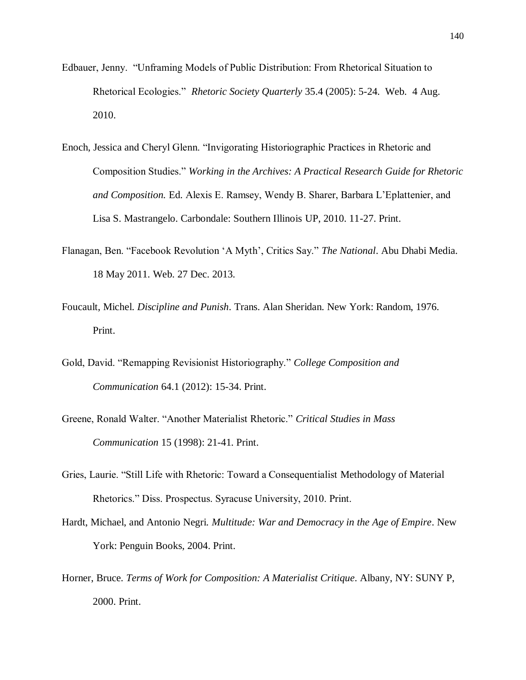- Edbauer, Jenny. "Unframing Models of Public Distribution: From Rhetorical Situation to Rhetorical Ecologies." *Rhetoric Society Quarterly* 35.4 (2005): 5-24. Web. 4 Aug. 2010.
- Enoch, Jessica and Cheryl Glenn. "Invigorating Historiographic Practices in Rhetoric and Composition Studies." *Working in the Archives: A Practical Research Guide for Rhetoric and Composition.* Ed. Alexis E. Ramsey, Wendy B. Sharer, Barbara L'Eplattenier, and Lisa S. Mastrangelo. Carbondale: Southern Illinois UP, 2010. 11-27. Print.
- Flanagan, Ben. "Facebook Revolution 'A Myth', Critics Say." *The National*. Abu Dhabi Media. 18 May 2011. Web. 27 Dec. 2013.
- Foucault, Michel. *Discipline and Punish*. Trans. Alan Sheridan. New York: Random, 1976. Print.
- Gold, David. "Remapping Revisionist Historiography." *College Composition and Communication* 64.1 (2012): 15-34. Print.
- Greene, Ronald Walter. "Another Materialist Rhetoric." *Critical Studies in Mass Communication* 15 (1998): 21-41. Print.
- Gries, Laurie. "Still Life with Rhetoric: Toward a Consequentialist Methodology of Material Rhetorics." Diss. Prospectus. Syracuse University, 2010. Print.
- Hardt, Michael, and Antonio Negri. *Multitude: War and Democracy in the Age of Empire*. New York: Penguin Books, 2004. Print.
- Horner, Bruce. *Terms of Work for Composition: A Materialist Critique*. Albany, NY: SUNY P, 2000. Print.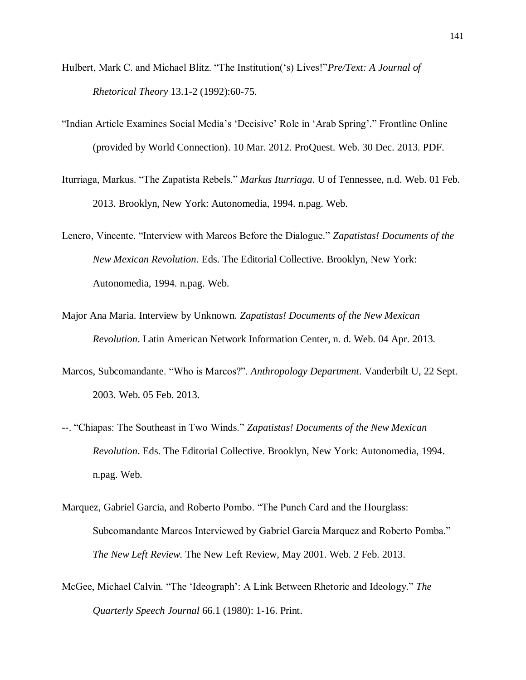- Hulbert, Mark C. and Michael Blitz. "The Institution('s) Lives!"*Pre/Text: A Journal of Rhetorical Theory* 13.1-2 (1992):60-75.
- "Indian Article Examines Social Media's 'Decisive' Role in 'Arab Spring'." Frontline Online (provided by World Connection). 10 Mar. 2012. ProQuest. Web. 30 Dec. 2013. PDF.
- Iturriaga, Markus. "The Zapatista Rebels." *Markus Iturriaga*. U of Tennessee, n.d. Web. 01 Feb. 2013. Brooklyn, New York: Autonomedia, 1994. n.pag. Web.
- Lenero, Vincente. "Interview with Marcos Before the Dialogue." *Zapatistas! Documents of the New Mexican Revolution*. Eds. The Editorial Collective. Brooklyn, New York: Autonomedia, 1994. n.pag. Web.
- Major Ana Maria. Interview by Unknown. *Zapatistas! Documents of the New Mexican Revolution*. Latin American Network Information Center, n. d. Web. 04 Apr. 2013.
- Marcos, Subcomandante. "Who is Marcos?". *Anthropology Department*. Vanderbilt U, 22 Sept. 2003. Web. 05 Feb. 2013.
- --. "Chiapas: The Southeast in Two Winds." *Zapatistas! Documents of the New Mexican Revolution*. Eds. The Editorial Collective. Brooklyn, New York: Autonomedia, 1994. n.pag. Web.
- Marquez, Gabriel Garcia, and Roberto Pombo. "The Punch Card and the Hourglass: Subcomandante Marcos Interviewed by Gabriel Garcia Marquez and Roberto Pomba." *The New Left Review*. The New Left Review, May 2001. Web. 2 Feb. 2013.
- McGee, Michael Calvin. "The 'Ideograph': A Link Between Rhetoric and Ideology." *The Quarterly Speech Journal* 66.1 (1980): 1-16. Print.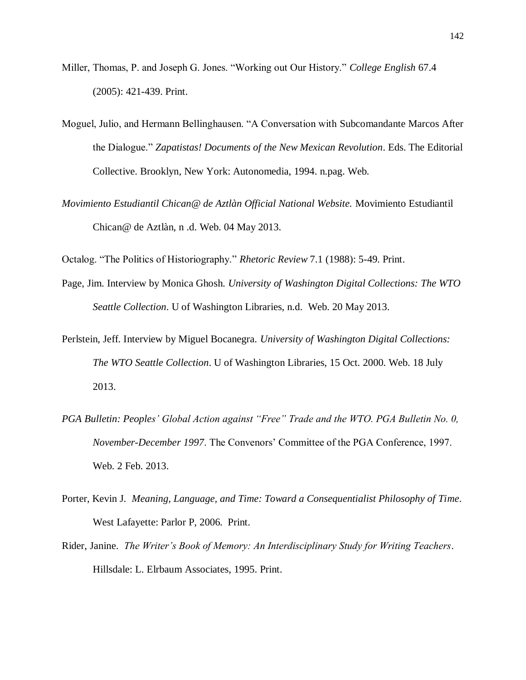- Miller, Thomas, P. and Joseph G. Jones. "Working out Our History." *College English* 67.4 (2005): 421-439. Print.
- Moguel, Julio, and Hermann Bellinghausen. "A Conversation with Subcomandante Marcos After the Dialogue." *Zapatistas! Documents of the New Mexican Revolution*. Eds. The Editorial Collective. Brooklyn, New York: Autonomedia, 1994. n.pag. Web.
- *Movimiento Estudiantil Chican@ de Aztlàn Official National Website.* Movimiento Estudiantil Chican@ de Aztlàn, n .d. Web. 04 May 2013.

Octalog. "The Politics of Historiography." *Rhetoric Review* 7.1 (1988): 5-49. Print.

- Page, Jim. Interview by Monica Ghosh. *University of Washington Digital Collections: The WTO Seattle Collection*. U of Washington Libraries, n.d. Web. 20 May 2013.
- Perlstein, Jeff. Interview by Miguel Bocanegra. *University of Washington Digital Collections: The WTO Seattle Collection*. U of Washington Libraries, 15 Oct. 2000. Web. 18 July 2013.
- PGA Bulletin: Peoples' Global Action against "Free" Trade and the WTO. PGA Bulletin No. 0, *November-December 1997*. The Convenors' Committee of the PGA Conference, 1997. Web. 2 Feb. 2013.
- Porter, Kevin J. *Meaning, Language, and Time: Toward a Consequentialist Philosophy of Time*. West Lafayette: Parlor P, 2006. Print.
- Rider, Janine. *The Writer's Book of Memory: An Interdisciplinary Study for Writing Teachers*. Hillsdale: L. Elrbaum Associates, 1995. Print.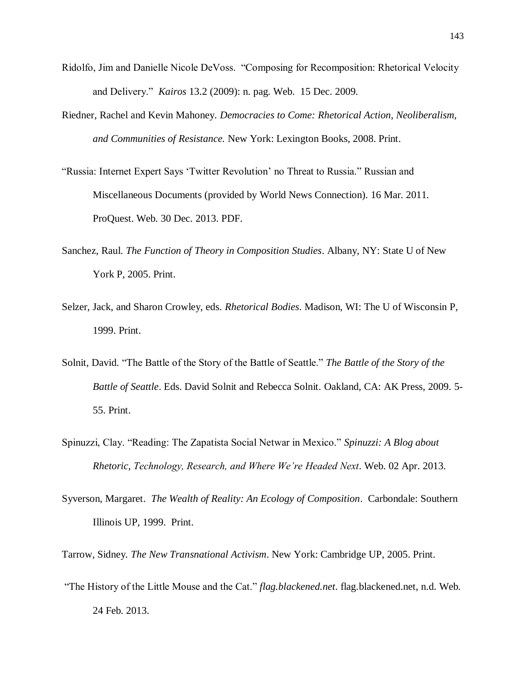- Ridolfo, Jim and Danielle Nicole DeVoss. "Composing for Recomposition: Rhetorical Velocity and Delivery." *Kairos* 13.2 (2009): n. pag. Web. 15 Dec. 2009.
- Riedner, Rachel and Kevin Mahoney. *Democracies to Come: Rhetorical Action, Neoliberalism, and Communities of Resistance.* New York: Lexington Books, 2008. Print.
- "Russia: Internet Expert Says 'Twitter Revolution' no Threat to Russia." Russian and Miscellaneous Documents (provided by World News Connection). 16 Mar. 2011. ProQuest. Web. 30 Dec. 2013. PDF.
- Sanchez, Raul. *The Function of Theory in Composition Studies*. Albany, NY: State U of New York P, 2005. Print.
- Selzer, Jack, and Sharon Crowley, eds. *Rhetorical Bodies*. Madison, WI: The U of Wisconsin P, 1999. Print.
- Solnit, David. "The Battle of the Story of the Battle of Seattle." *The Battle of the Story of the Battle of Seattle*. Eds. David Solnit and Rebecca Solnit. Oakland, CA: AK Press, 2009. 5- 55. Print.
- Spinuzzi, Clay. "Reading: The Zapatista Social Netwar in Mexico." *Spinuzzi: A Blog about Rhetoric, Technology, Research, and Where We're Headed Next*. Web. 02 Apr. 2013.
- Syverson, Margaret. *The Wealth of Reality: An Ecology of Composition*. Carbondale: Southern Illinois UP, 1999. Print.
- Tarrow, Sidney*. The New Transnational Activism*. New York: Cambridge UP, 2005. Print.
- "The History of the Little Mouse and the Cat." *flag.blackened.net*. flag.blackened.net, n.d. Web. 24 Feb. 2013.